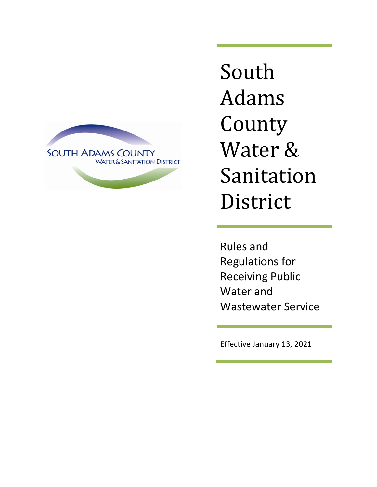

South Adams County Water & Sanitation District

Rules and Regulations for Receiving Public Water and Wastewater Service

Effective January 13, 2021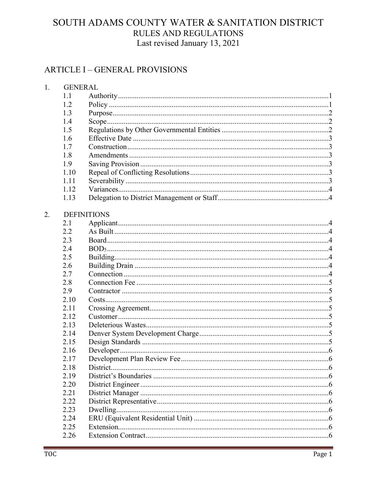## **ARTICLE I – GENERAL PROVISIONS**

| 1. | <b>GENERAL</b> |                    |  |
|----|----------------|--------------------|--|
|    | 1.1            |                    |  |
|    | 1.2            |                    |  |
|    | 1.3            |                    |  |
|    | 1.4            |                    |  |
|    | 1.5            |                    |  |
|    | 1.6            |                    |  |
|    | 1.7            |                    |  |
|    | 1.8            |                    |  |
|    | 1.9            |                    |  |
|    | 1.10           |                    |  |
|    | 1.11           |                    |  |
|    | 1.12           |                    |  |
|    | 1.13           |                    |  |
| 2. |                | <b>DEFINITIONS</b> |  |
|    | 2.1            |                    |  |
|    | 2.2            |                    |  |
|    | 2.3            |                    |  |
|    | 2.4            |                    |  |
|    | 2.5            |                    |  |
|    | 2.6            |                    |  |
|    | 2.7            |                    |  |
|    | 2.8            |                    |  |
|    | 2.9            |                    |  |
|    | 2.10           |                    |  |
|    | 2.11           |                    |  |
|    | 2.12           |                    |  |
|    | 2.13           |                    |  |
|    | 2.14           |                    |  |
|    | 2.15           |                    |  |
|    | 2.16           |                    |  |
|    | 2.17           |                    |  |
|    | 2.18           | District           |  |
|    | 2.19           |                    |  |
|    | 2.20           |                    |  |
|    | 2.21           |                    |  |
|    | 2.22           |                    |  |
|    | 2.23           |                    |  |
|    | 2.24           |                    |  |
|    | 2.25           |                    |  |
|    | 2.26           |                    |  |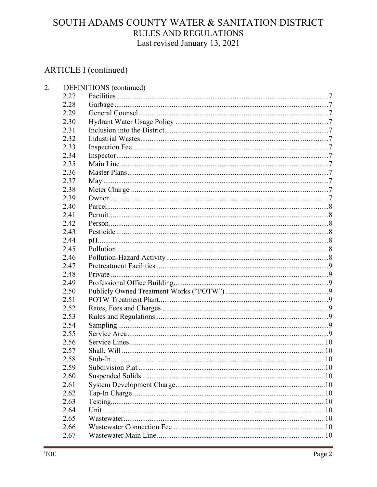# ARTICLE I (continued)

 $2.$ 

| 2.27 |                                                                              |                         |
|------|------------------------------------------------------------------------------|-------------------------|
| 2.28 |                                                                              |                         |
| 2.29 |                                                                              |                         |
| 2.30 |                                                                              |                         |
| 2.31 |                                                                              |                         |
| 2.32 |                                                                              |                         |
| 2.33 |                                                                              |                         |
| 2.34 |                                                                              |                         |
| 2.35 |                                                                              |                         |
| 2.36 |                                                                              |                         |
| 2.37 |                                                                              |                         |
| 2.38 |                                                                              |                         |
| 2.39 |                                                                              |                         |
| 2.40 |                                                                              |                         |
| 2.41 |                                                                              |                         |
| 2.42 |                                                                              |                         |
| 2.43 |                                                                              |                         |
| 2.44 |                                                                              |                         |
| 2.45 |                                                                              |                         |
| 2.46 |                                                                              |                         |
| 2.47 |                                                                              |                         |
| 2.48 |                                                                              |                         |
| 2.49 |                                                                              |                         |
| 2.50 |                                                                              |                         |
| 2.51 |                                                                              |                         |
| 2.52 |                                                                              |                         |
|      |                                                                              |                         |
| 2.54 |                                                                              |                         |
| 2.55 |                                                                              |                         |
|      |                                                                              |                         |
|      |                                                                              |                         |
|      |                                                                              |                         |
|      |                                                                              |                         |
|      |                                                                              |                         |
|      |                                                                              |                         |
|      |                                                                              |                         |
| 2.63 |                                                                              |                         |
| 2.64 |                                                                              |                         |
| 2.65 |                                                                              |                         |
|      |                                                                              |                         |
|      |                                                                              |                         |
|      | 2.53<br>2.56<br>2.57<br>2.58<br>2.59<br>2.60<br>2.61<br>2.62<br>2.66<br>2.67 | DEFINITIONS (continued) |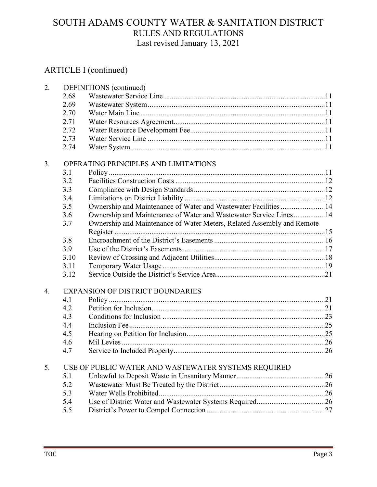| 2. |      | DEFINITIONS (continued)                                                |  |  |  |  |
|----|------|------------------------------------------------------------------------|--|--|--|--|
|    | 2.68 |                                                                        |  |  |  |  |
|    | 2.69 |                                                                        |  |  |  |  |
|    | 2.70 |                                                                        |  |  |  |  |
|    | 2.71 |                                                                        |  |  |  |  |
|    | 2.72 |                                                                        |  |  |  |  |
|    | 2.73 |                                                                        |  |  |  |  |
|    | 2.74 |                                                                        |  |  |  |  |
| 3. |      | OPERATING PRINCIPLES AND LIMITATIONS                                   |  |  |  |  |
|    | 3.1  |                                                                        |  |  |  |  |
|    | 3.2  |                                                                        |  |  |  |  |
|    | 3.3  |                                                                        |  |  |  |  |
|    | 3.4  |                                                                        |  |  |  |  |
|    | 3.5  | Ownership and Maintenance of Water and Wastewater Facilities 14        |  |  |  |  |
|    | 3.6  | Ownership and Maintenance of Water and Wastewater Service Lines14      |  |  |  |  |
|    | 3.7  | Ownership and Maintenance of Water Meters, Related Assembly and Remote |  |  |  |  |
|    |      |                                                                        |  |  |  |  |
|    | 3.8  |                                                                        |  |  |  |  |
|    | 3.9  |                                                                        |  |  |  |  |
|    | 3.10 |                                                                        |  |  |  |  |
|    | 3.11 |                                                                        |  |  |  |  |
|    | 3.12 |                                                                        |  |  |  |  |
| 4. |      | <b>EXPANSION OF DISTRICT BOUNDARIES</b>                                |  |  |  |  |
|    | 4.1  |                                                                        |  |  |  |  |
|    | 4.2  |                                                                        |  |  |  |  |
|    | 4.3  |                                                                        |  |  |  |  |
|    | 4.4  |                                                                        |  |  |  |  |
|    | 4.5  |                                                                        |  |  |  |  |
|    | 4.6  |                                                                        |  |  |  |  |
|    | 4.7  |                                                                        |  |  |  |  |
| 5. |      | USE OF PUBLIC WATER AND WASTEWATER SYSTEMS REQUIRED                    |  |  |  |  |
|    | 5.1  |                                                                        |  |  |  |  |
|    | 5.2  |                                                                        |  |  |  |  |
|    | 5.3  |                                                                        |  |  |  |  |
|    | 5.4  |                                                                        |  |  |  |  |
|    | 5.5  |                                                                        |  |  |  |  |
|    |      |                                                                        |  |  |  |  |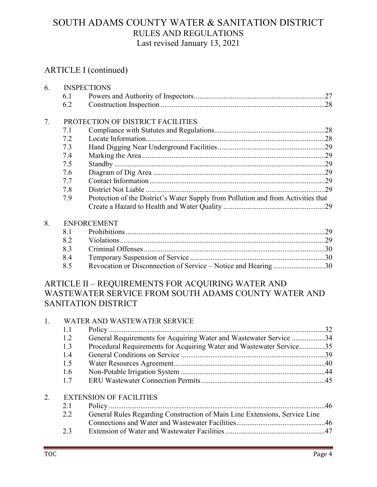## ARTICLE I (continued)

| 6. |     | <b>INSPECTIONS</b>                                                                |  |
|----|-----|-----------------------------------------------------------------------------------|--|
|    | 6.1 |                                                                                   |  |
|    | 6.2 |                                                                                   |  |
| 7. |     | PROTECTION OF DISTRICT FACILITIES                                                 |  |
|    | 7.1 |                                                                                   |  |
|    | 7.2 |                                                                                   |  |
|    | 7.3 |                                                                                   |  |
|    | 7.4 |                                                                                   |  |
|    | 7.5 |                                                                                   |  |
|    | 7.6 |                                                                                   |  |
|    | 7.7 |                                                                                   |  |
|    | 7.8 |                                                                                   |  |
|    | 7.9 | Protection of the District's Water Supply from Pollution and from Activities that |  |
|    |     |                                                                                   |  |
| 8. |     | <b>ENFORCEMENT</b>                                                                |  |
|    | 8.1 |                                                                                   |  |
|    | 8.2 |                                                                                   |  |
|    | 8.3 |                                                                                   |  |
|    | 8.4 |                                                                                   |  |
|    | 8.5 | Revocation or Disconnection of Service – Notice and Hearing 30                    |  |
|    |     | ARTICLE II - REQUIREMENTS FOR ACQUIRING WATER AND                                 |  |
|    |     |                                                                                   |  |
|    |     | WASTEWATER SERVICE FROM SOUTH ADAMS COUNTY WATER AND<br>SANITATION DISTRICT       |  |
|    |     |                                                                                   |  |
| 1. |     | WATER AND WASTEWATER SERVICE                                                      |  |
|    | 1.1 |                                                                                   |  |

| 1.1 |                                                                      |  |
|-----|----------------------------------------------------------------------|--|
| 1.2 | General Requirements for Acquiring Water and Wastewater Service 34   |  |
| 1.3 | Procedural Requirements for Acquiring Water and Wastewater Service35 |  |
| 1.4 |                                                                      |  |
| 1.5 |                                                                      |  |
| 1.6 |                                                                      |  |
| 1.7 |                                                                      |  |
|     |                                                                      |  |
|     |                                                                      |  |

#### 2. EXTENSION OF FACILITIES

| 2.1 |                                                                            |  |
|-----|----------------------------------------------------------------------------|--|
| 2.2 | General Rules Regarding Construction of Main Line Extensions, Service Line |  |
|     |                                                                            |  |
| 2.3 |                                                                            |  |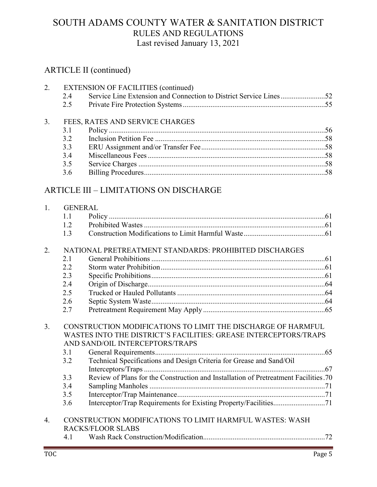#### ARTICLE II (continued)

|    |     | 2. EXTENSION OF FACILITIES (continued)                            |  |
|----|-----|-------------------------------------------------------------------|--|
|    | 2.4 | Service Line Extension and Connection to District Service Lines52 |  |
|    | 2.5 |                                                                   |  |
| 3. |     | FEES, RATES AND SERVICE CHARGES                                   |  |
|    | 3.1 |                                                                   |  |
|    | 3.2 |                                                                   |  |
|    | 3.3 |                                                                   |  |
|    | 3.4 |                                                                   |  |
|    | 3.5 |                                                                   |  |
|    | 3.6 |                                                                   |  |
|    |     |                                                                   |  |
|    |     |                                                                   |  |

## ARTICLE III – LIMITATIONS ON DISCHARGE

| 1.               | <b>GENERAL</b> |                                                                                                                                                                     |
|------------------|----------------|---------------------------------------------------------------------------------------------------------------------------------------------------------------------|
|                  | 1.1            |                                                                                                                                                                     |
|                  | 1.2            |                                                                                                                                                                     |
|                  | 1.3            |                                                                                                                                                                     |
| 2.               |                | NATIONAL PRETREATMENT STANDARDS: PROHIBITED DISCHARGES                                                                                                              |
|                  | 2.1            |                                                                                                                                                                     |
|                  | 2.2            |                                                                                                                                                                     |
|                  | 2.3            |                                                                                                                                                                     |
|                  | 2.4            |                                                                                                                                                                     |
|                  | 2.5            |                                                                                                                                                                     |
|                  | 2.6            |                                                                                                                                                                     |
|                  | 2.7            |                                                                                                                                                                     |
| 3.               |                | CONSTRUCTION MODIFICATIONS TO LIMIT THE DISCHARGE OF HARMFUL<br>WASTES INTO THE DISTRICT'S FACILITIES: GREASE INTERCEPTORS/TRAPS<br>AND SAND/OIL INTERCEPTORS/TRAPS |
|                  | 3.1            |                                                                                                                                                                     |
|                  | 3.2            | Technical Specifications and Design Criteria for Grease and Sand/Oil                                                                                                |
|                  |                |                                                                                                                                                                     |
|                  | 3.3            | Review of Plans for the Construction and Installation of Pretreatment Facilities.70                                                                                 |
|                  | 3.4            |                                                                                                                                                                     |
|                  | 3.5            |                                                                                                                                                                     |
|                  | 3.6            |                                                                                                                                                                     |
| $\overline{4}$ . |                | CONSTRUCTION MODIFICATIONS TO LIMIT HARMFUL WASTES: WASH<br><b>RACKS/FLOOR SLABS</b>                                                                                |
|                  | 4.1            |                                                                                                                                                                     |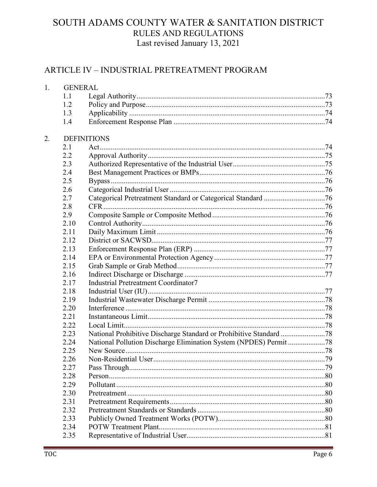#### ARTICLE IV - INDUSTRIAL PRETREATMENT PROGRAM

| 1. | <b>GENERAL</b> |                                             |  |
|----|----------------|---------------------------------------------|--|
|    | 1.1            |                                             |  |
|    | 1.2            |                                             |  |
|    | 1.3            |                                             |  |
|    | 1.4            |                                             |  |
| 2. |                | <b>DEFINITIONS</b>                          |  |
|    | 2.1            |                                             |  |
|    | 2.2            |                                             |  |
|    | 2.3            |                                             |  |
|    | 2.4            |                                             |  |
|    | 2.5            |                                             |  |
|    | 2.6            |                                             |  |
|    | 2.7            |                                             |  |
|    | 2.8            |                                             |  |
|    | 2.9            |                                             |  |
|    | 2.10           |                                             |  |
|    | 2.11           |                                             |  |
|    | 2.12           |                                             |  |
|    | 2.13           |                                             |  |
|    | 2.14           |                                             |  |
|    | 2.15           |                                             |  |
|    | 2.16           |                                             |  |
|    | 2.17           | <b>Industrial Pretreatment Coordinator7</b> |  |
|    | 2.18           |                                             |  |
|    | 2.19           |                                             |  |
|    | 2.20           |                                             |  |
|    | 2.21           |                                             |  |
|    | 2.22           |                                             |  |
|    | 2.23           |                                             |  |
|    | 2.24           |                                             |  |
|    | 2.25           |                                             |  |
|    | 2.26           | Non-Residential User.                       |  |
|    | 2.27           |                                             |  |
|    | 2.28           |                                             |  |
|    | 2.29           |                                             |  |
|    | 2.30           |                                             |  |
|    | 2.31           |                                             |  |
|    | 2.32           |                                             |  |
|    | 2.33           |                                             |  |
|    | 2.34           |                                             |  |
|    | 2.35           |                                             |  |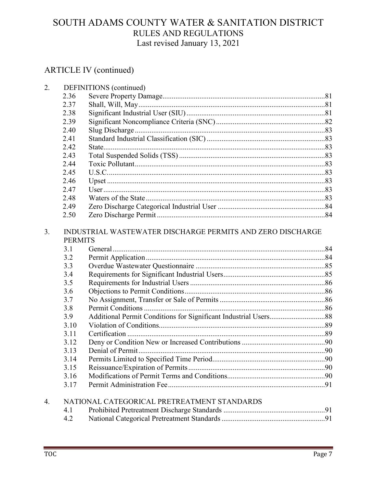| 2. |                                                                              | DEFINITIONS (continued)                     |  |  |
|----|------------------------------------------------------------------------------|---------------------------------------------|--|--|
|    | 2.36                                                                         |                                             |  |  |
|    | 2.37                                                                         |                                             |  |  |
|    | 2.38                                                                         |                                             |  |  |
|    | 2.39                                                                         |                                             |  |  |
|    | 2.40                                                                         |                                             |  |  |
|    | 2.41                                                                         |                                             |  |  |
|    | 2.42                                                                         |                                             |  |  |
|    | 2.43                                                                         |                                             |  |  |
|    | 2.44                                                                         |                                             |  |  |
|    | 2.45                                                                         |                                             |  |  |
|    | 2.46                                                                         |                                             |  |  |
|    | 2.47                                                                         |                                             |  |  |
|    | 2.48                                                                         |                                             |  |  |
|    | 2.49                                                                         |                                             |  |  |
|    | 2.50                                                                         |                                             |  |  |
| 3. | INDUSTRIAL WASTEWATER DISCHARGE PERMITS AND ZERO DISCHARGE<br><b>PERMITS</b> |                                             |  |  |
|    | 3.1                                                                          |                                             |  |  |
|    | 3.2                                                                          |                                             |  |  |
|    | 3.3                                                                          |                                             |  |  |
|    | 3.4                                                                          |                                             |  |  |
|    | 3.5                                                                          |                                             |  |  |
|    | 3.6                                                                          |                                             |  |  |
|    | 3.7                                                                          |                                             |  |  |
|    | 3.8                                                                          |                                             |  |  |
|    | 3.9                                                                          |                                             |  |  |
|    | 3.10                                                                         |                                             |  |  |
|    | 3.11                                                                         |                                             |  |  |
|    | 3.12                                                                         |                                             |  |  |
|    | 3.13                                                                         |                                             |  |  |
|    | 3.14                                                                         |                                             |  |  |
|    | 3.15                                                                         |                                             |  |  |
|    | 3.16                                                                         |                                             |  |  |
|    | 3.17                                                                         |                                             |  |  |
| 4. |                                                                              | NATIONAL CATEGORICAL PRETREATMENT STANDARDS |  |  |
|    | 4.1                                                                          |                                             |  |  |
|    | 4.2                                                                          |                                             |  |  |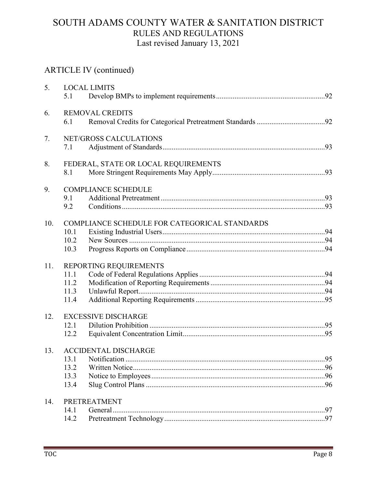| 5.  | 5.1                    | <b>LOCAL LIMITS</b>                           |  |  |  |
|-----|------------------------|-----------------------------------------------|--|--|--|
| 6.  | 6.1                    | <b>REMOVAL CREDITS</b>                        |  |  |  |
| 7.  | 7.1                    | NET/GROSS CALCULATIONS                        |  |  |  |
| 8.  | 8.1                    | FEDERAL, STATE OR LOCAL REQUIREMENTS          |  |  |  |
| 9.  |                        | <b>COMPLIANCE SCHEDULE</b>                    |  |  |  |
|     | 9.1<br>9.2             |                                               |  |  |  |
| 10. |                        | COMPLIANCE SCHEDULE FOR CATEGORICAL STANDARDS |  |  |  |
|     | 10.1<br>10.2           |                                               |  |  |  |
|     | 10.3                   |                                               |  |  |  |
| 11. | REPORTING REQUIREMENTS |                                               |  |  |  |
|     | 11.1                   |                                               |  |  |  |
|     | 11.2                   |                                               |  |  |  |
|     | 11.3                   |                                               |  |  |  |
|     | 11.4                   |                                               |  |  |  |
| 12. |                        | <b>EXCESSIVE DISCHARGE</b>                    |  |  |  |
|     | 12.1                   |                                               |  |  |  |
|     | 12.2                   |                                               |  |  |  |
| 13. |                        | <b>ACCIDENTAL DISCHARGE</b>                   |  |  |  |
|     |                        |                                               |  |  |  |
|     | 13.2                   |                                               |  |  |  |
|     | 13.3                   |                                               |  |  |  |
|     | 13.4                   |                                               |  |  |  |
| 14. |                        | PRETREATMENT                                  |  |  |  |
|     | 14.1                   |                                               |  |  |  |
|     | 14.2                   |                                               |  |  |  |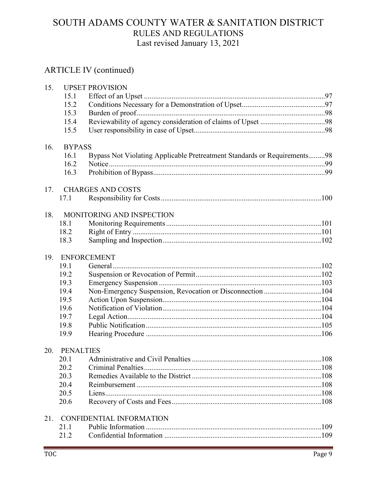| 15. |                  | <b>UPSET PROVISION</b>                                                   |      |
|-----|------------------|--------------------------------------------------------------------------|------|
|     | 15.1             |                                                                          |      |
|     | 15.2             |                                                                          |      |
|     | 15.3             |                                                                          |      |
|     | 15.4             |                                                                          |      |
|     | 15.5             |                                                                          |      |
| 16. | <b>BYPASS</b>    |                                                                          |      |
|     | 16.1             | Bypass Not Violating Applicable Pretreatment Standards or Requirements98 |      |
|     | 16.2             |                                                                          |      |
|     | 16.3             |                                                                          |      |
| 17. |                  | <b>CHARGES AND COSTS</b>                                                 |      |
|     | 17.1             |                                                                          |      |
| 18. |                  | MONITORING AND INSPECTION                                                |      |
|     | 18.1             |                                                                          |      |
|     | 18.2             |                                                                          |      |
|     | 18.3             |                                                                          |      |
| 19. |                  | <b>ENFORCEMENT</b>                                                       |      |
|     | 19.1             |                                                                          |      |
|     | 19.2             |                                                                          |      |
|     | 19.3             |                                                                          |      |
|     | 19.4             | Non-Emergency Suspension, Revocation or Disconnection 104                |      |
|     | 19.5             |                                                                          |      |
|     | 19.6             |                                                                          |      |
|     | 19.7             |                                                                          |      |
|     | 19.8             |                                                                          |      |
|     | 19.9             |                                                                          |      |
| 20. | <b>PENALTIES</b> |                                                                          |      |
|     |                  |                                                                          | .108 |
|     | 20.2             |                                                                          |      |
|     | 20.3             |                                                                          |      |
|     | 20.4             |                                                                          |      |
|     | 20.5             |                                                                          |      |
|     | 20.6             |                                                                          |      |
| 21. |                  | <b>CONFIDENTIAL INFORMATION</b>                                          |      |
|     | 21.1             |                                                                          |      |
|     | 21.2             |                                                                          |      |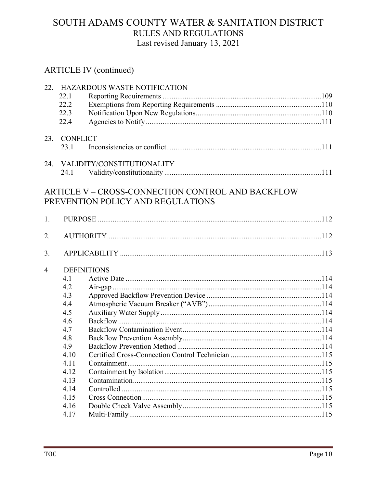| 22.            |                    | <b>HAZARDOUS WASTE NOTIFICATION</b>                                                    |  |
|----------------|--------------------|----------------------------------------------------------------------------------------|--|
|                | 22.1               |                                                                                        |  |
|                | 22.2               |                                                                                        |  |
|                | 22.3               |                                                                                        |  |
|                | 22.4               |                                                                                        |  |
| 23.            | <b>CONFLICT</b>    |                                                                                        |  |
|                | 23.1               |                                                                                        |  |
| 24.            |                    | VALIDITY/CONSTITUTIONALITY                                                             |  |
|                | 24.1               |                                                                                        |  |
|                |                    | ARTICLE V – CROSS-CONNECTION CONTROL AND BACKFLOW<br>PREVENTION POLICY AND REGULATIONS |  |
| 1.             |                    |                                                                                        |  |
| 2.             |                    |                                                                                        |  |
| 3.             |                    |                                                                                        |  |
| $\overline{4}$ | <b>DEFINITIONS</b> |                                                                                        |  |
|                | 4.1                |                                                                                        |  |
|                | 4.2                |                                                                                        |  |
|                | 4.3                |                                                                                        |  |
|                | 4.4                |                                                                                        |  |
|                | 4.5                |                                                                                        |  |
|                | 4.6                |                                                                                        |  |
|                | 4.7                |                                                                                        |  |
|                | 4.8                |                                                                                        |  |
|                | 4.9                |                                                                                        |  |
|                | 4.10               |                                                                                        |  |
|                | 4.11               |                                                                                        |  |
|                | 4.12               |                                                                                        |  |
|                | 4.13               |                                                                                        |  |
|                | 4.14               |                                                                                        |  |
|                | 4.15               |                                                                                        |  |
|                | 4.16               |                                                                                        |  |
|                | 4.17               |                                                                                        |  |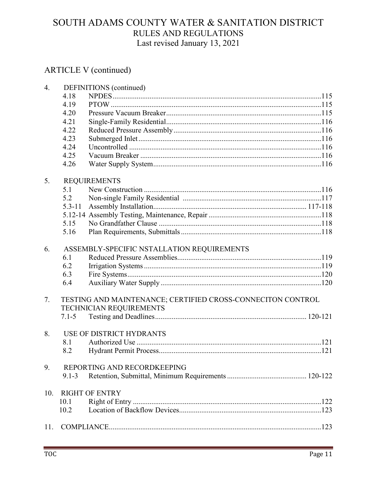| 4.  |                                                             | DEFINITIONS (continued)         |  |
|-----|-------------------------------------------------------------|---------------------------------|--|
|     | 4.18                                                        |                                 |  |
|     | 4.19                                                        |                                 |  |
|     | 4.20                                                        |                                 |  |
|     | 4.21                                                        |                                 |  |
|     | 4.22                                                        |                                 |  |
|     | 4.23                                                        |                                 |  |
|     | 4.24                                                        |                                 |  |
|     | 4.25                                                        |                                 |  |
|     | 4.26                                                        |                                 |  |
| 5.  |                                                             | <b>REQUIREMENTS</b>             |  |
|     | 5.1                                                         |                                 |  |
|     | 5.2                                                         |                                 |  |
|     | $5.3 - 11$                                                  |                                 |  |
|     |                                                             |                                 |  |
|     | 5.15                                                        |                                 |  |
|     | 5.16                                                        |                                 |  |
| 6.  | ASSEMBLY-SPECIFIC NSTALLATION REQUIREMENTS                  |                                 |  |
|     | 6.1                                                         |                                 |  |
|     | 6.2                                                         |                                 |  |
|     | 6.3                                                         |                                 |  |
|     | 6.4                                                         |                                 |  |
| 7.  | TESTING AND MAINTENANCE; CERTIFIED CROSS-CONNECITON CONTROL |                                 |  |
|     |                                                             | TECHNICIAN REQUIREMENTS         |  |
|     | $7.1 - 5$                                                   |                                 |  |
| 8.  |                                                             | <b>USE OF DISTRICT HYDRANTS</b> |  |
|     | 8.1                                                         |                                 |  |
|     | 8.2                                                         |                                 |  |
| 9.  |                                                             | REPORTING AND RECORDKEEPING     |  |
|     | $9.1 - 3$                                                   |                                 |  |
| 10. |                                                             | <b>RIGHT OF ENTRY</b>           |  |
|     | 10.1                                                        |                                 |  |
|     | 10.2                                                        |                                 |  |
| 11. |                                                             |                                 |  |
|     |                                                             |                                 |  |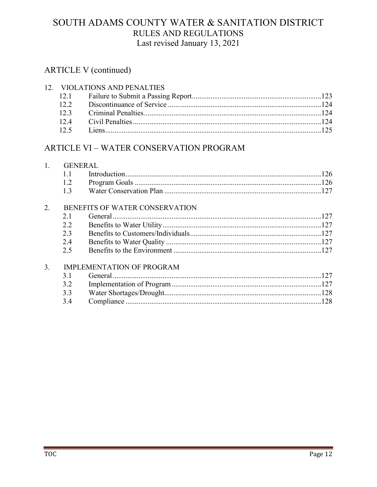#### **ARTICLE V** (continued)

| 12. VIOLATIONS AND PENALTIES |  |  |  |
|------------------------------|--|--|--|
|                              |  |  |  |
|                              |  |  |  |
|                              |  |  |  |
|                              |  |  |  |
|                              |  |  |  |

#### ARTICLE VI - WATER CONSERVATION PROGRAM

|    |                                  | <b>GENERAL</b> |  |  |
|----|----------------------------------|----------------|--|--|
|    | 1.1                              |                |  |  |
|    | 1.2                              |                |  |  |
|    | 1.3                              |                |  |  |
| 2. | BENEFITS OF WATER CONSERVATION   |                |  |  |
|    | 2.1                              |                |  |  |
|    | 2.2                              |                |  |  |
|    | 2.3                              |                |  |  |
|    | 2.4                              |                |  |  |
|    | 2.5                              |                |  |  |
| 3. | <b>IMPLEMENTATION OF PROGRAM</b> |                |  |  |
|    | 3.1                              |                |  |  |
|    | 3.2                              |                |  |  |
|    | 3.3                              |                |  |  |
|    | 3.4                              |                |  |  |
|    |                                  |                |  |  |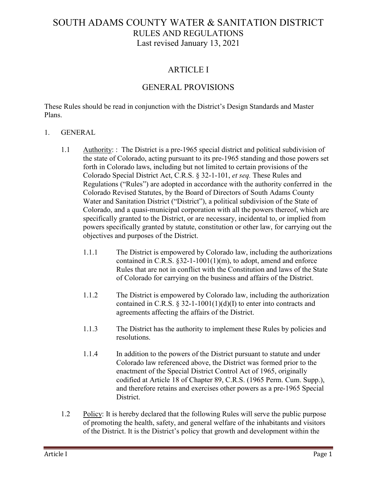#### ARTICLE I

#### GENERAL PROVISIONS

These Rules should be read in conjunction with the District's Design Standards and Master Plans.

#### 1. GENERAL

- 1.1 Authority: : The District is a pre-1965 special district and political subdivision of the state of Colorado, acting pursuant to its pre-1965 standing and those powers set forth in Colorado laws, including but not limited to certain provisions of the Colorado Special District Act, C.R.S. § 32-1-101, *et seq.* These Rules and Regulations ("Rules") are adopted in accordance with the authority conferred in the Colorado Revised Statutes, by the Board of Directors of South Adams County Water and Sanitation District ("District"), a political subdivision of the State of Colorado, and a quasi-municipal corporation with all the powers thereof, which are specifically granted to the District, or are necessary, incidental to, or implied from powers specifically granted by statute, constitution or other law, for carrying out the objectives and purposes of the District.
	- 1.1.1 The District is empowered by Colorado law, including the authorizations contained in C.R.S. §32-1-1001(1)(m), to adopt, amend and enforce Rules that are not in conflict with the Constitution and laws of the State of Colorado for carrying on the business and affairs of the District.
	- 1.1.2 The District is empowered by Colorado law, including the authorization contained in C.R.S. § 32-1-1001(1)(d)(I) to enter into contracts and agreements affecting the affairs of the District.
	- 1.1.3 The District has the authority to implement these Rules by policies and resolutions.
	- 1.1.4 In addition to the powers of the District pursuant to statute and under Colorado law referenced above, the District was formed prior to the enactment of the Special District Control Act of 1965, originally codified at Article 18 of Chapter 89, C.R.S. (1965 Perm. Cum. Supp.), and therefore retains and exercises other powers as a pre-1965 Special District.
- 1.2 Policy: It is hereby declared that the following Rules will serve the public purpose of promoting the health, safety, and general welfare of the inhabitants and visitors of the District. It is the District's policy that growth and development within the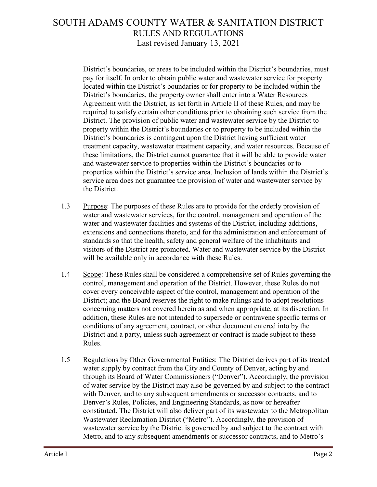District's boundaries, or areas to be included within the District's boundaries, must pay for itself. In order to obtain public water and wastewater service for property located within the District's boundaries or for property to be included within the District's boundaries, the property owner shall enter into a Water Resources Agreement with the District, as set forth in Article II of these Rules, and may be required to satisfy certain other conditions prior to obtaining such service from the District. The provision of public water and wastewater service by the District to property within the District's boundaries or to property to be included within the District's boundaries is contingent upon the District having sufficient water treatment capacity, wastewater treatment capacity, and water resources. Because of these limitations, the District cannot guarantee that it will be able to provide water and wastewater service to properties within the District's boundaries or to properties within the District's service area. Inclusion of lands within the District's service area does not guarantee the provision of water and wastewater service by the District.

- 1.3 Purpose: The purposes of these Rules are to provide for the orderly provision of water and wastewater services, for the control, management and operation of the water and wastewater facilities and systems of the District, including additions, extensions and connections thereto, and for the administration and enforcement of standards so that the health, safety and general welfare of the inhabitants and visitors of the District are promoted. Water and wastewater service by the District will be available only in accordance with these Rules.
- 1.4 Scope: These Rules shall be considered a comprehensive set of Rules governing the control, management and operation of the District. However, these Rules do not cover every conceivable aspect of the control, management and operation of the District; and the Board reserves the right to make rulings and to adopt resolutions concerning matters not covered herein as and when appropriate, at its discretion. In addition, these Rules are not intended to supersede or contravene specific terms or conditions of any agreement, contract, or other document entered into by the District and a party, unless such agreement or contract is made subject to these Rules.
- 1.5 Regulations by Other Governmental Entities: The District derives part of its treated water supply by contract from the City and County of Denver, acting by and through its Board of Water Commissioners ("Denver"). Accordingly, the provision of water service by the District may also be governed by and subject to the contract with Denver, and to any subsequent amendments or successor contracts, and to Denver's Rules, Policies, and Engineering Standards, as now or hereafter constituted. The District will also deliver part of its wastewater to the Metropolitan Wastewater Reclamation District ("Metro"). Accordingly, the provision of wastewater service by the District is governed by and subject to the contract with Metro, and to any subsequent amendments or successor contracts, and to Metro's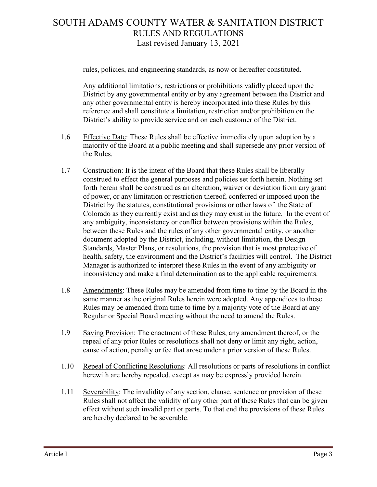rules, policies, and engineering standards, as now or hereafter constituted.

Any additional limitations, restrictions or prohibitions validly placed upon the District by any governmental entity or by any agreement between the District and any other governmental entity is hereby incorporated into these Rules by this reference and shall constitute a limitation, restriction and/or prohibition on the District's ability to provide service and on each customer of the District.

- 1.6 Effective Date: These Rules shall be effective immediately upon adoption by a majority of the Board at a public meeting and shall supersede any prior version of the Rules.
- 1.7 Construction: It is the intent of the Board that these Rules shall be liberally construed to effect the general purposes and policies set forth herein. Nothing set forth herein shall be construed as an alteration, waiver or deviation from any grant of power, or any limitation or restriction thereof, conferred or imposed upon the District by the statutes, constitutional provisions or other laws of the State of Colorado as they currently exist and as they may exist in the future. In the event of any ambiguity, inconsistency or conflict between provisions within the Rules, between these Rules and the rules of any other governmental entity, or another document adopted by the District, including, without limitation, the Design Standards, Master Plans, or resolutions, the provision that is most protective of health, safety, the environment and the District's facilities will control. The District Manager is authorized to interpret these Rules in the event of any ambiguity or inconsistency and make a final determination as to the applicable requirements.
- 1.8 Amendments: These Rules may be amended from time to time by the Board in the same manner as the original Rules herein were adopted. Any appendices to these Rules may be amended from time to time by a majority vote of the Board at any Regular or Special Board meeting without the need to amend the Rules.
- 1.9 Saving Provision: The enactment of these Rules, any amendment thereof, or the repeal of any prior Rules or resolutions shall not deny or limit any right, action, cause of action, penalty or fee that arose under a prior version of these Rules.
- 1.10 Repeal of Conflicting Resolutions: All resolutions or parts of resolutions in conflict herewith are hereby repealed, except as may be expressly provided herein.
- 1.11 Severability: The invalidity of any section, clause, sentence or provision of these Rules shall not affect the validity of any other part of these Rules that can be given effect without such invalid part or parts. To that end the provisions of these Rules are hereby declared to be severable.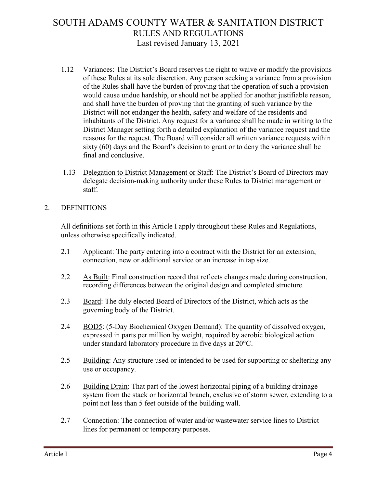- 1.12 Variances: The District's Board reserves the right to waive or modify the provisions of these Rules at its sole discretion. Any person seeking a variance from a provision of the Rules shall have the burden of proving that the operation of such a provision would cause undue hardship, or should not be applied for another justifiable reason, and shall have the burden of proving that the granting of such variance by the District will not endanger the health, safety and welfare of the residents and inhabitants of the District. Any request for a variance shall be made in writing to the District Manager setting forth a detailed explanation of the variance request and the reasons for the request. The Board will consider all written variance requests within sixty (60) days and the Board's decision to grant or to deny the variance shall be final and conclusive.
- 1.13 Delegation to District Management or Staff: The District's Board of Directors may delegate decision-making authority under these Rules to District management or staff.

#### 2. DEFINITIONS

All definitions set forth in this Article I apply throughout these Rules and Regulations, unless otherwise specifically indicated.

- 2.1 Applicant: The party entering into a contract with the District for an extension, connection, new or additional service or an increase in tap size.
- 2.2 As Built: Final construction record that reflects changes made during construction, recording differences between the original design and completed structure.
- 2.3 Board: The duly elected Board of Directors of the District, which acts as the governing body of the District.
- 2.4 BOD5: (5-Day Biochemical Oxygen Demand): The quantity of dissolved oxygen, expressed in parts per million by weight, required by aerobic biological action under standard laboratory procedure in five days at 20°C.
- 2.5 Building: Any structure used or intended to be used for supporting or sheltering any use or occupancy.
- 2.6 Building Drain: That part of the lowest horizontal piping of a building drainage system from the stack or horizontal branch, exclusive of storm sewer, extending to a point not less than 5 feet outside of the building wall.
- 2.7 Connection: The connection of water and/or wastewater service lines to District lines for permanent or temporary purposes.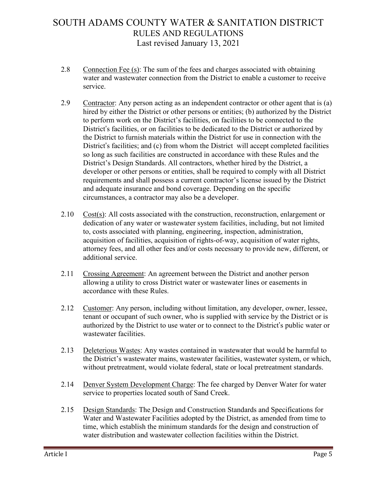- 2.8 Connection Fee (s): The sum of the fees and charges associated with obtaining water and wastewater connection from the District to enable a customer to receive service.
- 2.9 Contractor: Any person acting as an independent contractor or other agent that is (a) hired by either the District or other persons or entities; (b) authorized by the District to perform work on the District's facilities, on facilities to be connected to the District's facilities, or on facilities to be dedicated to the District or authorized by the District to furnish materials within the District for use in connection with the District's facilities; and (c) from whom the District will accept completed facilities so long as such facilities are constructed in accordance with these Rules and the District's Design Standards. All contractors, whether hired by the District, a developer or other persons or entities, shall be required to comply with all District requirements and shall possess a current contractor's license issued by the District and adequate insurance and bond coverage. Depending on the specific circumstances, a contractor may also be a developer.
- 2.10  $Cost(s)$ : All costs associated with the construction, reconstruction, enlargement or dedication of any water or wastewater system facilities, including, but not limited to, costs associated with planning, engineering, inspection, administration, acquisition of facilities, acquisition of rights-of-way, acquisition of water rights, attorney fees, and all other fees and/or costs necessary to provide new, different, or additional service.
- 2.11 Crossing Agreement: An agreement between the District and another person allowing a utility to cross District water or wastewater lines or easements in accordance with these Rules.
- 2.12 Customer: Any person, including without limitation, any developer, owner, lessee, tenant or occupant of such owner, who is supplied with service by the District or is authorized by the District to use water or to connect to the District's public water or wastewater facilities.
- 2.13 Deleterious Wastes: Any wastes contained in wastewater that would be harmful to the District's wastewater mains, wastewater facilities, wastewater system, or which, without pretreatment, would violate federal, state or local pretreatment standards.
- 2.14 Denver System Development Charge: The fee charged by Denver Water for water service to properties located south of Sand Creek.
- 2.15 Design Standards: The Design and Construction Standards and Specifications for Water and Wastewater Facilities adopted by the District, as amended from time to time, which establish the minimum standards for the design and construction of water distribution and wastewater collection facilities within the District.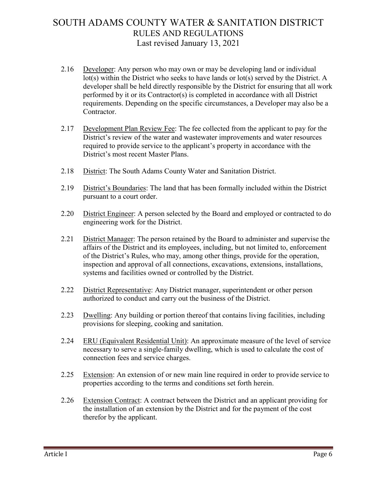- 2.16 Developer: Any person who may own or may be developing land or individual lot(s) within the District who seeks to have lands or lot(s) served by the District. A developer shall be held directly responsible by the District for ensuring that all work performed by it or its Contractor(s) is completed in accordance with all District requirements. Depending on the specific circumstances, a Developer may also be a Contractor.
- 2.17 Development Plan Review Fee: The fee collected from the applicant to pay for the District's review of the water and wastewater improvements and water resources required to provide service to the applicant's property in accordance with the District's most recent Master Plans.
- 2.18 District: The South Adams County Water and Sanitation District.
- 2.19 District's Boundaries: The land that has been formally included within the District pursuant to a court order.
- 2.20 District Engineer: A person selected by the Board and employed or contracted to do engineering work for the District.
- 2.21 District Manager: The person retained by the Board to administer and supervise the affairs of the District and its employees, including, but not limited to, enforcement of the District's Rules, who may, among other things, provide for the operation, inspection and approval of all connections, excavations, extensions, installations, systems and facilities owned or controlled by the District.
- 2.22 District Representative: Any District manager, superintendent or other person authorized to conduct and carry out the business of the District.
- 2.23 Dwelling: Any building or portion thereof that contains living facilities, including provisions for sleeping, cooking and sanitation.
- 2.24 ERU (Equivalent Residential Unit): An approximate measure of the level of service necessary to serve a single-family dwelling, which is used to calculate the cost of connection fees and service charges.
- 2.25 Extension: An extension of or new main line required in order to provide service to properties according to the terms and conditions set forth herein.
- 2.26 Extension Contract: A contract between the District and an applicant providing for the installation of an extension by the District and for the payment of the cost therefor by the applicant.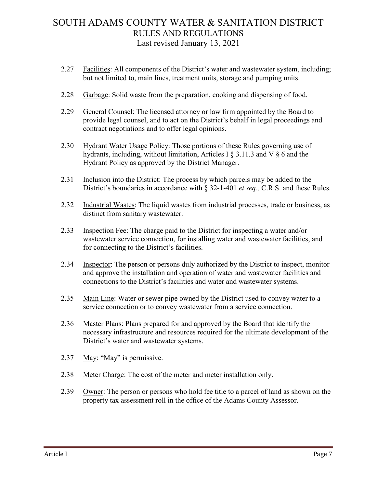- 2.27 Facilities: All components of the District's water and wastewater system, including; but not limited to, main lines, treatment units, storage and pumping units.
- 2.28 Garbage: Solid waste from the preparation, cooking and dispensing of food.
- 2.29 General Counsel: The licensed attorney or law firm appointed by the Board to provide legal counsel, and to act on the District's behalf in legal proceedings and contract negotiations and to offer legal opinions.
- 2.30 Hydrant Water Usage Policy: Those portions of these Rules governing use of hydrants, including, without limitation, Articles I § 3.11.3 and V § 6 and the Hydrant Policy as approved by the District Manager.
- 2.31 Inclusion into the District: The process by which parcels may be added to the District's boundaries in accordance with § 32-1-401 *et seq.,* C.R.S. and these Rules.
- 2.32 Industrial Wastes: The liquid wastes from industrial processes, trade or business, as distinct from sanitary wastewater.
- 2.33 Inspection Fee: The charge paid to the District for inspecting a water and/or wastewater service connection, for installing water and wastewater facilities, and for connecting to the District's facilities.
- 2.34 Inspector: The person or persons duly authorized by the District to inspect, monitor and approve the installation and operation of water and wastewater facilities and connections to the District's facilities and water and wastewater systems.
- 2.35 Main Line: Water or sewer pipe owned by the District used to convey water to a service connection or to convey wastewater from a service connection.
- 2.36 Master Plans: Plans prepared for and approved by the Board that identify the necessary infrastructure and resources required for the ultimate development of the District's water and wastewater systems.
- 2.37 May: "May" is permissive.
- 2.38 Meter Charge: The cost of the meter and meter installation only.
- 2.39 Owner: The person or persons who hold fee title to a parcel of land as shown on the property tax assessment roll in the office of the Adams County Assessor.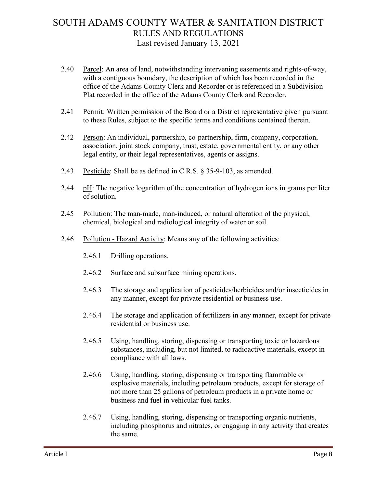- 2.40 Parcel: An area of land, notwithstanding intervening easements and rights-of-way, with a contiguous boundary, the description of which has been recorded in the office of the Adams County Clerk and Recorder or is referenced in a Subdivision Plat recorded in the office of the Adams County Clerk and Recorder.
- 2.41 Permit: Written permission of the Board or a District representative given pursuant to these Rules, subject to the specific terms and conditions contained therein.
- 2.42 Person: An individual, partnership, co-partnership, firm, company, corporation, association, joint stock company, trust, estate, governmental entity, or any other legal entity, or their legal representatives, agents or assigns.
- 2.43 Pesticide: Shall be as defined in C.R.S. § 35-9-103, as amended.
- 2.44 pH: The negative logarithm of the concentration of hydrogen ions in grams per liter of solution.
- 2.45 Pollution: The man-made, man-induced, or natural alteration of the physical, chemical, biological and radiological integrity of water or soil.
- 2.46 Pollution Hazard Activity: Means any of the following activities:
	- 2.46.1 Drilling operations.
	- 2.46.2 Surface and subsurface mining operations.
	- 2.46.3 The storage and application of pesticides/herbicides and/or insecticides in any manner, except for private residential or business use.
	- 2.46.4 The storage and application of fertilizers in any manner, except for private residential or business use.
	- 2.46.5 Using, handling, storing, dispensing or transporting toxic or hazardous substances, including, but not limited, to radioactive materials, except in compliance with all laws.
	- 2.46.6 Using, handling, storing, dispensing or transporting flammable or explosive materials, including petroleum products, except for storage of not more than 25 gallons of petroleum products in a private home or business and fuel in vehicular fuel tanks.
	- 2.46.7 Using, handling, storing, dispensing or transporting organic nutrients, including phosphorus and nitrates, or engaging in any activity that creates the same.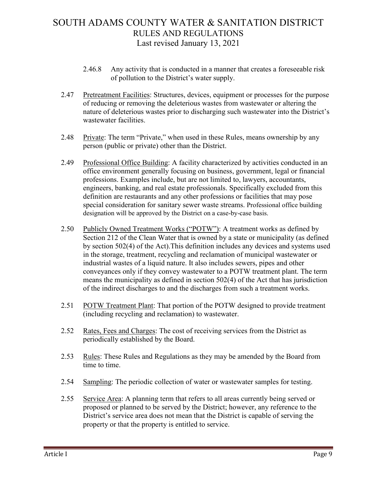- 2.46.8 Any activity that is conducted in a manner that creates a foreseeable risk of pollution to the District's water supply.
- 2.47 Pretreatment Facilities: Structures, devices, equipment or processes for the purpose of reducing or removing the deleterious wastes from wastewater or altering the nature of deleterious wastes prior to discharging such wastewater into the District's wastewater facilities.
- 2.48 Private: The term "Private," when used in these Rules, means ownership by any person (public or private) other than the District.
- 2.49 Professional Office Building: A facility characterized by activities conducted in an office environment generally focusing on business, government, legal or financial professions. Examples include, but are not limited to, lawyers, accountants, engineers, banking, and real estate professionals. Specifically excluded from this definition are restaurants and any other professions or facilities that may pose special consideration for sanitary sewer waste streams. Professional office building designation will be approved by the District on a case-by-case basis.
- 2.50 Publicly Owned Treatment Works ("POTW"): A treatment works as defined by Section 212 of the Clean Water that is owned by a state or municipality (as defined by section 502(4) of the Act).This definition includes any devices and systems used in the storage, treatment, recycling and reclamation of municipal wastewater or industrial wastes of a liquid nature. It also includes sewers, pipes and other conveyances only if they convey wastewater to a POTW treatment plant. The term means the municipality as defined in section 502(4) of the Act that has jurisdiction of the indirect discharges to and the discharges from such a treatment works.
- 2.51 POTW Treatment Plant: That portion of the POTW designed to provide treatment (including recycling and reclamation) to wastewater.
- 2.52 Rates, Fees and Charges: The cost of receiving services from the District as periodically established by the Board.
- 2.53 Rules: These Rules and Regulations as they may be amended by the Board from time to time.
- 2.54 Sampling: The periodic collection of water or wastewater samples for testing.
- 2.55 Service Area: A planning term that refers to all areas currently being served or proposed or planned to be served by the District; however, any reference to the District's service area does not mean that the District is capable of serving the property or that the property is entitled to service.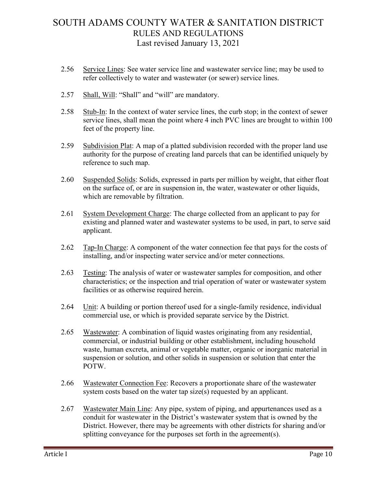- 2.56 Service Lines: See water service line and wastewater service line; may be used to refer collectively to water and wastewater (or sewer) service lines.
- 2.57 Shall, Will: "Shall" and "will" are mandatory.
- 2.58 Stub-In: In the context of water service lines, the curb stop; in the context of sewer service lines, shall mean the point where 4 inch PVC lines are brought to within 100 feet of the property line.
- 2.59 Subdivision Plat: A map of a platted subdivision recorded with the proper land use authority for the purpose of creating land parcels that can be identified uniquely by reference to such map.
- 2.60 Suspended Solids: Solids, expressed in parts per million by weight, that either float on the surface of, or are in suspension in, the water, wastewater or other liquids, which are removable by filtration.
- 2.61 System Development Charge: The charge collected from an applicant to pay for existing and planned water and wastewater systems to be used, in part, to serve said applicant.
- 2.62 Tap-In Charge: A component of the water connection fee that pays for the costs of installing, and/or inspecting water service and/or meter connections.
- 2.63 Testing: The analysis of water or wastewater samples for composition, and other characteristics; or the inspection and trial operation of water or wastewater system facilities or as otherwise required herein.
- 2.64 Unit: A building or portion thereof used for a single-family residence, individual commercial use, or which is provided separate service by the District.
- 2.65 Wastewater: A combination of liquid wastes originating from any residential, commercial, or industrial building or other establishment, including household waste, human excreta, animal or vegetable matter, organic or inorganic material in suspension or solution, and other solids in suspension or solution that enter the POTW.
- 2.66 Wastewater Connection Fee: Recovers a proportionate share of the wastewater system costs based on the water tap size(s) requested by an applicant.
- 2.67 Wastewater Main Line: Any pipe, system of piping, and appurtenances used as a conduit for wastewater in the District's wastewater system that is owned by the District. However, there may be agreements with other districts for sharing and/or splitting conveyance for the purposes set forth in the agreement(s).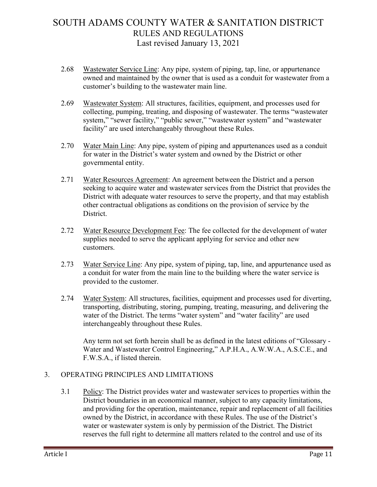- 2.68 Wastewater Service Line: Any pipe, system of piping, tap, line, or appurtenance owned and maintained by the owner that is used as a conduit for wastewater from a customer's building to the wastewater main line.
- 2.69 Wastewater System: All structures, facilities, equipment, and processes used for collecting, pumping, treating, and disposing of wastewater. The terms "wastewater system," "sewer facility," "public sewer," "wastewater system" and "wastewater facility" are used interchangeably throughout these Rules.
- 2.70 Water Main Line: Any pipe, system of piping and appurtenances used as a conduit for water in the District's water system and owned by the District or other governmental entity.
- 2.71 Water Resources Agreement: An agreement between the District and a person seeking to acquire water and wastewater services from the District that provides the District with adequate water resources to serve the property, and that may establish other contractual obligations as conditions on the provision of service by the District.
- 2.72 Water Resource Development Fee: The fee collected for the development of water supplies needed to serve the applicant applying for service and other new customers.
- 2.73 Water Service Line: Any pipe, system of piping, tap, line, and appurtenance used as a conduit for water from the main line to the building where the water service is provided to the customer.
- 2.74 Water System: All structures, facilities, equipment and processes used for diverting, transporting, distributing, storing, pumping, treating, measuring, and delivering the water of the District. The terms "water system" and "water facility" are used interchangeably throughout these Rules.

Any term not set forth herein shall be as defined in the latest editions of "Glossary - Water and Wastewater Control Engineering," A.P.H.A., A.W.W.A., A.S.C.E., and F.W.S.A., if listed therein.

#### 3. OPERATING PRINCIPLES AND LIMITATIONS

3.1 Policy: The District provides water and wastewater services to properties within the District boundaries in an economical manner, subject to any capacity limitations, and providing for the operation, maintenance, repair and replacement of all facilities owned by the District, in accordance with these Rules. The use of the District's water or wastewater system is only by permission of the District. The District reserves the full right to determine all matters related to the control and use of its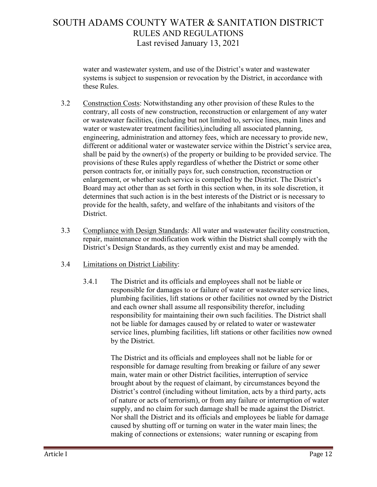water and wastewater system, and use of the District's water and wastewater systems is subject to suspension or revocation by the District, in accordance with these Rules.

- 3.2 Construction Costs: Notwithstanding any other provision of these Rules to the contrary, all costs of new construction, reconstruction or enlargement of any water or wastewater facilities, (including but not limited to, service lines, main lines and water or wastewater treatment facilities),including all associated planning, engineering, administration and attorney fees, which are necessary to provide new, different or additional water or wastewater service within the District's service area, shall be paid by the owner(s) of the property or building to be provided service. The provisions of these Rules apply regardless of whether the District or some other person contracts for, or initially pays for, such construction, reconstruction or enlargement, or whether such service is compelled by the District. The District's Board may act other than as set forth in this section when, in its sole discretion, it determines that such action is in the best interests of the District or is necessary to provide for the health, safety, and welfare of the inhabitants and visitors of the District.
- 3.3 Compliance with Design Standards: All water and wastewater facility construction, repair, maintenance or modification work within the District shall comply with the District's Design Standards, as they currently exist and may be amended.

#### 3.4 Limitations on District Liability:

3.4.1 The District and its officials and employees shall not be liable or responsible for damages to or failure of water or wastewater service lines, plumbing facilities, lift stations or other facilities not owned by the District and each owner shall assume all responsibility therefor, including responsibility for maintaining their own such facilities. The District shall not be liable for damages caused by or related to water or wastewater service lines, plumbing facilities, lift stations or other facilities now owned by the District.

> The District and its officials and employees shall not be liable for or responsible for damage resulting from breaking or failure of any sewer main, water main or other District facilities, interruption of service brought about by the request of claimant, by circumstances beyond the District's control (including without limitation, acts by a third party, acts of nature or acts of terrorism), or from any failure or interruption of water supply, and no claim for such damage shall be made against the District. Nor shall the District and its officials and employees be liable for damage caused by shutting off or turning on water in the water main lines; the making of connections or extensions; water running or escaping from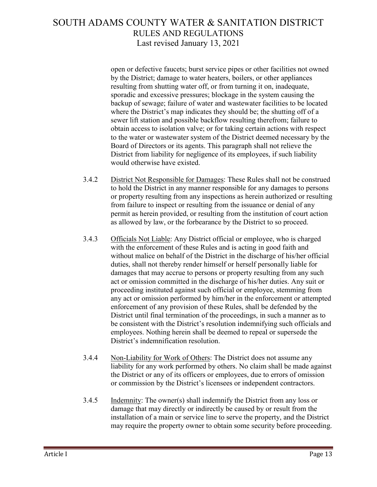open or defective faucets; burst service pipes or other facilities not owned by the District; damage to water heaters, boilers, or other appliances resulting from shutting water off, or from turning it on, inadequate, sporadic and excessive pressures; blockage in the system causing the backup of sewage; failure of water and wastewater facilities to be located where the District's map indicates they should be; the shutting off of a sewer lift station and possible backflow resulting therefrom; failure to obtain access to isolation valve; or for taking certain actions with respect to the water or wastewater system of the District deemed necessary by the Board of Directors or its agents. This paragraph shall not relieve the District from liability for negligence of its employees, if such liability would otherwise have existed.

- 3.4.2 District Not Responsible for Damages: These Rules shall not be construed to hold the District in any manner responsible for any damages to persons or property resulting from any inspections as herein authorized or resulting from failure to inspect or resulting from the issuance or denial of any permit as herein provided, or resulting from the institution of court action as allowed by law, or the forbearance by the District to so proceed.
- 3.4.3 Officials Not Liable: Any District official or employee, who is charged with the enforcement of these Rules and is acting in good faith and without malice on behalf of the District in the discharge of his/her official duties, shall not thereby render himself or herself personally liable for damages that may accrue to persons or property resulting from any such act or omission committed in the discharge of his/her duties. Any suit or proceeding instituted against such official or employee, stemming from any act or omission performed by him/her in the enforcement or attempted enforcement of any provision of these Rules, shall be defended by the District until final termination of the proceedings, in such a manner as to be consistent with the District's resolution indemnifying such officials and employees. Nothing herein shall be deemed to repeal or supersede the District's indemnification resolution.
- 3.4.4 Non-Liability for Work of Others: The District does not assume any liability for any work performed by others. No claim shall be made against the District or any of its officers or employees, due to errors of omission or commission by the District's licensees or independent contractors.
- 3.4.5 Indemnity: The owner(s) shall indemnify the District from any loss or damage that may directly or indirectly be caused by or result from the installation of a main or service line to serve the property, and the District may require the property owner to obtain some security before proceeding.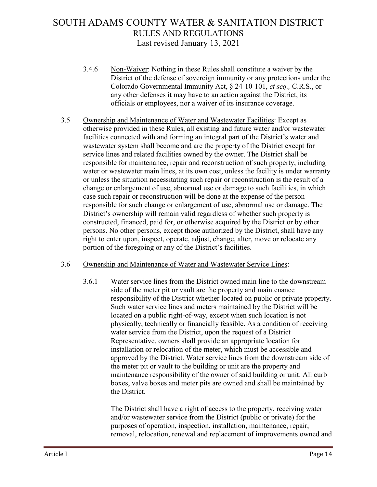- 3.4.6 Non-Waiver: Nothing in these Rules shall constitute a waiver by the District of the defense of sovereign immunity or any protections under the Colorado Governmental Immunity Act, § 24-10-101, *et seq.,* C.R.S., or any other defenses it may have to an action against the District, its officials or employees, nor a waiver of its insurance coverage.
- 3.5 Ownership and Maintenance of Water and Wastewater Facilities: Except as otherwise provided in these Rules, all existing and future water and/or wastewater facilities connected with and forming an integral part of the District's water and wastewater system shall become and are the property of the District except for service lines and related facilities owned by the owner. The District shall be responsible for maintenance, repair and reconstruction of such property, including water or wastewater main lines, at its own cost, unless the facility is under warranty or unless the situation necessitating such repair or reconstruction is the result of a change or enlargement of use, abnormal use or damage to such facilities, in which case such repair or reconstruction will be done at the expense of the person responsible for such change or enlargement of use, abnormal use or damage. The District's ownership will remain valid regardless of whether such property is constructed, financed, paid for, or otherwise acquired by the District or by other persons. No other persons, except those authorized by the District, shall have any right to enter upon, inspect, operate, adjust, change, alter, move or relocate any portion of the foregoing or any of the District's facilities.

#### 3.6 Ownership and Maintenance of Water and Wastewater Service Lines:

3.6.1 Water service lines from the District owned main line to the downstream side of the meter pit or vault are the property and maintenance responsibility of the District whether located on public or private property. Such water service lines and meters maintained by the District will be located on a public right-of-way, except when such location is not physically, technically or financially feasible. As a condition of receiving water service from the District, upon the request of a District Representative, owners shall provide an appropriate location for installation or relocation of the meter, which must be accessible and approved by the District. Water service lines from the downstream side of the meter pit or vault to the building or unit are the property and maintenance responsibility of the owner of said building or unit. All curb boxes, valve boxes and meter pits are owned and shall be maintained by the District.

> The District shall have a right of access to the property, receiving water and/or wastewater service from the District (public or private) for the purposes of operation, inspection, installation, maintenance, repair, removal, relocation, renewal and replacement of improvements owned and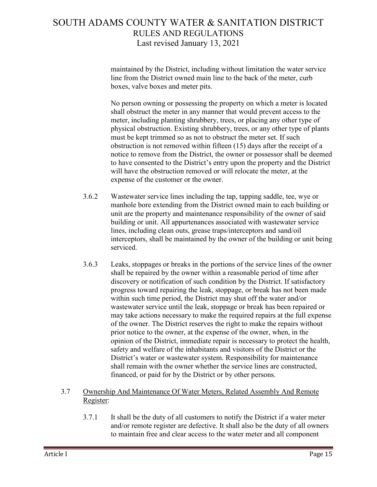maintained by the District, including without limitation the water service line from the District owned main line to the back of the meter, curb boxes, valve boxes and meter pits.

No person owning or possessing the property on which a meter is located shall obstruct the meter in any manner that would prevent access to the meter, including planting shrubbery, trees, or placing any other type of physical obstruction. Existing shrubbery, trees, or any other type of plants must be kept trimmed so as not to obstruct the meter set. If such obstruction is not removed within fifteen (15) days after the receipt of a notice to remove from the District, the owner or possessor shall be deemed to have consented to the District's entry upon the property and the District will have the obstruction removed or will relocate the meter, at the expense of the customer or the owner.

- 3.6.2 Wastewater service lines including the tap, tapping saddle, tee, wye or manhole bore extending from the District owned main to each building or unit are the property and maintenance responsibility of the owner of said building or unit. All appurtenances associated with wastewater service lines, including clean outs, grease traps/interceptors and sand/oil interceptors, shall be maintained by the owner of the building or unit being serviced.
- 3.6.3 Leaks, stoppages or breaks in the portions of the service lines of the owner shall be repaired by the owner within a reasonable period of time after discovery or notification of such condition by the District. If satisfactory progress toward repairing the leak, stoppage, or break has not been made within such time period, the District may shut off the water and/or wastewater service until the leak, stoppage or break has been repaired or may take actions necessary to make the required repairs at the full expense of the owner. The District reserves the right to make the repairs without prior notice to the owner, at the expense of the owner, when, in the opinion of the District, immediate repair is necessary to protect the health, safety and welfare of the inhabitants and visitors of the District or the District's water or wastewater system. Responsibility for maintenance shall remain with the owner whether the service lines are constructed, financed, or paid for by the District or by other persons.
- 3.7 Ownership And Maintenance Of Water Meters, Related Assembly And Remote Register:
	- 3.7.1 It shall be the duty of all customers to notify the District if a water meter and/or remote register are defective. It shall also be the duty of all owners to maintain free and clear access to the water meter and all component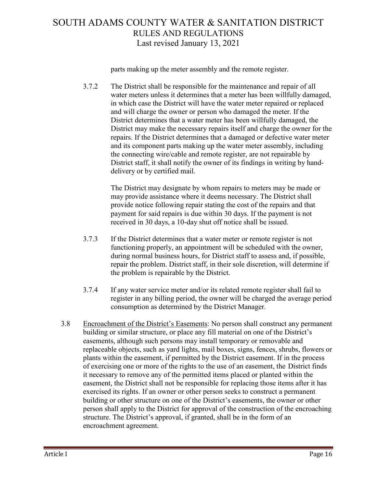parts making up the meter assembly and the remote register.

3.7.2 The District shall be responsible for the maintenance and repair of all water meters unless it determines that a meter has been willfully damaged, in which case the District will have the water meter repaired or replaced and will charge the owner or person who damaged the meter. If the District determines that a water meter has been willfully damaged, the District may make the necessary repairs itself and charge the owner for the repairs. If the District determines that a damaged or defective water meter and its component parts making up the water meter assembly, including the connecting wire/cable and remote register, are not repairable by District staff, it shall notify the owner of its findings in writing by handdelivery or by certified mail.

> The District may designate by whom repairs to meters may be made or may provide assistance where it deems necessary. The District shall provide notice following repair stating the cost of the repairs and that payment for said repairs is due within 30 days. If the payment is not received in 30 days, a 10-day shut off notice shall be issued.

- 3.7.3 If the District determines that a water meter or remote register is not functioning properly, an appointment will be scheduled with the owner, during normal business hours, for District staff to assess and, if possible, repair the problem. District staff, in their sole discretion, will determine if the problem is repairable by the District.
- 3.7.4 If any water service meter and/or its related remote register shall fail to register in any billing period, the owner will be charged the average period consumption as determined by the District Manager.
- 3.8 Encroachment of the District's Easements: No person shall construct any permanent building or similar structure, or place any fill material on one of the District's easements, although such persons may install temporary or removable and replaceable objects, such as yard lights, mail boxes, signs, fences, shrubs, flowers or plants within the easement, if permitted by the District easement. If in the process of exercising one or more of the rights to the use of an easement, the District finds it necessary to remove any of the permitted items placed or planted within the easement, the District shall not be responsible for replacing those items after it has exercised its rights. If an owner or other person seeks to construct a permanent building or other structure on one of the District's easements, the owner or other person shall apply to the District for approval of the construction of the encroaching structure. The District's approval, if granted, shall be in the form of an encroachment agreement.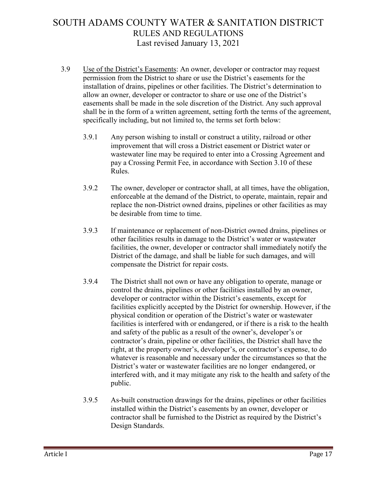- 3.9 Use of the District's Easements: An owner, developer or contractor may request permission from the District to share or use the District's easements for the installation of drains, pipelines or other facilities. The District's determination to allow an owner, developer or contractor to share or use one of the District's easements shall be made in the sole discretion of the District. Any such approval shall be in the form of a written agreement, setting forth the terms of the agreement, specifically including, but not limited to, the terms set forth below:
	- 3.9.1 Any person wishing to install or construct a utility, railroad or other improvement that will cross a District easement or District water or wastewater line may be required to enter into a Crossing Agreement and pay a Crossing Permit Fee, in accordance with Section 3.10 of these Rules.
	- 3.9.2 The owner, developer or contractor shall, at all times, have the obligation, enforceable at the demand of the District, to operate, maintain, repair and replace the non-District owned drains, pipelines or other facilities as may be desirable from time to time.
	- 3.9.3 If maintenance or replacement of non-District owned drains, pipelines or other facilities results in damage to the District's water or wastewater facilities, the owner, developer or contractor shall immediately notify the District of the damage, and shall be liable for such damages, and will compensate the District for repair costs.
	- 3.9.4 The District shall not own or have any obligation to operate, manage or control the drains, pipelines or other facilities installed by an owner, developer or contractor within the District's easements, except for facilities explicitly accepted by the District for ownership. However, if the physical condition or operation of the District's water or wastewater facilities is interfered with or endangered, or if there is a risk to the health and safety of the public as a result of the owner's, developer's or contractor's drain, pipeline or other facilities, the District shall have the right, at the property owner's, developer's, or contractor's expense, to do whatever is reasonable and necessary under the circumstances so that the District's water or wastewater facilities are no longer endangered, or interfered with, and it may mitigate any risk to the health and safety of the public.
	- 3.9.5 As-built construction drawings for the drains, pipelines or other facilities installed within the District's easements by an owner, developer or contractor shall be furnished to the District as required by the District's Design Standards.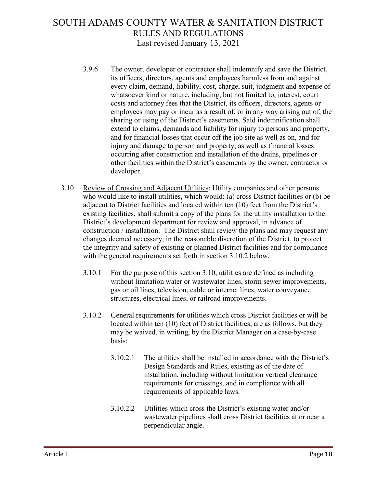- 3.9.6 The owner, developer or contractor shall indemnify and save the District, its officers, directors, agents and employees harmless from and against every claim, demand, liability, cost, charge, suit, judgment and expense of whatsoever kind or nature, including, but not limited to, interest, court costs and attorney fees that the District, its officers, directors, agents or employees may pay or incur as a result of, or in any way arising out of, the sharing or using of the District's easements. Said indemnification shall extend to claims, demands and liability for injury to persons and property, and for financial losses that occur off the job site as well as on, and for injury and damage to person and property, as well as financial losses occurring after construction and installation of the drains, pipelines or other facilities within the District's easements by the owner, contractor or developer.
- 3.10 Review of Crossing and Adjacent Utilities: Utility companies and other persons who would like to install utilities, which would: (a) cross District facilities or (b) be adjacent to District facilities and located within ten (10) feet from the District's existing facilities, shall submit a copy of the plans for the utility installation to the District's development department for review and approval, in advance of construction / installation. The District shall review the plans and may request any changes deemed necessary, in the reasonable discretion of the District, to protect the integrity and safety of existing or planned District facilities and for compliance with the general requirements set forth in section 3.10.2 below.
	- 3.10.1 For the purpose of this section 3.10, utilities are defined as including without limitation water or wastewater lines, storm sewer improvements, gas or oil lines, television, cable or internet lines, water conveyance structures, electrical lines, or railroad improvements.
	- 3.10.2 General requirements for utilities which cross District facilities or will be located within ten (10) feet of District facilities, are as follows, but they may be waived, in writing, by the District Manager on a case-by-case basis:
		- 3.10.2.1 The utilities shall be installed in accordance with the District's Design Standards and Rules, existing as of the date of installation, including without limitation vertical clearance requirements for crossings, and in compliance with all requirements of applicable laws.
		- 3.10.2.2 Utilities which cross the District's existing water and/or wastewater pipelines shall cross District facilities at or near a perpendicular angle.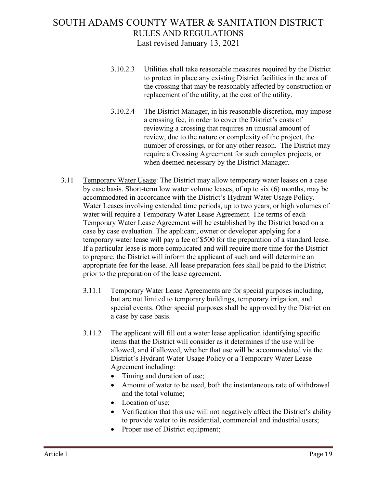- 3.10.2.3 Utilities shall take reasonable measures required by the District to protect in place any existing District facilities in the area of the crossing that may be reasonably affected by construction or replacement of the utility, at the cost of the utility.
- 3.10.2.4 The District Manager, in his reasonable discretion, may impose a crossing fee, in order to cover the District's costs of reviewing a crossing that requires an unusual amount of review, due to the nature or complexity of the project, the number of crossings, or for any other reason. The District may require a Crossing Agreement for such complex projects, or when deemed necessary by the District Manager.
- 3.11 Temporary Water Usage: The District may allow temporary water leases on a case by case basis. Short-term low water volume leases, of up to six (6) months, may be accommodated in accordance with the District's Hydrant Water Usage Policy. Water Leases involving extended time periods, up to two years, or high volumes of water will require a Temporary Water Lease Agreement. The terms of each Temporary Water Lease Agreement will be established by the District based on a case by case evaluation. The applicant, owner or developer applying for a temporary water lease will pay a fee of \$500 for the preparation of a standard lease. If a particular lease is more complicated and will require more time for the District to prepare, the District will inform the applicant of such and will determine an appropriate fee for the lease. All lease preparation fees shall be paid to the District prior to the preparation of the lease agreement.
	- 3.11.1 Temporary Water Lease Agreements are for special purposes including, but are not limited to temporary buildings, temporary irrigation, and special events. Other special purposes shall be approved by the District on a case by case basis.
	- 3.11.2 The applicant will fill out a water lease application identifying specific items that the District will consider as it determines if the use will be allowed, and if allowed, whether that use will be accommodated via the District's Hydrant Water Usage Policy or a Temporary Water Lease Agreement including:
		- Timing and duration of use;
		- Amount of water to be used, both the instantaneous rate of withdrawal and the total volume;
		- Location of use:
		- Verification that this use will not negatively affect the District's ability to provide water to its residential, commercial and industrial users;
		- Proper use of District equipment;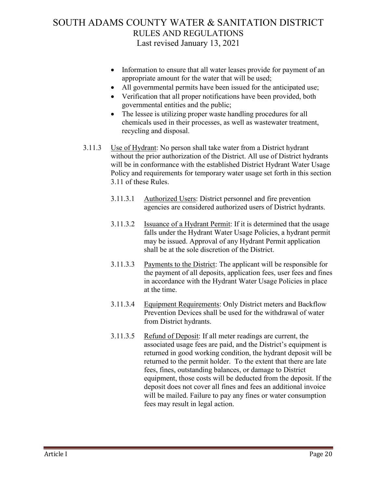- Information to ensure that all water leases provide for payment of an appropriate amount for the water that will be used;
- All governmental permits have been issued for the anticipated use;
- Verification that all proper notifications have been provided, both governmental entities and the public;
- The lessee is utilizing proper waste handling procedures for all chemicals used in their processes, as well as wastewater treatment, recycling and disposal.
- 3.11.3 Use of Hydrant: No person shall take water from a District hydrant without the prior authorization of the District. All use of District hydrants will be in conformance with the established District Hydrant Water Usage Policy and requirements for temporary water usage set forth in this section 3.11 of these Rules.
	- 3.11.3.1 Authorized Users: District personnel and fire prevention agencies are considered authorized users of District hydrants.
	- 3.11.3.2 Issuance of a Hydrant Permit: If it is determined that the usage falls under the Hydrant Water Usage Policies, a hydrant permit may be issued. Approval of any Hydrant Permit application shall be at the sole discretion of the District.
	- 3.11.3.3 Payments to the District: The applicant will be responsible for the payment of all deposits, application fees, user fees and fines in accordance with the Hydrant Water Usage Policies in place at the time.
	- 3.11.3.4 Equipment Requirements: Only District meters and Backflow Prevention Devices shall be used for the withdrawal of water from District hydrants.
	- 3.11.3.5 Refund of Deposit: If all meter readings are current, the associated usage fees are paid, and the District's equipment is returned in good working condition, the hydrant deposit will be returned to the permit holder. To the extent that there are late fees, fines, outstanding balances, or damage to District equipment, those costs will be deducted from the deposit. If the deposit does not cover all fines and fees an additional invoice will be mailed. Failure to pay any fines or water consumption fees may result in legal action.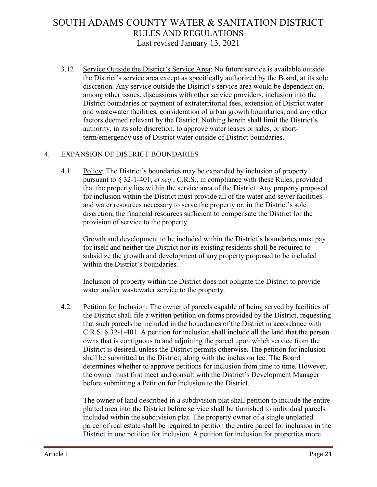3.12 Service Outside the District's Service Area: No future service is available outside the District's service area except as specifically authorized by the Board, at its sole discretion. Any service outside the District's service area would be dependent on, among other issues, discussions with other service providers, inclusion into the District boundaries or payment of extraterritorial fees, extension of District water and wastewater facilities, consideration of urban growth boundaries, and any other factors deemed relevant by the District. Nothing herein shall limit the District's authority, in its sole discretion, to approve water leases or sales, or shortterm/emergency use of District water outside of District boundaries.

#### 4. EXPANSION OF DISTRICT BOUNDARIES

4.1 Policy: The District's boundaries may be expanded by inclusion of property pursuant to § 32-1-401, *et seq.*, C.R.S., in compliance with these Rules, provided that the property lies within the service area of the District. Any property proposed for inclusion within the District must provide all of the water and sewer facilities and water resources necessary to serve the property or, in the District's sole discretion, the financial resources sufficient to compensate the District for the provision of service to the property.

Growth and development to be included within the District's boundaries must pay for itself and neither the District nor its existing residents shall be required to subsidize the growth and development of any property proposed to be included within the District's boundaries.

Inclusion of property within the District does not obligate the District to provide water and/or wastewater service to the property.

4.2 Petition for Inclusion: The owner of parcels capable of being served by facilities of the District shall file a written petition on forms provided by the District, requesting that such parcels be included in the boundaries of the District in accordance with C.R.S. § 32-1-401. A petition for inclusion shall include all the land that the person owns that is contiguous to and adjoining the parcel upon which service from the District is desired, unless the District permits otherwise. The petition for inclusion shall be submitted to the District; along with the inclusion fee. The Board determines whether to approve petitions for inclusion from time to time. However, the owner must first meet and consult with the District's Development Manager before submitting a Petition for Inclusion to the District.

The owner of land described in a subdivision plat shall petition to include the entire platted area into the District before service shall be furnished to individual parcels included within the subdivision plat. The property owner of a single unplatted parcel of real estate shall be required to petition the entire parcel for inclusion in the District in one petition for inclusion. A petition for inclusion for properties more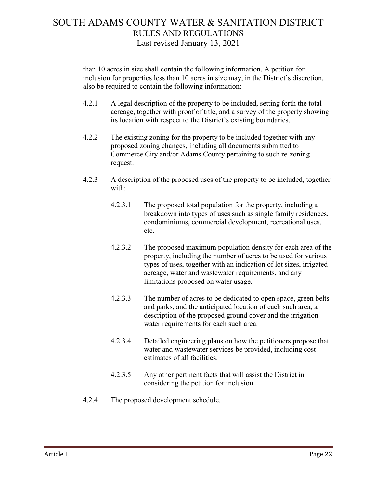than 10 acres in size shall contain the following information. A petition for inclusion for properties less than 10 acres in size may, in the District's discretion, also be required to contain the following information:

- 4.2.1 A legal description of the property to be included, setting forth the total acreage, together with proof of title, and a survey of the property showing its location with respect to the District's existing boundaries.
- 4.2.2 The existing zoning for the property to be included together with any proposed zoning changes, including all documents submitted to Commerce City and/or Adams County pertaining to such re-zoning request.
- 4.2.3 A description of the proposed uses of the property to be included, together with:
	- 4.2.3.1 The proposed total population for the property, including a breakdown into types of uses such as single family residences, condominiums, commercial development, recreational uses, etc.
	- 4.2.3.2 The proposed maximum population density for each area of the property, including the number of acres to be used for various types of uses, together with an indication of lot sizes, irrigated acreage, water and wastewater requirements, and any limitations proposed on water usage.
	- 4.2.3.3 The number of acres to be dedicated to open space, green belts and parks, and the anticipated location of each such area, a description of the proposed ground cover and the irrigation water requirements for each such area.
	- 4.2.3.4 Detailed engineering plans on how the petitioners propose that water and wastewater services be provided, including cost estimates of all facilities.
	- 4.2.3.5 Any other pertinent facts that will assist the District in considering the petition for inclusion.
- 4.2.4 The proposed development schedule.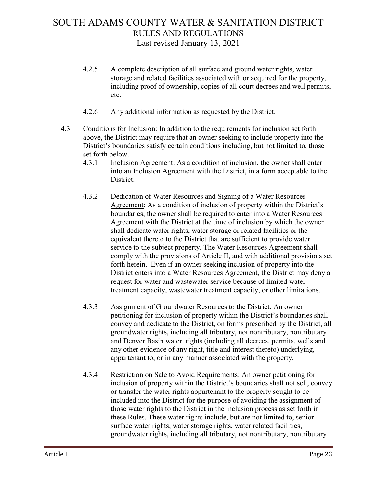- 4.2.5 A complete description of all surface and ground water rights, water storage and related facilities associated with or acquired for the property, including proof of ownership, copies of all court decrees and well permits, etc.
- 4.2.6 Any additional information as requested by the District.
- 4.3 Conditions for Inclusion: In addition to the requirements for inclusion set forth above, the District may require that an owner seeking to include property into the District's boundaries satisfy certain conditions including, but not limited to, those set forth below.
	- 4.3.1 Inclusion Agreement: As a condition of inclusion, the owner shall enter into an Inclusion Agreement with the District, in a form acceptable to the District.
	- 4.3.2 Dedication of Water Resources and Signing of a Water Resources Agreement: As a condition of inclusion of property within the District's boundaries, the owner shall be required to enter into a Water Resources Agreement with the District at the time of inclusion by which the owner shall dedicate water rights, water storage or related facilities or the equivalent thereto to the District that are sufficient to provide water service to the subject property. The Water Resources Agreement shall comply with the provisions of Article II, and with additional provisions set forth herein. Even if an owner seeking inclusion of property into the District enters into a Water Resources Agreement, the District may deny a request for water and wastewater service because of limited water treatment capacity, wastewater treatment capacity, or other limitations.
	- 4.3.3 Assignment of Groundwater Resources to the District: An owner petitioning for inclusion of property within the District's boundaries shall convey and dedicate to the District, on forms prescribed by the District, all groundwater rights, including all tributary, not nontributary, nontributary and Denver Basin water rights (including all decrees, permits, wells and any other evidence of any right, title and interest thereto) underlying, appurtenant to, or in any manner associated with the property.
	- 4.3.4 Restriction on Sale to Avoid Requirements: An owner petitioning for inclusion of property within the District's boundaries shall not sell, convey or transfer the water rights appurtenant to the property sought to be included into the District for the purpose of avoiding the assignment of those water rights to the District in the inclusion process as set forth in these Rules. These water rights include, but are not limited to, senior surface water rights, water storage rights, water related facilities, groundwater rights, including all tributary, not nontributary, nontributary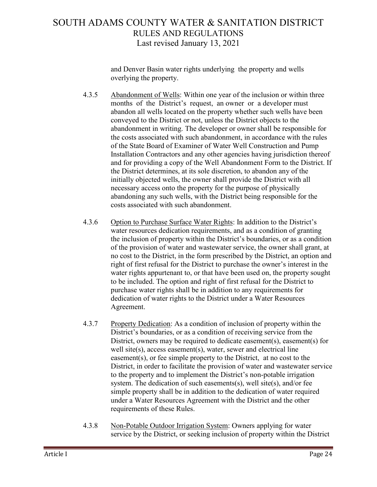and Denver Basin water rights underlying the property and wells overlying the property.

- 4.3.5 Abandonment of Wells: Within one year of the inclusion or within three months of the District's request, an owner or a developer must abandon all wells located on the property whether such wells have been conveyed to the District or not, unless the District objects to the abandonment in writing. The developer or owner shall be responsible for the costs associated with such abandonment, in accordance with the rules of the State Board of Examiner of Water Well Construction and Pump Installation Contractors and any other agencies having jurisdiction thereof and for providing a copy of the Well Abandonment Form to the District. If the District determines, at its sole discretion, to abandon any of the initially objected wells, the owner shall provide the District with all necessary access onto the property for the purpose of physically abandoning any such wells, with the District being responsible for the costs associated with such abandonment.
- 4.3.6 Option to Purchase Surface Water Rights: In addition to the District's water resources dedication requirements, and as a condition of granting the inclusion of property within the District's boundaries, or as a condition of the provision of water and wastewater service, the owner shall grant, at no cost to the District, in the form prescribed by the District, an option and right of first refusal for the District to purchase the owner's interest in the water rights appurtenant to, or that have been used on, the property sought to be included. The option and right of first refusal for the District to purchase water rights shall be in addition to any requirements for dedication of water rights to the District under a Water Resources Agreement.
- 4.3.7 Property Dedication: As a condition of inclusion of property within the District's boundaries, or as a condition of receiving service from the District, owners may be required to dedicate easement(s), easement(s) for well site(s), access easement(s), water, sewer and electrical line easement(s), or fee simple property to the District, at no cost to the District, in order to facilitate the provision of water and wastewater service to the property and to implement the District's non-potable irrigation system. The dedication of such easements(s), well site(s), and/or fee simple property shall be in addition to the dedication of water required under a Water Resources Agreement with the District and the other requirements of these Rules.
- 4.3.8 Non-Potable Outdoor Irrigation System: Owners applying for water service by the District, or seeking inclusion of property within the District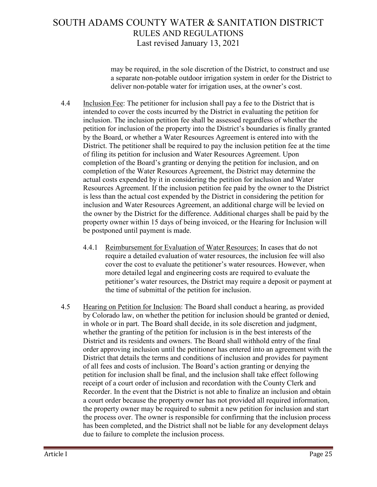may be required, in the sole discretion of the District, to construct and use a separate non-potable outdoor irrigation system in order for the District to deliver non-potable water for irrigation uses, at the owner's cost.

- 4.4 Inclusion Fee: The petitioner for inclusion shall pay a fee to the District that is intended to cover the costs incurred by the District in evaluating the petition for inclusion. The inclusion petition fee shall be assessed regardless of whether the petition for inclusion of the property into the District's boundaries is finally granted by the Board, or whether a Water Resources Agreement is entered into with the District. The petitioner shall be required to pay the inclusion petition fee at the time of filing its petition for inclusion and Water Resources Agreement. Upon completion of the Board's granting or denying the petition for inclusion, and on completion of the Water Resources Agreement, the District may determine the actual costs expended by it in considering the petition for inclusion and Water Resources Agreement. If the inclusion petition fee paid by the owner to the District is less than the actual cost expended by the District in considering the petition for inclusion and Water Resources Agreement, an additional charge will be levied on the owner by the District for the difference. Additional charges shall be paid by the property owner within 15 days of being invoiced, or the Hearing for Inclusion will be postponed until payment is made.
	- 4.4.1 Reimbursement for Evaluation of Water Resources: In cases that do not require a detailed evaluation of water resources, the inclusion fee will also cover the cost to evaluate the petitioner's water resources. However, when more detailed legal and engineering costs are required to evaluate the petitioner's water resources, the District may require a deposit or payment at the time of submittal of the petition for inclusion.
- 4.5 Hearing on Petition for Inclusion: The Board shall conduct a hearing, as provided by Colorado law, on whether the petition for inclusion should be granted or denied, in whole or in part. The Board shall decide, in its sole discretion and judgment, whether the granting of the petition for inclusion is in the best interests of the District and its residents and owners. The Board shall withhold entry of the final order approving inclusion until the petitioner has entered into an agreement with the District that details the terms and conditions of inclusion and provides for payment of all fees and costs of inclusion. The Board's action granting or denying the petition for inclusion shall be final, and the inclusion shall take effect following receipt of a court order of inclusion and recordation with the County Clerk and Recorder. In the event that the District is not able to finalize an inclusion and obtain a court order because the property owner has not provided all required information, the property owner may be required to submit a new petition for inclusion and start the process over. The owner is responsible for confirming that the inclusion process has been completed, and the District shall not be liable for any development delays due to failure to complete the inclusion process.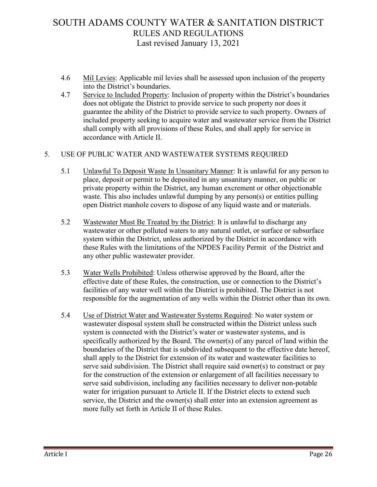- 4.6 Mil Levies: Applicable mil levies shall be assessed upon inclusion of the property into the District's boundaries.
- 4.7 Service to Included Property: Inclusion of property within the District's boundaries does not obligate the District to provide service to such property nor does it guarantee the ability of the District to provide service to such property. Owners of included property seeking to acquire water and wastewater service from the District shall comply with all provisions of these Rules, and shall apply for service in accordance with Article II.

#### 5. USE OF PUBLIC WATER AND WASTEWATER SYSTEMS REQUIRED

- 5.1 Unlawful To Deposit Waste In Unsanitary Manner: It is unlawful for any person to place, deposit or permit to be deposited in any unsanitary manner, on public or private property within the District, any human excrement or other objectionable waste. This also includes unlawful dumping by any person(s) or entities pulling open District manhole covers to dispose of any liquid waste and or materials.
- 5.2 Wastewater Must Be Treated by the District: It is unlawful to discharge any wastewater or other polluted waters to any natural outlet, or surface or subsurface system within the District, unless authorized by the District in accordance with these Rules with the limitations of the NPDES Facility Permit of the District and any other public wastewater provider.
- 5.3 Water Wells Prohibited: Unless otherwise approved by the Board, after the effective date of these Rules, the construction, use or connection to the District's facilities of any water well within the District is prohibited. The District is not responsible for the augmentation of any wells within the District other than its own.
- 5.4 Use of District Water and Wastewater Systems Required: No water system or wastewater disposal system shall be constructed within the District unless such system is connected with the District's water or wastewater systems, and is specifically authorized by the Board. The owner(s) of any parcel of land within the boundaries of the District that is subdivided subsequent to the effective date hereof, shall apply to the District for extension of its water and wastewater facilities to serve said subdivision. The District shall require said owner(s) to construct or pay for the construction of the extension or enlargement of all facilities necessary to serve said subdivision, including any facilities necessary to deliver non-potable water for irrigation pursuant to Article II. If the District elects to extend such service, the District and the owner(s) shall enter into an extension agreement as more fully set forth in Article II of these Rules.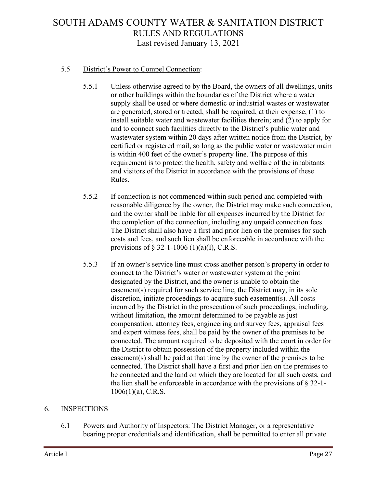#### 5.5 District's Power to Compel Connection:

- 5.5.1 Unless otherwise agreed to by the Board, the owners of all dwellings, units or other buildings within the boundaries of the District where a water supply shall be used or where domestic or industrial wastes or wastewater are generated, stored or treated, shall be required, at their expense, (1) to install suitable water and wastewater facilities therein; and (2) to apply for and to connect such facilities directly to the District's public water and wastewater system within 20 days after written notice from the District, by certified or registered mail, so long as the public water or wastewater main is within 400 feet of the owner's property line. The purpose of this requirement is to protect the health, safety and welfare of the inhabitants and visitors of the District in accordance with the provisions of these Rules.
- 5.5.2 If connection is not commenced within such period and completed with reasonable diligence by the owner, the District may make such connection, and the owner shall be liable for all expenses incurred by the District for the completion of the connection, including any unpaid connection fees. The District shall also have a first and prior lien on the premises for such costs and fees, and such lien shall be enforceable in accordance with the provisions of  $\S$  32-1-1006 (1)(a)(I), C.R.S.
- 5.5.3 If an owner's service line must cross another person's property in order to connect to the District's water or wastewater system at the point designated by the District, and the owner is unable to obtain the easement(s) required for such service line, the District may, in its sole discretion, initiate proceedings to acquire such easement(s). All costs incurred by the District in the prosecution of such proceedings, including, without limitation, the amount determined to be payable as just compensation, attorney fees, engineering and survey fees, appraisal fees and expert witness fees, shall be paid by the owner of the premises to be connected. The amount required to be deposited with the court in order for the District to obtain possession of the property included within the easement(s) shall be paid at that time by the owner of the premises to be connected. The District shall have a first and prior lien on the premises to be connected and the land on which they are located for all such costs, and the lien shall be enforceable in accordance with the provisions of § 32-1- 1006(1)(a), C.R.S.

#### 6. INSPECTIONS

6.1 Powers and Authority of Inspectors: The District Manager, or a representative bearing proper credentials and identification, shall be permitted to enter all private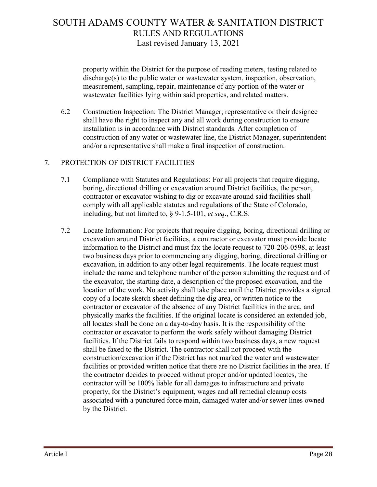property within the District for the purpose of reading meters, testing related to discharge(s) to the public water or wastewater system, inspection, observation, measurement, sampling, repair, maintenance of any portion of the water or wastewater facilities lying within said properties, and related matters.

6.2 Construction Inspection: The District Manager, representative or their designee shall have the right to inspect any and all work during construction to ensure installation is in accordance with District standards. After completion of construction of any water or wastewater line, the District Manager, superintendent and/or a representative shall make a final inspection of construction.

#### 7. PROTECTION OF DISTRICT FACILITIES

- 7.1 Compliance with Statutes and Regulations: For all projects that require digging, boring, directional drilling or excavation around District facilities, the person, contractor or excavator wishing to dig or excavate around said facilities shall comply with all applicable statutes and regulations of the State of Colorado, including, but not limited to, § 9-1.5-101, *et seq*., C.R.S.
- 7.2 Locate Information: For projects that require digging, boring, directional drilling or excavation around District facilities, a contractor or excavator must provide locate information to the District and must fax the locate request to 720-206-0598, at least two business days prior to commencing any digging, boring, directional drilling or excavation, in addition to any other legal requirements. The locate request must include the name and telephone number of the person submitting the request and of the excavator, the starting date, a description of the proposed excavation, and the location of the work. No activity shall take place until the District provides a signed copy of a locate sketch sheet defining the dig area, or written notice to the contractor or excavator of the absence of any District facilities in the area, and physically marks the facilities. If the original locate is considered an extended job, all locates shall be done on a day-to-day basis. It is the responsibility of the contractor or excavator to perform the work safely without damaging District facilities. If the District fails to respond within two business days, a new request shall be faxed to the District. The contractor shall not proceed with the construction/excavation if the District has not marked the water and wastewater facilities or provided written notice that there are no District facilities in the area. If the contractor decides to proceed without proper and/or updated locates, the contractor will be 100% liable for all damages to infrastructure and private property, for the District's equipment, wages and all remedial cleanup costs associated with a punctured force main, damaged water and/or sewer lines owned by the District.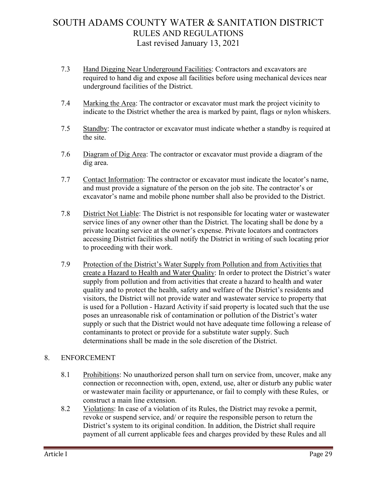- 7.3 Hand Digging Near Underground Facilities: Contractors and excavators are required to hand dig and expose all facilities before using mechanical devices near underground facilities of the District.
- 7.4 Marking the Area: The contractor or excavator must mark the project vicinity to indicate to the District whether the area is marked by paint, flags or nylon whiskers.
- 7.5 Standby: The contractor or excavator must indicate whether a standby is required at the site.
- 7.6 Diagram of Dig Area: The contractor or excavator must provide a diagram of the dig area.
- 7.7 Contact Information: The contractor or excavator must indicate the locator's name, and must provide a signature of the person on the job site. The contractor's or excavator's name and mobile phone number shall also be provided to the District.
- 7.8 District Not Liable: The District is not responsible for locating water or wastewater service lines of any owner other than the District. The locating shall be done by a private locating service at the owner's expense. Private locators and contractors accessing District facilities shall notify the District in writing of such locating prior to proceeding with their work.
- 7.9 Protection of the District's Water Supply from Pollution and from Activities that create a Hazard to Health and Water Quality: In order to protect the District's water supply from pollution and from activities that create a hazard to health and water quality and to protect the health, safety and welfare of the District's residents and visitors, the District will not provide water and wastewater service to property that is used for a Pollution - Hazard Activity if said property is located such that the use poses an unreasonable risk of contamination or pollution of the District's water supply or such that the District would not have adequate time following a release of contaminants to protect or provide for a substitute water supply. Such determinations shall be made in the sole discretion of the District.

#### 8. ENFORCEMENT

- 8.1 Prohibitions: No unauthorized person shall turn on service from, uncover, make any connection or reconnection with, open, extend, use, alter or disturb any public water or wastewater main facility or appurtenance, or fail to comply with these Rules, or construct a main line extension.
- 8.2 Violations: In case of a violation of its Rules, the District may revoke a permit, revoke or suspend service, and/ or require the responsible person to return the District's system to its original condition. In addition, the District shall require payment of all current applicable fees and charges provided by these Rules and all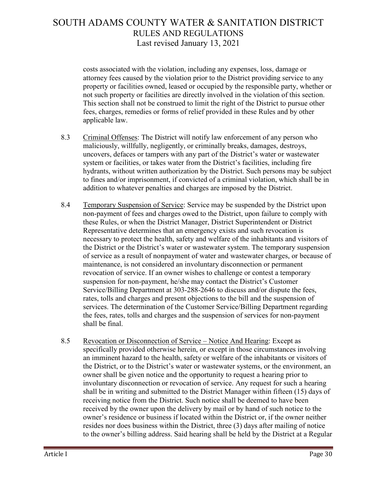costs associated with the violation, including any expenses, loss, damage or attorney fees caused by the violation prior to the District providing service to any property or facilities owned, leased or occupied by the responsible party, whether or not such property or facilities are directly involved in the violation of this section. This section shall not be construed to limit the right of the District to pursue other fees, charges, remedies or forms of relief provided in these Rules and by other applicable law.

- 8.3 Criminal Offenses: The District will notify law enforcement of any person who maliciously, willfully, negligently, or criminally breaks, damages, destroys, uncovers, defaces or tampers with any part of the District's water or wastewater system or facilities, or takes water from the District's facilities, including fire hydrants, without written authorization by the District. Such persons may be subject to fines and/or imprisonment, if convicted of a criminal violation, which shall be in addition to whatever penalties and charges are imposed by the District.
- 8.4 Temporary Suspension of Service: Service may be suspended by the District upon non-payment of fees and charges owed to the District, upon failure to comply with these Rules, or when the District Manager, District Superintendent or District Representative determines that an emergency exists and such revocation is necessary to protect the health, safety and welfare of the inhabitants and visitors of the District or the District's water or wastewater system. The temporary suspension of service as a result of nonpayment of water and wastewater charges, or because of maintenance, is not considered an involuntary disconnection or permanent revocation of service. If an owner wishes to challenge or contest a temporary suspension for non-payment, he/she may contact the District's Customer Service/Billing Department at 303-288-2646 to discuss and/or dispute the fees, rates, tolls and charges and present objections to the bill and the suspension of services. The determination of the Customer Service/Billing Department regarding the fees, rates, tolls and charges and the suspension of services for non-payment shall be final.
- 8.5 Revocation or Disconnection of Service Notice And Hearing: Except as specifically provided otherwise herein, or except in those circumstances involving an imminent hazard to the health, safety or welfare of the inhabitants or visitors of the District, or to the District's water or wastewater systems, or the environment, an owner shall be given notice and the opportunity to request a hearing prior to involuntary disconnection or revocation of service. Any request for such a hearing shall be in writing and submitted to the District Manager within fifteen (15) days of receiving notice from the District. Such notice shall be deemed to have been received by the owner upon the delivery by mail or by hand of such notice to the owner's residence or business if located within the District or, if the owner neither resides nor does business within the District, three (3) days after mailing of notice to the owner's billing address. Said hearing shall be held by the District at a Regular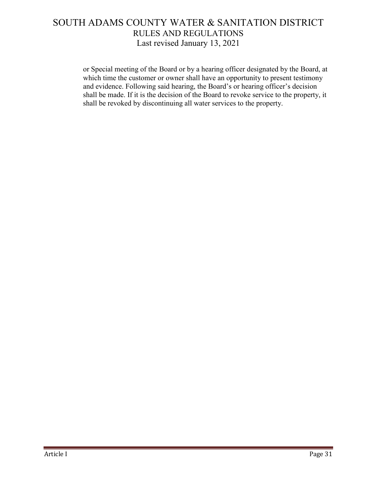or Special meeting of the Board or by a hearing officer designated by the Board, at which time the customer or owner shall have an opportunity to present testimony and evidence. Following said hearing, the Board's or hearing officer's decision shall be made. If it is the decision of the Board to revoke service to the property, it shall be revoked by discontinuing all water services to the property.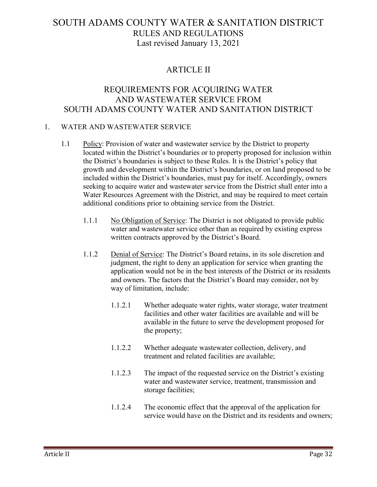#### ARTICLE II

#### REQUIREMENTS FOR ACQUIRING WATER AND WASTEWATER SERVICE FROM SOUTH ADAMS COUNTY WATER AND SANITATION DISTRICT

#### 1. WATER AND WASTEWATER SERVICE

- 1.1 Policy: Provision of water and wastewater service by the District to property located within the District's boundaries or to property proposed for inclusion within the District's boundaries is subject to these Rules. It is the District's policy that growth and development within the District's boundaries, or on land proposed to be included within the District's boundaries, must pay for itself. Accordingly, owners seeking to acquire water and wastewater service from the District shall enter into a Water Resources Agreement with the District, and may be required to meet certain additional conditions prior to obtaining service from the District.
	- 1.1.1 No Obligation of Service: The District is not obligated to provide public water and wastewater service other than as required by existing express written contracts approved by the District's Board.
	- 1.1.2 Denial of Service: The District's Board retains, in its sole discretion and judgment, the right to deny an application for service when granting the application would not be in the best interests of the District or its residents and owners. The factors that the District's Board may consider, not by way of limitation, include:
		- 1.1.2.1 Whether adequate water rights, water storage, water treatment facilities and other water facilities are available and will be available in the future to serve the development proposed for the property;
		- 1.1.2.2 Whether adequate wastewater collection, delivery, and treatment and related facilities are available;
		- 1.1.2.3 The impact of the requested service on the District's existing water and wastewater service, treatment, transmission and storage facilities;
		- 1.1.2.4 The economic effect that the approval of the application for service would have on the District and its residents and owners;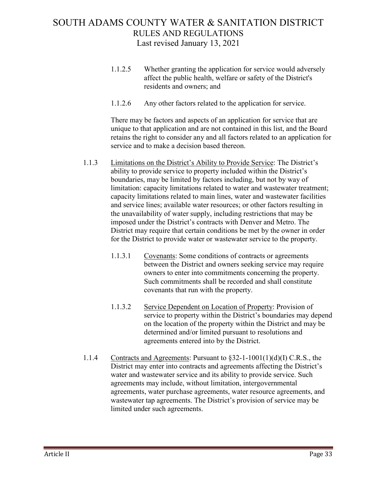- 1.1.2.5 Whether granting the application for service would adversely affect the public health, welfare or safety of the District's residents and owners; and
- 1.1.2.6 Any other factors related to the application for service.

There may be factors and aspects of an application for service that are unique to that application and are not contained in this list, and the Board retains the right to consider any and all factors related to an application for service and to make a decision based thereon.

- 1.1.3 Limitations on the District's Ability to Provide Service: The District's ability to provide service to property included within the District's boundaries, may be limited by factors including, but not by way of limitation: capacity limitations related to water and wastewater treatment; capacity limitations related to main lines, water and wastewater facilities and service lines; available water resources; or other factors resulting in the unavailability of water supply, including restrictions that may be imposed under the District's contracts with Denver and Metro. The District may require that certain conditions be met by the owner in order for the District to provide water or wastewater service to the property.
	- 1.1.3.1 Covenants: Some conditions of contracts or agreements between the District and owners seeking service may require owners to enter into commitments concerning the property. Such commitments shall be recorded and shall constitute covenants that run with the property.
	- 1.1.3.2 Service Dependent on Location of Property: Provision of service to property within the District's boundaries may depend on the location of the property within the District and may be determined and/or limited pursuant to resolutions and agreements entered into by the District.
- 1.1.4 Contracts and Agreements: Pursuant to §32-1-1001(1)(d)(I) C.R.S., the District may enter into contracts and agreements affecting the District's water and wastewater service and its ability to provide service. Such agreements may include, without limitation, intergovernmental agreements, water purchase agreements, water resource agreements, and wastewater tap agreements. The District's provision of service may be limited under such agreements.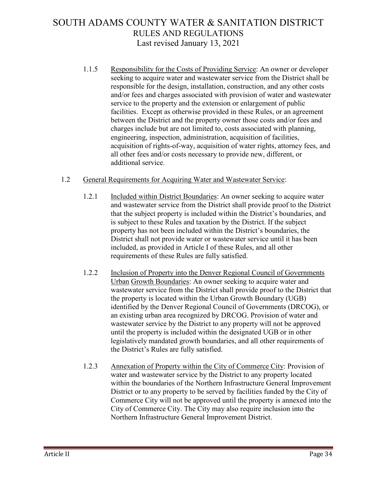1.1.5 Responsibility for the Costs of Providing Service: An owner or developer seeking to acquire water and wastewater service from the District shall be responsible for the design, installation, construction, and any other costs and/or fees and charges associated with provision of water and wastewater service to the property and the extension or enlargement of public facilities. Except as otherwise provided in these Rules, or an agreement between the District and the property owner those costs and/or fees and charges include but are not limited to, costs associated with planning, engineering, inspection, administration, acquisition of facilities, acquisition of rights-of-way, acquisition of water rights, attorney fees, and all other fees and/or costs necessary to provide new, different, or additional service.

#### 1.2 General Requirements for Acquiring Water and Wastewater Service:

- 1.2.1 Included within District Boundaries: An owner seeking to acquire water and wastewater service from the District shall provide proof to the District that the subject property is included within the District's boundaries, and is subject to these Rules and taxation by the District. If the subject property has not been included within the District's boundaries, the District shall not provide water or wastewater service until it has been included, as provided in Article I of these Rules, and all other requirements of these Rules are fully satisfied.
- 1.2.2 Inclusion of Property into the Denver Regional Council of Governments Urban Growth Boundaries: An owner seeking to acquire water and wastewater service from the District shall provide proof to the District that the property is located within the Urban Growth Boundary (UGB) identified by the Denver Regional Council of Governments (DRCOG), or an existing urban area recognized by DRCOG. Provision of water and wastewater service by the District to any property will not be approved until the property is included within the designated UGB or in other legislatively mandated growth boundaries, and all other requirements of the District's Rules are fully satisfied.
- 1.2.3 Annexation of Property within the City of Commerce City: Provision of water and wastewater service by the District to any property located within the boundaries of the Northern Infrastructure General Improvement District or to any property to be served by facilities funded by the City of Commerce City will not be approved until the property is annexed into the City of Commerce City. The City may also require inclusion into the Northern Infrastructure General Improvement District.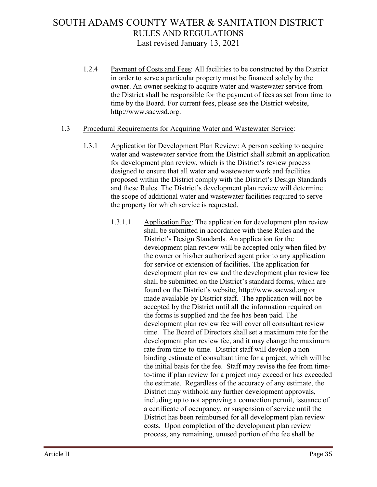1.2.4 Payment of Costs and Fees: All facilities to be constructed by the District in order to serve a particular property must be financed solely by the owner. An owner seeking to acquire water and wastewater service from the District shall be responsible for the payment of fees as set from time to time by the Board. For current fees, please see the District website, http://www.sacwsd.org.

#### 1.3 Procedural Requirements for Acquiring Water and Wastewater Service:

- 1.3.1 Application for Development Plan Review: A person seeking to acquire water and wastewater service from the District shall submit an application for development plan review, which is the District's review process designed to ensure that all water and wastewater work and facilities proposed within the District comply with the District's Design Standards and these Rules. The District's development plan review will determine the scope of additional water and wastewater facilities required to serve the property for which service is requested.
	- 1.3.1.1 Application Fee: The application for development plan review shall be submitted in accordance with these Rules and the District's Design Standards. An application for the development plan review will be accepted only when filed by the owner or his/her authorized agent prior to any application for service or extension of facilities. The application for development plan review and the development plan review fee shall be submitted on the District's standard forms, which are found on the District's website, http://www.sacwsd.org or made available by District staff. The application will not be accepted by the District until all the information required on the forms is supplied and the fee has been paid. The development plan review fee will cover all consultant review time. The Board of Directors shall set a maximum rate for the development plan review fee, and it may change the maximum rate from time-to-time. District staff will develop a nonbinding estimate of consultant time for a project, which will be the initial basis for the fee. Staff may revise the fee from timeto-time if plan review for a project may exceed or has exceeded the estimate. Regardless of the accuracy of any estimate, the District may withhold any further development approvals, including up to not approving a connection permit, issuance of a certificate of occupancy, or suspension of service until the District has been reimbursed for all development plan review costs. Upon completion of the development plan review process, any remaining, unused portion of the fee shall be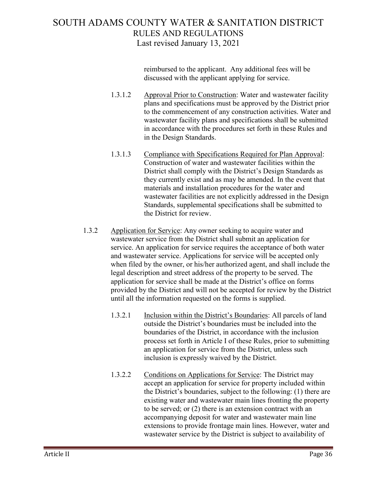reimbursed to the applicant. Any additional fees will be discussed with the applicant applying for service.

- 1.3.1.2 Approval Prior to Construction: Water and wastewater facility plans and specifications must be approved by the District prior to the commencement of any construction activities. Water and wastewater facility plans and specifications shall be submitted in accordance with the procedures set forth in these Rules and in the Design Standards.
- 1.3.1.3 Compliance with Specifications Required for Plan Approval: Construction of water and wastewater facilities within the District shall comply with the District's Design Standards as they currently exist and as may be amended. In the event that materials and installation procedures for the water and wastewater facilities are not explicitly addressed in the Design Standards, supplemental specifications shall be submitted to the District for review.
- 1.3.2 Application for Service: Any owner seeking to acquire water and wastewater service from the District shall submit an application for service. An application for service requires the acceptance of both water and wastewater service. Applications for service will be accepted only when filed by the owner, or his/her authorized agent, and shall include the legal description and street address of the property to be served. The application for service shall be made at the District's office on forms provided by the District and will not be accepted for review by the District until all the information requested on the forms is supplied.
	- 1.3.2.1 Inclusion within the District's Boundaries: All parcels of land outside the District's boundaries must be included into the boundaries of the District, in accordance with the inclusion process set forth in Article I of these Rules, prior to submitting an application for service from the District, unless such inclusion is expressly waived by the District.
	- 1.3.2.2 Conditions on Applications for Service: The District may accept an application for service for property included within the District's boundaries, subject to the following: (1) there are existing water and wastewater main lines fronting the property to be served; or (2) there is an extension contract with an accompanying deposit for water and wastewater main line extensions to provide frontage main lines. However, water and wastewater service by the District is subject to availability of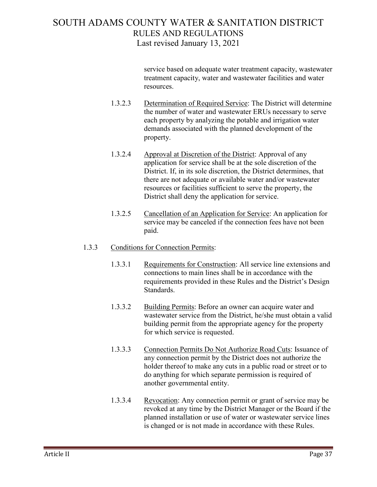service based on adequate water treatment capacity, wastewater treatment capacity, water and wastewater facilities and water resources.

- 1.3.2.3 Determination of Required Service: The District will determine the number of water and wastewater ERUs necessary to serve each property by analyzing the potable and irrigation water demands associated with the planned development of the property.
- 1.3.2.4 Approval at Discretion of the District: Approval of any application for service shall be at the sole discretion of the District. If, in its sole discretion, the District determines, that there are not adequate or available water and/or wastewater resources or facilities sufficient to serve the property, the District shall deny the application for service.
- 1.3.2.5 Cancellation of an Application for Service: An application for service may be canceled if the connection fees have not been paid.

#### 1.3.3 Conditions for Connection Permits:

- 1.3.3.1 Requirements for Construction: All service line extensions and connections to main lines shall be in accordance with the requirements provided in these Rules and the District's Design Standards.
- 1.3.3.2 Building Permits: Before an owner can acquire water and wastewater service from the District, he/she must obtain a valid building permit from the appropriate agency for the property for which service is requested.
- 1.3.3.3 Connection Permits Do Not Authorize Road Cuts: Issuance of any connection permit by the District does not authorize the holder thereof to make any cuts in a public road or street or to do anything for which separate permission is required of another governmental entity.
- 1.3.3.4 Revocation: Any connection permit or grant of service may be revoked at any time by the District Manager or the Board if the planned installation or use of water or wastewater service lines is changed or is not made in accordance with these Rules.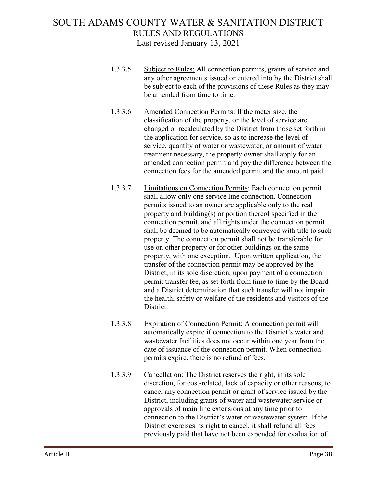- 1.3.3.5 Subject to Rules: All connection permits, grants of service and any other agreements issued or entered into by the District shall be subject to each of the provisions of these Rules as they may be amended from time to time.
- 1.3.3.6 Amended Connection Permits: If the meter size, the classification of the property, or the level of service are changed or recalculated by the District from those set forth in the application for service, so as to increase the level of service, quantity of water or wastewater, or amount of water treatment necessary, the property owner shall apply for an amended connection permit and pay the difference between the connection fees for the amended permit and the amount paid.
- 1.3.3.7 Limitations on Connection Permits: Each connection permit shall allow only one service line connection. Connection permits issued to an owner are applicable only to the real property and building(s) or portion thereof specified in the connection permit, and all rights under the connection permit shall be deemed to be automatically conveyed with title to such property. The connection permit shall not be transferable for use on other property or for other buildings on the same property, with one exception. Upon written application, the transfer of the connection permit may be approved by the District, in its sole discretion, upon payment of a connection permit transfer fee, as set forth from time to time by the Board and a District determination that such transfer will not impair the health, safety or welfare of the residents and visitors of the District.
- 1.3.3.8 Expiration of Connection Permit: A connection permit will automatically expire if connection to the District's water and wastewater facilities does not occur within one year from the date of issuance of the connection permit. When connection permits expire, there is no refund of fees.
- 1.3.3.9 Cancellation: The District reserves the right, in its sole discretion, for cost-related, lack of capacity or other reasons, to cancel any connection permit or grant of service issued by the District, including grants of water and wastewater service or approvals of main line extensions at any time prior to connection to the District's water or wastewater system. If the District exercises its right to cancel, it shall refund all fees previously paid that have not been expended for evaluation of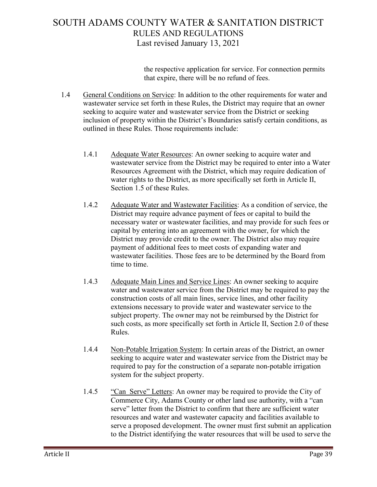the respective application for service. For connection permits that expire, there will be no refund of fees.

- 1.4 General Conditions on Service: In addition to the other requirements for water and wastewater service set forth in these Rules, the District may require that an owner seeking to acquire water and wastewater service from the District or seeking inclusion of property within the District's Boundaries satisfy certain conditions, as outlined in these Rules. Those requirements include:
	- 1.4.1 Adequate Water Resources: An owner seeking to acquire water and wastewater service from the District may be required to enter into a Water Resources Agreement with the District, which may require dedication of water rights to the District, as more specifically set forth in Article II, Section 1.5 of these Rules.
	- 1.4.2 Adequate Water and Wastewater Facilities: As a condition of service, the District may require advance payment of fees or capital to build the necessary water or wastewater facilities, and may provide for such fees or capital by entering into an agreement with the owner, for which the District may provide credit to the owner. The District also may require payment of additional fees to meet costs of expanding water and wastewater facilities. Those fees are to be determined by the Board from time to time.
	- 1.4.3 Adequate Main Lines and Service Lines: An owner seeking to acquire water and wastewater service from the District may be required to pay the construction costs of all main lines, service lines, and other facility extensions necessary to provide water and wastewater service to the subject property. The owner may not be reimbursed by the District for such costs, as more specifically set forth in Article II, Section 2.0 of these Rules.
	- 1.4.4 Non-Potable Irrigation System: In certain areas of the District, an owner seeking to acquire water and wastewater service from the District may be required to pay for the construction of a separate non-potable irrigation system for the subject property.
	- 1.4.5 "Can Serve" Letters: An owner may be required to provide the City of Commerce City, Adams County or other land use authority, with a "can serve" letter from the District to confirm that there are sufficient water resources and water and wastewater capacity and facilities available to serve a proposed development. The owner must first submit an application to the District identifying the water resources that will be used to serve the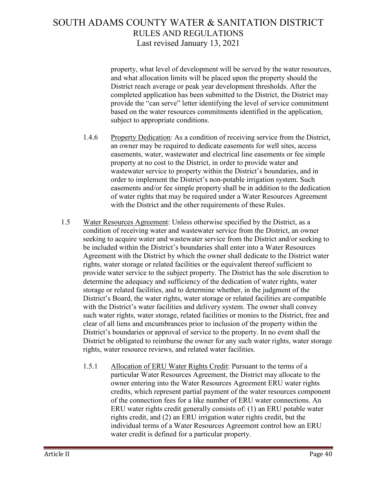property, what level of development will be served by the water resources, and what allocation limits will be placed upon the property should the District reach average or peak year development thresholds. After the completed application has been submitted to the District, the District may provide the "can serve" letter identifying the level of service commitment based on the water resources commitments identified in the application, subject to appropriate conditions.

- 1.4.6 Property Dedication: As a condition of receiving service from the District, an owner may be required to dedicate easements for well sites, access easements, water, wastewater and electrical line easements or fee simple property at no cost to the District, in order to provide water and wastewater service to property within the District's boundaries, and in order to implement the District's non-potable irrigation system. Such easements and/or fee simple property shall be in addition to the dedication of water rights that may be required under a Water Resources Agreement with the District and the other requirements of these Rules.
- 1.5 Water Resources Agreement: Unless otherwise specified by the District, as a condition of receiving water and wastewater service from the District, an owner seeking to acquire water and wastewater service from the District and/or seeking to be included within the District's boundaries shall enter into a Water Resources Agreement with the District by which the owner shall dedicate to the District water rights, water storage or related facilities or the equivalent thereof sufficient to provide water service to the subject property. The District has the sole discretion to determine the adequacy and sufficiency of the dedication of water rights, water storage or related facilities, and to determine whether, in the judgment of the District's Board, the water rights, water storage or related facilities are compatible with the District's water facilities and delivery system. The owner shall convey such water rights, water storage, related facilities or monies to the District, free and clear of all liens and encumbrances prior to inclusion of the property within the District's boundaries or approval of service to the property. In no event shall the District be obligated to reimburse the owner for any such water rights, water storage rights, water resource reviews, and related water facilities.
	- 1.5.1 Allocation of ERU Water Rights Credit: Pursuant to the terms of a particular Water Resources Agreement, the District may allocate to the owner entering into the Water Resources Agreement ERU water rights credits, which represent partial payment of the water resources component of the connection fees for a like number of ERU water connections. An ERU water rights credit generally consists of: (1) an ERU potable water rights credit, and (2) an ERU irrigation water rights credit, but the individual terms of a Water Resources Agreement control how an ERU water credit is defined for a particular property.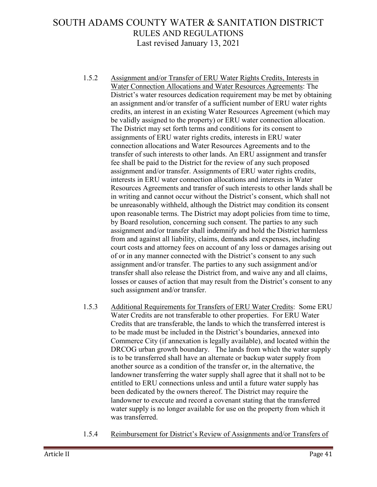- 1.5.2 Assignment and/or Transfer of ERU Water Rights Credits, Interests in Water Connection Allocations and Water Resources Agreements: The District's water resources dedication requirement may be met by obtaining an assignment and/or transfer of a sufficient number of ERU water rights credits, an interest in an existing Water Resources Agreement (which may be validly assigned to the property) or ERU water connection allocation. The District may set forth terms and conditions for its consent to assignments of ERU water rights credits, interests in ERU water connection allocations and Water Resources Agreements and to the transfer of such interests to other lands. An ERU assignment and transfer fee shall be paid to the District for the review of any such proposed assignment and/or transfer. Assignments of ERU water rights credits, interests in ERU water connection allocations and interests in Water Resources Agreements and transfer of such interests to other lands shall be in writing and cannot occur without the District's consent, which shall not be unreasonably withheld, although the District may condition its consent upon reasonable terms. The District may adopt policies from time to time, by Board resolution, concerning such consent. The parties to any such assignment and/or transfer shall indemnify and hold the District harmless from and against all liability, claims, demands and expenses, including court costs and attorney fees on account of any loss or damages arising out of or in any manner connected with the District's consent to any such assignment and/or transfer. The parties to any such assignment and/or transfer shall also release the District from, and waive any and all claims, losses or causes of action that may result from the District's consent to any such assignment and/or transfer.
- 1.5.3 Additional Requirements for Transfers of ERU Water Credits: Some ERU Water Credits are not transferable to other properties. For ERU Water Credits that are transferable, the lands to which the transferred interest is to be made must be included in the District's boundaries, annexed into Commerce City (if annexation is legally available), and located within the DRCOG urban growth boundary. The lands from which the water supply is to be transferred shall have an alternate or backup water supply from another source as a condition of the transfer or, in the alternative, the landowner transferring the water supply shall agree that it shall not to be entitled to ERU connections unless and until a future water supply has been dedicated by the owners thereof. The District may require the landowner to execute and record a covenant stating that the transferred water supply is no longer available for use on the property from which it was transferred.
- 1.5.4 Reimbursement for District's Review of Assignments and/or Transfers of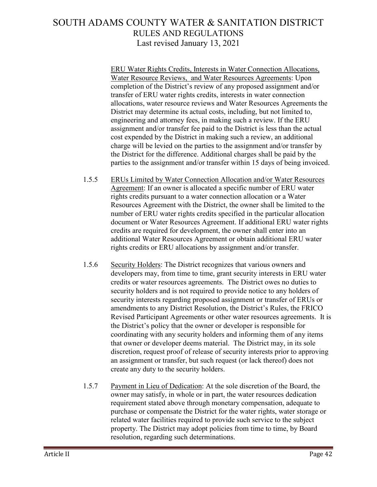ERU Water Rights Credits, Interests in Water Connection Allocations, Water Resource Reviews, and Water Resources Agreements: Upon completion of the District's review of any proposed assignment and/or transfer of ERU water rights credits, interests in water connection allocations, water resource reviews and Water Resources Agreements the District may determine its actual costs, including, but not limited to, engineering and attorney fees, in making such a review. If the ERU assignment and/or transfer fee paid to the District is less than the actual cost expended by the District in making such a review, an additional charge will be levied on the parties to the assignment and/or transfer by the District for the difference. Additional charges shall be paid by the parties to the assignment and/or transfer within 15 days of being invoiced.

- 1.5.5 ERUs Limited by Water Connection Allocation and/or Water Resources Agreement: If an owner is allocated a specific number of ERU water rights credits pursuant to a water connection allocation or a Water Resources Agreement with the District, the owner shall be limited to the number of ERU water rights credits specified in the particular allocation document or Water Resources Agreement. If additional ERU water rights credits are required for development, the owner shall enter into an additional Water Resources Agreement or obtain additional ERU water rights credits or ERU allocations by assignment and/or transfer.
- 1.5.6 Security Holders: The District recognizes that various owners and developers may, from time to time, grant security interests in ERU water credits or water resources agreements. The District owes no duties to security holders and is not required to provide notice to any holders of security interests regarding proposed assignment or transfer of ERUs or amendments to any District Resolution, the District's Rules, the FRICO Revised Participant Agreements or other water resources agreements. It is the District's policy that the owner or developer is responsible for coordinating with any security holders and informing them of any items that owner or developer deems material. The District may, in its sole discretion, request proof of release of security interests prior to approving an assignment or transfer, but such request (or lack thereof) does not create any duty to the security holders.
- 1.5.7 Payment in Lieu of Dedication: At the sole discretion of the Board, the owner may satisfy, in whole or in part, the water resources dedication requirement stated above through monetary compensation, adequate to purchase or compensate the District for the water rights, water storage or related water facilities required to provide such service to the subject property. The District may adopt policies from time to time, by Board resolution, regarding such determinations.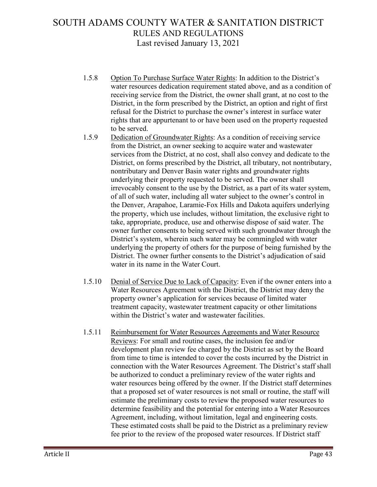- 1.5.8 Option To Purchase Surface Water Rights: In addition to the District's water resources dedication requirement stated above, and as a condition of receiving service from the District, the owner shall grant, at no cost to the District, in the form prescribed by the District, an option and right of first refusal for the District to purchase the owner's interest in surface water rights that are appurtenant to or have been used on the property requested to be served.
- 1.5.9 Dedication of Groundwater Rights: As a condition of receiving service from the District, an owner seeking to acquire water and wastewater services from the District, at no cost, shall also convey and dedicate to the District, on forms prescribed by the District, all tributary, not nontributary, nontributary and Denver Basin water rights and groundwater rights underlying their property requested to be served. The owner shall irrevocably consent to the use by the District, as a part of its water system, of all of such water, including all water subject to the owner's control in the Denver, Arapahoe, Laramie-Fox Hills and Dakota aquifers underlying the property, which use includes, without limitation, the exclusive right to take, appropriate, produce, use and otherwise dispose of said water. The owner further consents to being served with such groundwater through the District's system, wherein such water may be commingled with water underlying the property of others for the purpose of being furnished by the District. The owner further consents to the District's adjudication of said water in its name in the Water Court.
- 1.5.10 Denial of Service Due to Lack of Capacity: Even if the owner enters into a Water Resources Agreement with the District, the District may deny the property owner's application for services because of limited water treatment capacity, wastewater treatment capacity or other limitations within the District's water and wastewater facilities.
- 1.5.11 Reimbursement for Water Resources Agreements and Water Resource Reviews: For small and routine cases, the inclusion fee and/or development plan review fee charged by the District as set by the Board from time to time is intended to cover the costs incurred by the District in connection with the Water Resources Agreement. The District's staff shall be authorized to conduct a preliminary review of the water rights and water resources being offered by the owner. If the District staff determines that a proposed set of water resources is not small or routine, the staff will estimate the preliminary costs to review the proposed water resources to determine feasibility and the potential for entering into a Water Resources Agreement, including, without limitation, legal and engineering costs. These estimated costs shall be paid to the District as a preliminary review fee prior to the review of the proposed water resources. If District staff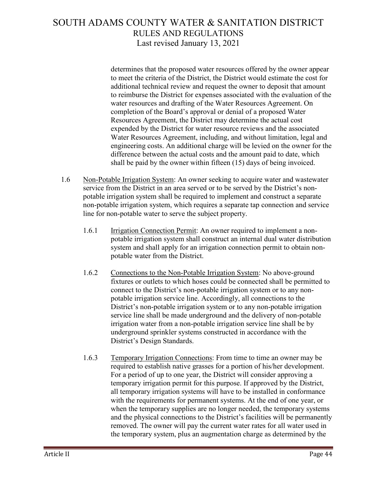determines that the proposed water resources offered by the owner appear to meet the criteria of the District, the District would estimate the cost for additional technical review and request the owner to deposit that amount to reimburse the District for expenses associated with the evaluation of the water resources and drafting of the Water Resources Agreement. On completion of the Board's approval or denial of a proposed Water Resources Agreement, the District may determine the actual cost expended by the District for water resource reviews and the associated Water Resources Agreement, including, and without limitation, legal and engineering costs. An additional charge will be levied on the owner for the difference between the actual costs and the amount paid to date, which shall be paid by the owner within fifteen (15) days of being invoiced.

- 1.6 Non-Potable Irrigation System: An owner seeking to acquire water and wastewater service from the District in an area served or to be served by the District's nonpotable irrigation system shall be required to implement and construct a separate non-potable irrigation system, which requires a separate tap connection and service line for non-potable water to serve the subject property.
	- 1.6.1 Irrigation Connection Permit: An owner required to implement a nonpotable irrigation system shall construct an internal dual water distribution system and shall apply for an irrigation connection permit to obtain nonpotable water from the District.
	- 1.6.2 Connections to the Non-Potable Irrigation System: No above-ground fixtures or outlets to which hoses could be connected shall be permitted to connect to the District's non-potable irrigation system or to any nonpotable irrigation service line. Accordingly, all connections to the District's non-potable irrigation system or to any non-potable irrigation service line shall be made underground and the delivery of non-potable irrigation water from a non-potable irrigation service line shall be by underground sprinkler systems constructed in accordance with the District's Design Standards.
	- 1.6.3 Temporary Irrigation Connections: From time to time an owner may be required to establish native grasses for a portion of his/her development. For a period of up to one year, the District will consider approving a temporary irrigation permit for this purpose. If approved by the District, all temporary irrigation systems will have to be installed in conformance with the requirements for permanent systems. At the end of one year, or when the temporary supplies are no longer needed, the temporary systems and the physical connections to the District's facilities will be permanently removed. The owner will pay the current water rates for all water used in the temporary system, plus an augmentation charge as determined by the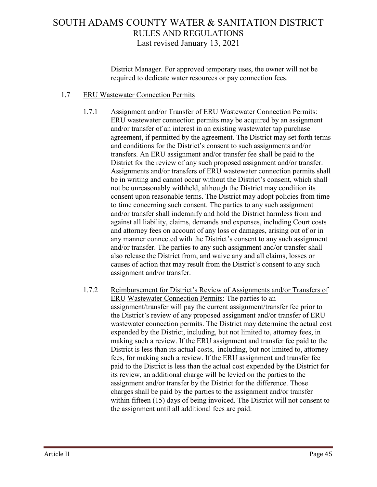District Manager. For approved temporary uses, the owner will not be required to dedicate water resources or pay connection fees.

#### 1.7 ERU Wastewater Connection Permits

- 1.7.1 Assignment and/or Transfer of ERU Wastewater Connection Permits: ERU wastewater connection permits may be acquired by an assignment and/or transfer of an interest in an existing wastewater tap purchase agreement, if permitted by the agreement. The District may set forth terms and conditions for the District's consent to such assignments and/or transfers. An ERU assignment and/or transfer fee shall be paid to the District for the review of any such proposed assignment and/or transfer. Assignments and/or transfers of ERU wastewater connection permits shall be in writing and cannot occur without the District's consent, which shall not be unreasonably withheld, although the District may condition its consent upon reasonable terms. The District may adopt policies from time to time concerning such consent. The parties to any such assignment and/or transfer shall indemnify and hold the District harmless from and against all liability, claims, demands and expenses, including Court costs and attorney fees on account of any loss or damages, arising out of or in any manner connected with the District's consent to any such assignment and/or transfer. The parties to any such assignment and/or transfer shall also release the District from, and waive any and all claims, losses or causes of action that may result from the District's consent to any such assignment and/or transfer.
- 1.7.2 Reimbursement for District's Review of Assignments and/or Transfers of ERU Wastewater Connection Permits: The parties to an assignment/transfer will pay the current assignment/transfer fee prior to the District's review of any proposed assignment and/or transfer of ERU wastewater connection permits. The District may determine the actual cost expended by the District, including, but not limited to, attorney fees, in making such a review. If the ERU assignment and transfer fee paid to the District is less than its actual costs, including, but not limited to, attorney fees, for making such a review. If the ERU assignment and transfer fee paid to the District is less than the actual cost expended by the District for its review, an additional charge will be levied on the parties to the assignment and/or transfer by the District for the difference. Those charges shall be paid by the parties to the assignment and/or transfer within fifteen (15) days of being invoiced. The District will not consent to the assignment until all additional fees are paid.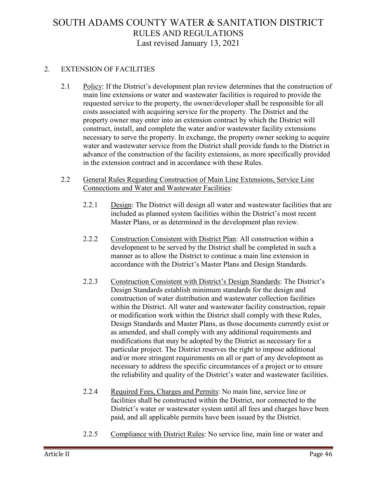#### 2. EXTENSION OF FACILITIES

2.1 Policy: If the District's development plan review determines that the construction of main line extensions or water and wastewater facilities is required to provide the requested service to the property, the owner/developer shall be responsible for all costs associated with acquiring service for the property. The District and the property owner may enter into an extension contract by which the District will construct, install, and complete the water and/or wastewater facility extensions necessary to serve the property. In exchange, the property owner seeking to acquire water and wastewater service from the District shall provide funds to the District in advance of the construction of the facility extensions, as more specifically provided in the extension contract and in accordance with these Rules.

#### 2.2 General Rules Regarding Construction of Main Line Extensions, Service Line Connections and Water and Wastewater Facilities:

- 2.2.1 Design: The District will design all water and wastewater facilities that are included as planned system facilities within the District's most recent Master Plans, or as determined in the development plan review.
- 2.2.2 Construction Consistent with District Plan: All construction within a development to be served by the District shall be completed in such a manner as to allow the District to continue a main line extension in accordance with the District's Master Plans and Design Standards.
- 2.2.3 Construction Consistent with District's Design Standards: The District's Design Standards establish minimum standards for the design and construction of water distribution and wastewater collection facilities within the District. All water and wastewater facility construction, repair or modification work within the District shall comply with these Rules, Design Standards and Master Plans, as those documents currently exist or as amended, and shall comply with any additional requirements and modifications that may be adopted by the District as necessary for a particular project. The District reserves the right to impose additional and/or more stringent requirements on all or part of any development as necessary to address the specific circumstances of a project or to ensure the reliability and quality of the District's water and wastewater facilities.
- 2.2.4 Required Fees, Charges and Permits: No main line, service line or facilities shall be constructed within the District, nor connected to the District's water or wastewater system until all fees and charges have been paid, and all applicable permits have been issued by the District.
- 2.2.5 Compliance with District Rules: No service line, main line or water and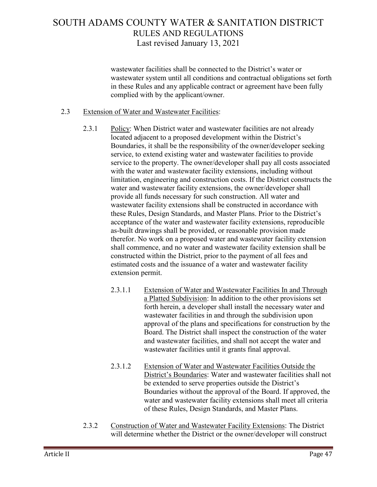wastewater facilities shall be connected to the District's water or wastewater system until all conditions and contractual obligations set forth in these Rules and any applicable contract or agreement have been fully complied with by the applicant/owner.

#### 2.3 Extension of Water and Wastewater Facilities:

- 2.3.1 Policy: When District water and wastewater facilities are not already located adjacent to a proposed development within the District's Boundaries, it shall be the responsibility of the owner/developer seeking service, to extend existing water and wastewater facilities to provide service to the property. The owner/developer shall pay all costs associated with the water and wastewater facility extensions, including without limitation, engineering and construction costs. If the District constructs the water and wastewater facility extensions, the owner/developer shall provide all funds necessary for such construction. All water and wastewater facility extensions shall be constructed in accordance with these Rules, Design Standards, and Master Plans. Prior to the District's acceptance of the water and wastewater facility extensions, reproducible as-built drawings shall be provided, or reasonable provision made therefor. No work on a proposed water and wastewater facility extension shall commence, and no water and wastewater facility extension shall be constructed within the District, prior to the payment of all fees and estimated costs and the issuance of a water and wastewater facility extension permit.
	- 2.3.1.1 Extension of Water and Wastewater Facilities In and Through a Platted Subdivision: In addition to the other provisions set forth herein, a developer shall install the necessary water and wastewater facilities in and through the subdivision upon approval of the plans and specifications for construction by the Board. The District shall inspect the construction of the water and wastewater facilities, and shall not accept the water and wastewater facilities until it grants final approval.
	- 2.3.1.2 Extension of Water and Wastewater Facilities Outside the District's Boundaries: Water and wastewater facilities shall not be extended to serve properties outside the District's Boundaries without the approval of the Board. If approved, the water and wastewater facility extensions shall meet all criteria of these Rules, Design Standards, and Master Plans.
- 2.3.2 Construction of Water and Wastewater Facility Extensions: The District will determine whether the District or the owner/developer will construct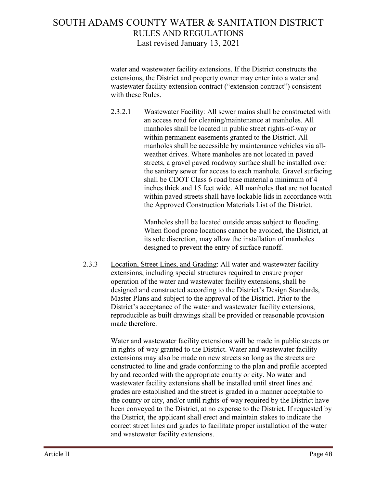water and wastewater facility extensions. If the District constructs the extensions, the District and property owner may enter into a water and wastewater facility extension contract ("extension contract") consistent with these Rules.

2.3.2.1 Wastewater Facility: All sewer mains shall be constructed with an access road for cleaning/maintenance at manholes. All manholes shall be located in public street rights-of-way or within permanent easements granted to the District. All manholes shall be accessible by maintenance vehicles via allweather drives. Where manholes are not located in paved streets, a gravel paved roadway surface shall be installed over the sanitary sewer for access to each manhole. Gravel surfacing shall be CDOT Class 6 road base material a minimum of 4 inches thick and 15 feet wide. All manholes that are not located within paved streets shall have lockable lids in accordance with the Approved Construction Materials List of the District.

> Manholes shall be located outside areas subject to flooding. When flood prone locations cannot be avoided, the District, at its sole discretion, may allow the installation of manholes designed to prevent the entry of surface runoff.

2.3.3 Location, Street Lines, and Grading: All water and wastewater facility extensions, including special structures required to ensure proper operation of the water and wastewater facility extensions, shall be designed and constructed according to the District's Design Standards, Master Plans and subject to the approval of the District. Prior to the District's acceptance of the water and wastewater facility extensions, reproducible as built drawings shall be provided or reasonable provision made therefore.

> Water and wastewater facility extensions will be made in public streets or in rights-of-way granted to the District. Water and wastewater facility extensions may also be made on new streets so long as the streets are constructed to line and grade conforming to the plan and profile accepted by and recorded with the appropriate county or city. No water and wastewater facility extensions shall be installed until street lines and grades are established and the street is graded in a manner acceptable to the county or city, and/or until rights-of-way required by the District have been conveyed to the District, at no expense to the District. If requested by the District, the applicant shall erect and maintain stakes to indicate the correct street lines and grades to facilitate proper installation of the water and wastewater facility extensions.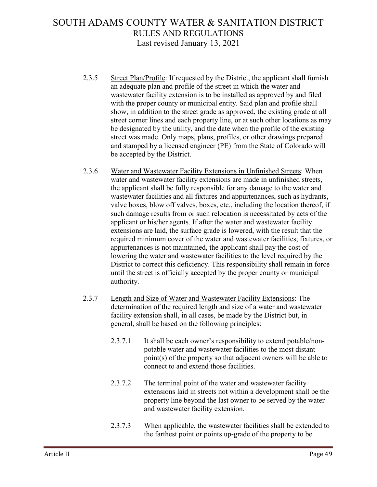- 2.3.5 Street Plan/Profile: If requested by the District, the applicant shall furnish an adequate plan and profile of the street in which the water and wastewater facility extension is to be installed as approved by and filed with the proper county or municipal entity. Said plan and profile shall show, in addition to the street grade as approved, the existing grade at all street corner lines and each property line, or at such other locations as may be designated by the utility, and the date when the profile of the existing street was made. Only maps, plans, profiles, or other drawings prepared and stamped by a licensed engineer (PE) from the State of Colorado will be accepted by the District.
- 2.3.6 Water and Wastewater Facility Extensions in Unfinished Streets: When water and wastewater facility extensions are made in unfinished streets, the applicant shall be fully responsible for any damage to the water and wastewater facilities and all fixtures and appurtenances, such as hydrants, valve boxes, blow off valves, boxes, etc., including the location thereof, if such damage results from or such relocation is necessitated by acts of the applicant or his/her agents. If after the water and wastewater facility extensions are laid, the surface grade is lowered, with the result that the required minimum cover of the water and wastewater facilities, fixtures, or appurtenances is not maintained, the applicant shall pay the cost of lowering the water and wastewater facilities to the level required by the District to correct this deficiency. This responsibility shall remain in force until the street is officially accepted by the proper county or municipal authority.
- 2.3.7 Length and Size of Water and Wastewater Facility Extensions: The determination of the required length and size of a water and wastewater facility extension shall, in all cases, be made by the District but, in general, shall be based on the following principles:
	- 2.3.7.1 It shall be each owner's responsibility to extend potable/nonpotable water and wastewater facilities to the most distant point(s) of the property so that adjacent owners will be able to connect to and extend those facilities.
	- 2.3.7.2 The terminal point of the water and wastewater facility extensions laid in streets not within a development shall be the property line beyond the last owner to be served by the water and wastewater facility extension.
	- 2.3.7.3 When applicable, the wastewater facilities shall be extended to the farthest point or points up-grade of the property to be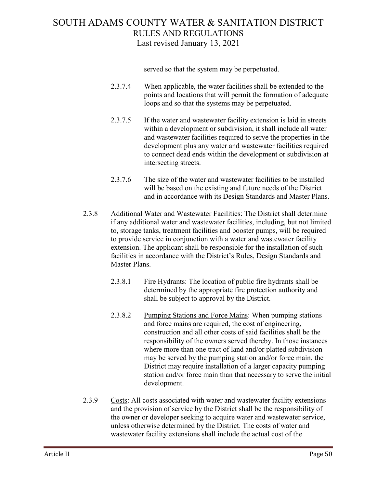served so that the system may be perpetuated.

- 2.3.7.4 When applicable, the water facilities shall be extended to the points and locations that will permit the formation of adequate loops and so that the systems may be perpetuated.
- 2.3.7.5 If the water and wastewater facility extension is laid in streets within a development or subdivision, it shall include all water and wastewater facilities required to serve the properties in the development plus any water and wastewater facilities required to connect dead ends within the development or subdivision at intersecting streets.
- 2.3.7.6 The size of the water and wastewater facilities to be installed will be based on the existing and future needs of the District and in accordance with its Design Standards and Master Plans.
- 2.3.8 Additional Water and Wastewater Facilities: The District shall determine if any additional water and wastewater facilities, including, but not limited to, storage tanks, treatment facilities and booster pumps, will be required to provide service in conjunction with a water and wastewater facility extension. The applicant shall be responsible for the installation of such facilities in accordance with the District's Rules, Design Standards and Master Plans.
	- 2.3.8.1 Fire Hydrants: The location of public fire hydrants shall be determined by the appropriate fire protection authority and shall be subject to approval by the District.
	- 2.3.8.2 Pumping Stations and Force Mains: When pumping stations and force mains are required, the cost of engineering, construction and all other costs of said facilities shall be the responsibility of the owners served thereby. In those instances where more than one tract of land and/or platted subdivision may be served by the pumping station and/or force main, the District may require installation of a larger capacity pumping station and/or force main than that necessary to serve the initial development.
- 2.3.9 Costs: All costs associated with water and wastewater facility extensions and the provision of service by the District shall be the responsibility of the owner or developer seeking to acquire water and wastewater service, unless otherwise determined by the District. The costs of water and wastewater facility extensions shall include the actual cost of the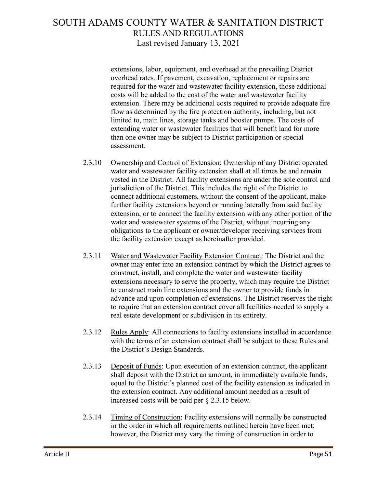extensions, labor, equipment, and overhead at the prevailing District overhead rates. If pavement, excavation, replacement or repairs are required for the water and wastewater facility extension, those additional costs will be added to the cost of the water and wastewater facility extension. There may be additional costs required to provide adequate fire flow as determined by the fire protection authority, including, but not limited to, main lines, storage tanks and booster pumps. The costs of extending water or wastewater facilities that will benefit land for more than one owner may be subject to District participation or special assessment.

- 2.3.10 Ownership and Control of Extension: Ownership of any District operated water and wastewater facility extension shall at all times be and remain vested in the District. All facility extensions are under the sole control and jurisdiction of the District. This includes the right of the District to connect additional customers, without the consent of the applicant, make further facility extensions beyond or running laterally from said facility extension, or to connect the facility extension with any other portion of the water and wastewater systems of the District, without incurring any obligations to the applicant or owner/developer receiving services from the facility extension except as hereinafter provided.
- 2.3.11 Water and Wastewater Facility Extension Contract: The District and the owner may enter into an extension contract by which the District agrees to construct, install, and complete the water and wastewater facility extensions necessary to serve the property, which may require the District to construct main line extensions and the owner to provide funds in advance and upon completion of extensions. The District reserves the right to require that an extension contract cover all facilities needed to supply a real estate development or subdivision in its entirety.
- 2.3.12 Rules Apply: All connections to facility extensions installed in accordance with the terms of an extension contract shall be subject to these Rules and the District's Design Standards.
- 2.3.13 Deposit of Funds: Upon execution of an extension contract, the applicant shall deposit with the District an amount, in immediately available funds, equal to the District's planned cost of the facility extension as indicated in the extension contract. Any additional amount needed as a result of increased costs will be paid per § 2.3.15 below.
- 2.3.14 Timing of Construction: Facility extensions will normally be constructed in the order in which all requirements outlined herein have been met; however, the District may vary the timing of construction in order to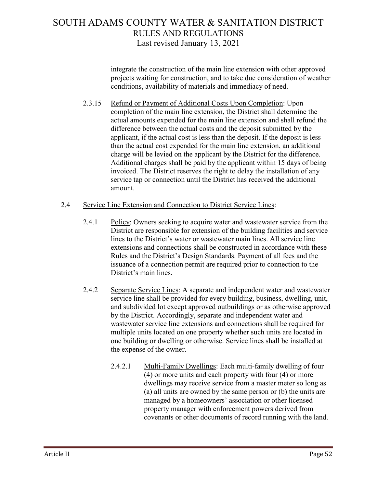integrate the construction of the main line extension with other approved projects waiting for construction, and to take due consideration of weather conditions, availability of materials and immediacy of need.

- 2.3.15 Refund or Payment of Additional Costs Upon Completion: Upon completion of the main line extension, the District shall determine the actual amounts expended for the main line extension and shall refund the difference between the actual costs and the deposit submitted by the applicant, if the actual cost is less than the deposit. If the deposit is less than the actual cost expended for the main line extension, an additional charge will be levied on the applicant by the District for the difference. Additional charges shall be paid by the applicant within 15 days of being invoiced. The District reserves the right to delay the installation of any service tap or connection until the District has received the additional amount.
- 2.4 Service Line Extension and Connection to District Service Lines:
	- 2.4.1 Policy: Owners seeking to acquire water and wastewater service from the District are responsible for extension of the building facilities and service lines to the District's water or wastewater main lines. All service line extensions and connections shall be constructed in accordance with these Rules and the District's Design Standards. Payment of all fees and the issuance of a connection permit are required prior to connection to the District's main lines.
	- 2.4.2 Separate Service Lines: A separate and independent water and wastewater service line shall be provided for every building, business, dwelling, unit, and subdivided lot except approved outbuildings or as otherwise approved by the District. Accordingly, separate and independent water and wastewater service line extensions and connections shall be required for multiple units located on one property whether such units are located in one building or dwelling or otherwise. Service lines shall be installed at the expense of the owner.
		- 2.4.2.1 Multi-Family Dwellings: Each multi-family dwelling of four (4) or more units and each property with four (4) or more dwellings may receive service from a master meter so long as (a) all units are owned by the same person or (b) the units are managed by a homeowners' association or other licensed property manager with enforcement powers derived from covenants or other documents of record running with the land.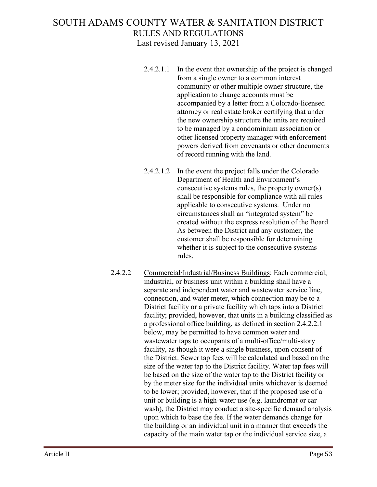- 2.4.2.1.1 In the event that ownership of the project is changed from a single owner to a common interest community or other multiple owner structure, the application to change accounts must be accompanied by a letter from a Colorado-licensed attorney or real estate broker certifying that under the new ownership structure the units are required to be managed by a condominium association or other licensed property manager with enforcement powers derived from covenants or other documents of record running with the land.
- 2.4.2.1.2 In the event the project falls under the Colorado Department of Health and Environment's consecutive systems rules, the property owner(s) shall be responsible for compliance with all rules applicable to consecutive systems. Under no circumstances shall an "integrated system" be created without the express resolution of the Board. As between the District and any customer, the customer shall be responsible for determining whether it is subject to the consecutive systems rules.
- 2.4.2.2 Commercial/Industrial/Business Buildings: Each commercial, industrial, or business unit within a building shall have a separate and independent water and wastewater service line, connection, and water meter, which connection may be to a District facility or a private facility which taps into a District facility; provided, however, that units in a building classified as a professional office building, as defined in section 2.4.2.2.1 below, may be permitted to have common water and wastewater taps to occupants of a multi-office/multi-story facility, as though it were a single business, upon consent of the District. Sewer tap fees will be calculated and based on the size of the water tap to the District facility. Water tap fees will be based on the size of the water tap to the District facility or by the meter size for the individual units whichever is deemed to be lower; provided, however, that if the proposed use of a unit or building is a high-water use (e.g. laundromat or car wash), the District may conduct a site-specific demand analysis upon which to base the fee. If the water demands change for the building or an individual unit in a manner that exceeds the capacity of the main water tap or the individual service size, a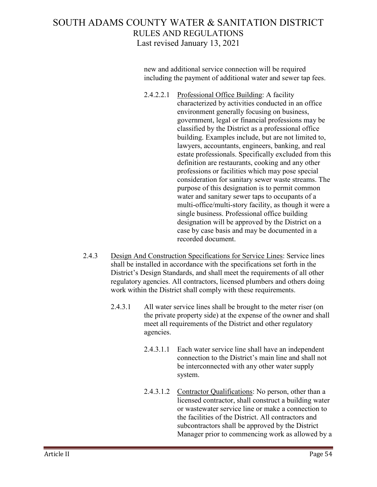new and additional service connection will be required including the payment of additional water and sewer tap fees.

2.4.2.2.1 Professional Office Building: A facility characterized by activities conducted in an office environment generally focusing on business, government, legal or financial professions may be classified by the District as a professional office building. Examples include, but are not limited to, lawyers, accountants, engineers, banking, and real estate professionals. Specifically excluded from this definition are restaurants, cooking and any other professions or facilities which may pose special consideration for sanitary sewer waste streams. The purpose of this designation is to permit common water and sanitary sewer taps to occupants of a multi-office/multi-story facility, as though it were a single business. Professional office building designation will be approved by the District on a case by case basis and may be documented in a recorded document.

- 2.4.3 Design And Construction Specifications for Service Lines: Service lines shall be installed in accordance with the specifications set forth in the District's Design Standards, and shall meet the requirements of all other regulatory agencies. All contractors, licensed plumbers and others doing work within the District shall comply with these requirements.
	- 2.4.3.1 All water service lines shall be brought to the meter riser (on the private property side) at the expense of the owner and shall meet all requirements of the District and other regulatory agencies.
		- 2.4.3.1.1 Each water service line shall have an independent connection to the District's main line and shall not be interconnected with any other water supply system.
		- 2.4.3.1.2 Contractor Qualifications: No person, other than a licensed contractor, shall construct a building water or wastewater service line or make a connection to the facilities of the District. All contractors and subcontractors shall be approved by the District Manager prior to commencing work as allowed by a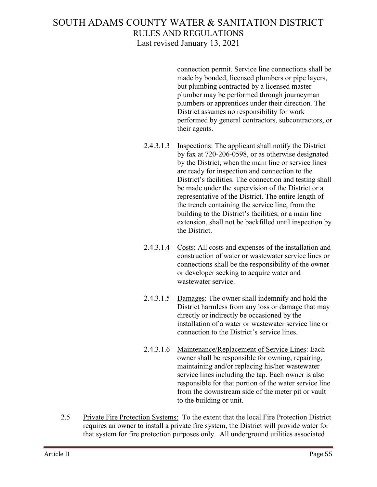connection permit. Service line connections shall be made by bonded, licensed plumbers or pipe layers, but plumbing contracted by a licensed master plumber may be performed through journeyman plumbers or apprentices under their direction. The District assumes no responsibility for work performed by general contractors, subcontractors, or their agents.

- 2.4.3.1.3 Inspections: The applicant shall notify the District by fax at 720-206-0598, or as otherwise designated by the District, when the main line or service lines are ready for inspection and connection to the District's facilities. The connection and testing shall be made under the supervision of the District or a representative of the District. The entire length of the trench containing the service line, from the building to the District's facilities, or a main line extension, shall not be backfilled until inspection by the District.
- 2.4.3.1.4 Costs: All costs and expenses of the installation and construction of water or wastewater service lines or connections shall be the responsibility of the owner or developer seeking to acquire water and wastewater service.
- 2.4.3.1.5 Damages: The owner shall indemnify and hold the District harmless from any loss or damage that may directly or indirectly be occasioned by the installation of a water or wastewater service line or connection to the District's service lines.
- 2.4.3.1.6 Maintenance/Replacement of Service Lines: Each owner shall be responsible for owning, repairing, maintaining and/or replacing his/her wastewater service lines including the tap. Each owner is also responsible for that portion of the water service line from the downstream side of the meter pit or vault to the building or unit.
- 2.5 Private Fire Protection Systems: To the extent that the local Fire Protection District requires an owner to install a private fire system, the District will provide water for that system for fire protection purposes only. All underground utilities associated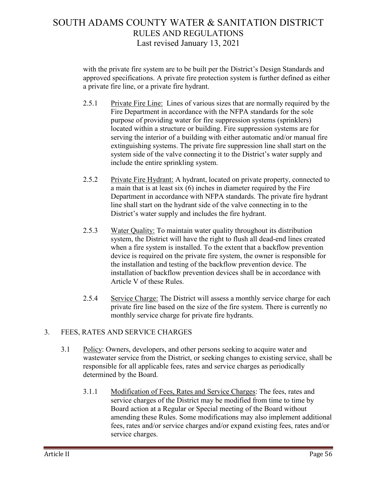with the private fire system are to be built per the District's Design Standards and approved specifications. A private fire protection system is further defined as either a private fire line, or a private fire hydrant.

- 2.5.1 Private Fire Line: Lines of various sizes that are normally required by the Fire Department in accordance with the NFPA standards for the sole purpose of providing water for fire suppression systems (sprinklers) located within a structure or building. Fire suppression systems are for serving the interior of a building with either automatic and/or manual fire extinguishing systems. The private fire suppression line shall start on the system side of the valve connecting it to the District's water supply and include the entire sprinkling system.
- 2.5.2 Private Fire Hydrant: A hydrant, located on private property, connected to a main that is at least six (6) inches in diameter required by the Fire Department in accordance with NFPA standards. The private fire hydrant line shall start on the hydrant side of the valve connecting in to the District's water supply and includes the fire hydrant.
- 2.5.3 Water Quality: To maintain water quality throughout its distribution system, the District will have the right to flush all dead-end lines created when a fire system is installed. To the extent that a backflow prevention device is required on the private fire system, the owner is responsible for the installation and testing of the backflow prevention device. The installation of backflow prevention devices shall be in accordance with Article V of these Rules.
- 2.5.4 Service Charge: The District will assess a monthly service charge for each private fire line based on the size of the fire system. There is currently no monthly service charge for private fire hydrants.

#### 3. FEES, RATES AND SERVICE CHARGES

- 3.1 Policy: Owners, developers, and other persons seeking to acquire water and wastewater service from the District, or seeking changes to existing service, shall be responsible for all applicable fees, rates and service charges as periodically determined by the Board.
	- 3.1.1 Modification of Fees, Rates and Service Charges: The fees, rates and service charges of the District may be modified from time to time by Board action at a Regular or Special meeting of the Board without amending these Rules. Some modifications may also implement additional fees, rates and/or service charges and/or expand existing fees, rates and/or service charges.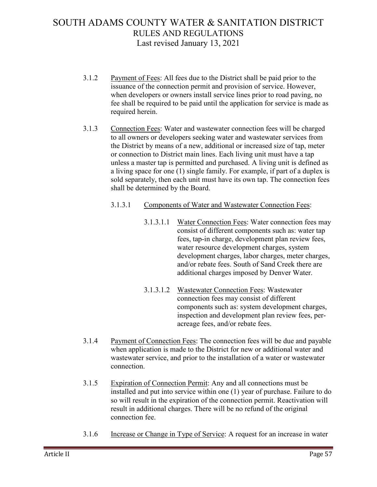- 3.1.2 Payment of Fees: All fees due to the District shall be paid prior to the issuance of the connection permit and provision of service. However, when developers or owners install service lines prior to road paving, no fee shall be required to be paid until the application for service is made as required herein.
- 3.1.3 Connection Fees: Water and wastewater connection fees will be charged to all owners or developers seeking water and wastewater services from the District by means of a new, additional or increased size of tap, meter or connection to District main lines. Each living unit must have a tap unless a master tap is permitted and purchased. A living unit is defined as a living space for one (1) single family. For example, if part of a duplex is sold separately, then each unit must have its own tap. The connection fees shall be determined by the Board.
	- 3.1.3.1 Components of Water and Wastewater Connection Fees:
		- 3.1.3.1.1 Water Connection Fees: Water connection fees may consist of different components such as: water tap fees, tap-in charge, development plan review fees, water resource development charges, system development charges, labor charges, meter charges, and/or rebate fees. South of Sand Creek there are additional charges imposed by Denver Water.
		- 3.1.3.1.2 Wastewater Connection Fees: Wastewater connection fees may consist of different components such as: system development charges, inspection and development plan review fees, peracreage fees, and/or rebate fees.
- 3.1.4 Payment of Connection Fees: The connection fees will be due and payable when application is made to the District for new or additional water and wastewater service, and prior to the installation of a water or wastewater connection.
- 3.1.5 Expiration of Connection Permit: Any and all connections must be installed and put into service within one (1) year of purchase. Failure to do so will result in the expiration of the connection permit. Reactivation will result in additional charges. There will be no refund of the original connection fee.
- 3.1.6 Increase or Change in Type of Service: A request for an increase in water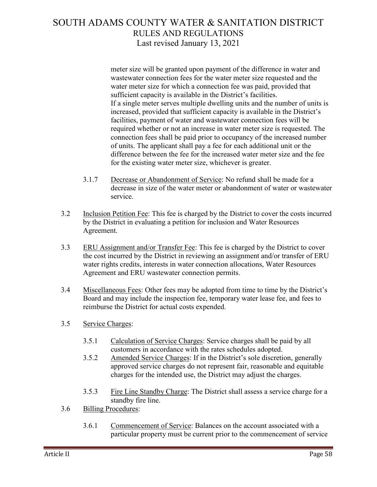meter size will be granted upon payment of the difference in water and wastewater connection fees for the water meter size requested and the water meter size for which a connection fee was paid, provided that sufficient capacity is available in the District's facilities. If a single meter serves multiple dwelling units and the number of units is increased, provided that sufficient capacity is available in the District's facilities, payment of water and wastewater connection fees will be required whether or not an increase in water meter size is requested. The connection fees shall be paid prior to occupancy of the increased number of units. The applicant shall pay a fee for each additional unit or the difference between the fee for the increased water meter size and the fee for the existing water meter size, whichever is greater.

- 3.1.7 Decrease or Abandonment of Service: No refund shall be made for a decrease in size of the water meter or abandonment of water or wastewater service.
- 3.2 Inclusion Petition Fee: This fee is charged by the District to cover the costs incurred by the District in evaluating a petition for inclusion and Water Resources Agreement.
- 3.3 ERU Assignment and/or Transfer Fee: This fee is charged by the District to cover the cost incurred by the District in reviewing an assignment and/or transfer of ERU water rights credits, interests in water connection allocations, Water Resources Agreement and ERU wastewater connection permits.
- 3.4 Miscellaneous Fees: Other fees may be adopted from time to time by the District's Board and may include the inspection fee, temporary water lease fee, and fees to reimburse the District for actual costs expended.
- 3.5 Service Charges:
	- 3.5.1 Calculation of Service Charges: Service charges shall be paid by all customers in accordance with the rates schedules adopted.
	- 3.5.2 Amended Service Charges: If in the District's sole discretion, generally approved service charges do not represent fair, reasonable and equitable charges for the intended use, the District may adjust the charges.
	- 3.5.3 Fire Line Standby Charge: The District shall assess a service charge for a standby fire line.
- 3.6 Billing Procedures:
	- 3.6.1 Commencement of Service: Balances on the account associated with a particular property must be current prior to the commencement of service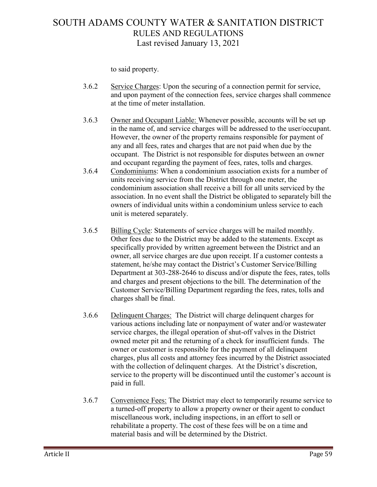to said property.

- 3.6.2 Service Charges: Upon the securing of a connection permit for service, and upon payment of the connection fees, service charges shall commence at the time of meter installation.
- 3.6.3 Owner and Occupant Liable: Whenever possible, accounts will be set up in the name of, and service charges will be addressed to the user/occupant. However, the owner of the property remains responsible for payment of any and all fees, rates and charges that are not paid when due by the occupant. The District is not responsible for disputes between an owner and occupant regarding the payment of fees, rates, tolls and charges.
- 3.6.4 Condominiums: When a condominium association exists for a number of units receiving service from the District through one meter, the condominium association shall receive a bill for all units serviced by the association. In no event shall the District be obligated to separately bill the owners of individual units within a condominium unless service to each unit is metered separately.
- 3.6.5 Billing Cycle: Statements of service charges will be mailed monthly. Other fees due to the District may be added to the statements. Except as specifically provided by written agreement between the District and an owner, all service charges are due upon receipt. If a customer contests a statement, he/she may contact the District's Customer Service/Billing Department at 303-288-2646 to discuss and/or dispute the fees, rates, tolls and charges and present objections to the bill. The determination of the Customer Service/Billing Department regarding the fees, rates, tolls and charges shall be final.
- 3.6.6 Delinquent Charges: The District will charge delinquent charges for various actions including late or nonpayment of water and/or wastewater service charges, the illegal operation of shut-off valves in the District owned meter pit and the returning of a check for insufficient funds. The owner or customer is responsible for the payment of all delinquent charges, plus all costs and attorney fees incurred by the District associated with the collection of delinquent charges. At the District's discretion, service to the property will be discontinued until the customer's account is paid in full.
- 3.6.7 Convenience Fees: The District may elect to temporarily resume service to a turned-off property to allow a property owner or their agent to conduct miscellaneous work, including inspections, in an effort to sell or rehabilitate a property. The cost of these fees will be on a time and material basis and will be determined by the District.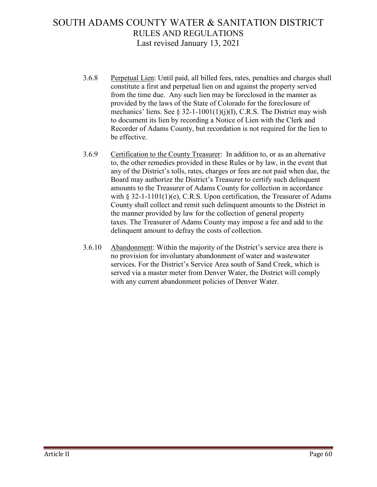- 3.6.8 Perpetual Lien: Until paid, all billed fees, rates, penalties and charges shall constitute a first and perpetual lien on and against the property served from the time due. Any such lien may be foreclosed in the manner as provided by the laws of the State of Colorado for the foreclosure of mechanics' liens. See  $\S 32$ -1-1001(1)(j)(I), C.R.S. The District may wish to document its lien by recording a Notice of Lien with the Clerk and Recorder of Adams County, but recordation is not required for the lien to be effective.
- 3.6.9 Certification to the County Treasurer: In addition to, or as an alternative to, the other remedies provided in these Rules or by law, in the event that any of the District's tolls, rates, charges or fees are not paid when due, the Board may authorize the District's Treasurer to certify such delinquent amounts to the Treasurer of Adams County for collection in accordance with  $\S 32$ -1-1101(1)(e), C.R.S. Upon certification, the Treasurer of Adams County shall collect and remit such delinquent amounts to the District in the manner provided by law for the collection of general property taxes. The Treasurer of Adams County may impose a fee and add to the delinquent amount to defray the costs of collection.
- 3.6.10 Abandonment: Within the majority of the District's service area there is no provision for involuntary abandonment of water and wastewater services. For the District's Service Area south of Sand Creek, which is served via a master meter from Denver Water, the District will comply with any current abandonment policies of Denver Water.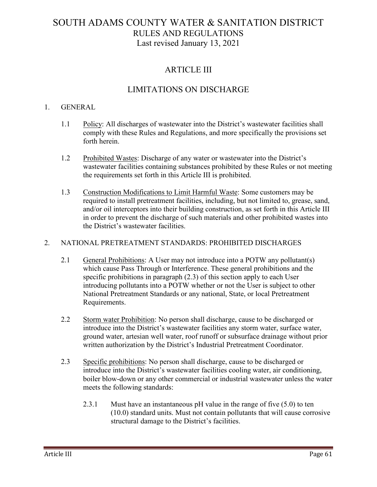### ARTICLE III

### LIMITATIONS ON DISCHARGE

#### 1. GENERAL

- 1.1 Policy: All discharges of wastewater into the District's wastewater facilities shall comply with these Rules and Regulations, and more specifically the provisions set forth herein.
- 1.2 Prohibited Wastes: Discharge of any water or wastewater into the District's wastewater facilities containing substances prohibited by these Rules or not meeting the requirements set forth in this Article III is prohibited.
- 1.3 Construction Modifications to Limit Harmful Waste: Some customers may be required to install pretreatment facilities, including, but not limited to, grease, sand, and/or oil interceptors into their building construction, as set forth in this Article III in order to prevent the discharge of such materials and other prohibited wastes into the District's wastewater facilities.

#### 2. NATIONAL PRETREATMENT STANDARDS: PROHIBITED DISCHARGES

- 2.1 General Prohibitions: A User may not introduce into a POTW any pollutant(s) which cause Pass Through or Interference. These general prohibitions and the specific prohibitions in paragraph (2.3) of this section apply to each User introducing pollutants into a POTW whether or not the User is subject to other National Pretreatment Standards or any national, State, or local Pretreatment Requirements.
- 2.2 Storm water Prohibition: No person shall discharge, cause to be discharged or introduce into the District's wastewater facilities any storm water, surface water, ground water, artesian well water, roof runoff or subsurface drainage without prior written authorization by the District's Industrial Pretreatment Coordinator.
- 2.3 Specific prohibitions: No person shall discharge, cause to be discharged or introduce into the District's wastewater facilities cooling water, air conditioning, boiler blow-down or any other commercial or industrial wastewater unless the water meets the following standards:
	- 2.3.1 Must have an instantaneous pH value in the range of five (5.0) to ten (10.0) standard units. Must not contain pollutants that will cause corrosive structural damage to the District's facilities.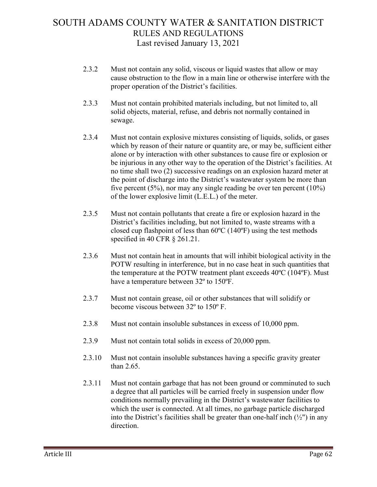- 2.3.2 Must not contain any solid, viscous or liquid wastes that allow or may cause obstruction to the flow in a main line or otherwise interfere with the proper operation of the District's facilities.
- 2.3.3 Must not contain prohibited materials including, but not limited to, all solid objects, material, refuse, and debris not normally contained in sewage.
- 2.3.4 Must not contain explosive mixtures consisting of liquids, solids, or gases which by reason of their nature or quantity are, or may be, sufficient either alone or by interaction with other substances to cause fire or explosion or be injurious in any other way to the operation of the District's facilities. At no time shall two (2) successive readings on an explosion hazard meter at the point of discharge into the District's wastewater system be more than five percent (5%), nor may any single reading be over ten percent (10%) of the lower explosive limit (L.E.L.) of the meter.
- 2.3.5 Must not contain pollutants that create a fire or explosion hazard in the District's facilities including, but not limited to, waste streams with a closed cup flashpoint of less than 60ºC (140ºF) using the test methods specified in 40 CFR § 261.21.
- 2.3.6 Must not contain heat in amounts that will inhibit biological activity in the POTW resulting in interference, but in no case heat in such quantities that the temperature at the POTW treatment plant exceeds 40ºC (104ºF). Must have a temperature between 32º to 150ºF.
- 2.3.7 Must not contain grease, oil or other substances that will solidify or become viscous between 32º to 150º F.
- 2.3.8 Must not contain insoluble substances in excess of 10,000 ppm.
- 2.3.9 Must not contain total solids in excess of 20,000 ppm.
- 2.3.10 Must not contain insoluble substances having a specific gravity greater than 2.65.
- 2.3.11 Must not contain garbage that has not been ground or comminuted to such a degree that all particles will be carried freely in suspension under flow conditions normally prevailing in the District's wastewater facilities to which the user is connected. At all times, no garbage particle discharged into the District's facilities shall be greater than one-half inch  $(\frac{1}{2})$  in any direction.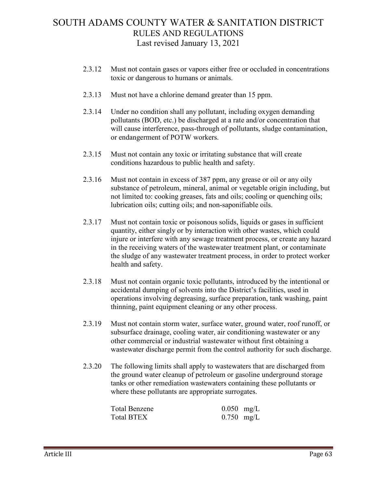- 2.3.12 Must not contain gases or vapors either free or occluded in concentrations toxic or dangerous to humans or animals.
- 2.3.13 Must not have a chlorine demand greater than 15 ppm.
- 2.3.14 Under no condition shall any pollutant, including oxygen demanding pollutants (BOD, etc.) be discharged at a rate and/or concentration that will cause interference, pass-through of pollutants, sludge contamination, or endangerment of POTW workers.
- 2.3.15 Must not contain any toxic or irritating substance that will create conditions hazardous to public health and safety.
- 2.3.16 Must not contain in excess of 387 ppm, any grease or oil or any oily substance of petroleum, mineral, animal or vegetable origin including, but not limited to: cooking greases, fats and oils; cooling or quenching oils; lubrication oils; cutting oils; and non-saponifiable oils.
- 2.3.17 Must not contain toxic or poisonous solids, liquids or gases in sufficient quantity, either singly or by interaction with other wastes, which could injure or interfere with any sewage treatment process, or create any hazard in the receiving waters of the wastewater treatment plant, or contaminate the sludge of any wastewater treatment process, in order to protect worker health and safety.
- 2.3.18 Must not contain organic toxic pollutants, introduced by the intentional or accidental dumping of solvents into the District's facilities, used in operations involving degreasing, surface preparation, tank washing, paint thinning, paint equipment cleaning or any other process.
- 2.3.19 Must not contain storm water, surface water, ground water, roof runoff, or subsurface drainage, cooling water, air conditioning wastewater or any other commercial or industrial wastewater without first obtaining a wastewater discharge permit from the control authority for such discharge.
- 2.3.20 The following limits shall apply to wastewaters that are discharged from the ground water cleanup of petroleum or gasoline underground storage tanks or other remediation wastewaters containing these pollutants or where these pollutants are appropriate surrogates.

| Total Benzene | $0.050$ mg/L |  |
|---------------|--------------|--|
| Total BTEX    | $0.750$ mg/L |  |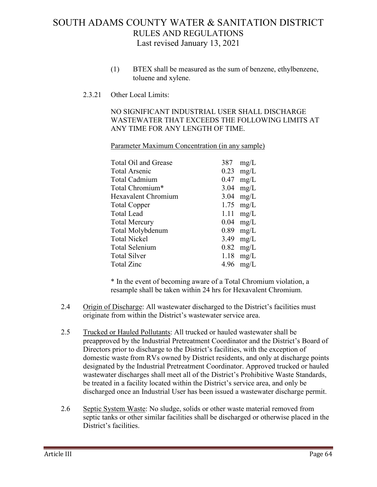- (1) BTEX shall be measured as the sum of benzene, ethylbenzene, toluene and xylene.
- 2.3.21 Other Local Limits:

NO SIGNIFICANT INDUSTRIAL USER SHALL DISCHARGE WASTEWATER THAT EXCEEDS THE FOLLOWING LIMITS AT ANY TIME FOR ANY LENGTH OF TIME.

Parameter Maximum Concentration (in any sample)

| Total Oil and Grease |      | $387 \text{ mg/L}$ |
|----------------------|------|--------------------|
| Total Arsenic        |      | $0.23$ mg/L        |
| Total Cadmium        | 0.47 | mg/L               |
| Total Chromium*      | 3.04 | mg/L               |
| Hexavalent Chromium  |      | $3.04$ mg/L        |
| <b>Total Copper</b>  |      | $1.75$ mg/L        |
| Total Lead           |      | $1.11$ mg/L        |
| Total Mercury        |      | $0.04$ mg/L        |
| Total Molybdenum     |      | $0.89$ mg/L        |
| <b>Total Nickel</b>  | 3.49 | mg/L               |
| Total Selenium       |      | $0.82$ mg/L        |
| Total Silver         |      | $1.18$ mg/L        |
| Total Zinc           |      | 4.96 $mg/L$        |

\* In the event of becoming aware of a Total Chromium violation, a resample shall be taken within 24 hrs for Hexavalent Chromium.

- 2.4 Origin of Discharge: All wastewater discharged to the District's facilities must originate from within the District's wastewater service area.
- 2.5 Trucked or Hauled Pollutants: All trucked or hauled wastewater shall be preapproved by the Industrial Pretreatment Coordinator and the District's Board of Directors prior to discharge to the District's facilities, with the exception of domestic waste from RVs owned by District residents, and only at discharge points designated by the Industrial Pretreatment Coordinator. Approved trucked or hauled wastewater discharges shall meet all of the District's Prohibitive Waste Standards, be treated in a facility located within the District's service area, and only be discharged once an Industrial User has been issued a wastewater discharge permit.
- 2.6 Septic System Waste: No sludge, solids or other waste material removed from septic tanks or other similar facilities shall be discharged or otherwise placed in the District's facilities.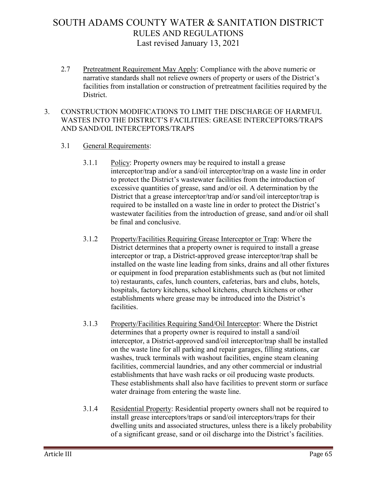2.7 Pretreatment Requirement May Apply: Compliance with the above numeric or narrative standards shall not relieve owners of property or users of the District's facilities from installation or construction of pretreatment facilities required by the District.

### 3. CONSTRUCTION MODIFICATIONS TO LIMIT THE DISCHARGE OF HARMFUL WASTES INTO THE DISTRICT'S FACILITIES: GREASE INTERCEPTORS/TRAPS AND SAND/OIL INTERCEPTORS/TRAPS

- 3.1 General Requirements:
	- 3.1.1 Policy: Property owners may be required to install a grease interceptor/trap and/or a sand/oil interceptor/trap on a waste line in order to protect the District's wastewater facilities from the introduction of excessive quantities of grease, sand and/or oil. A determination by the District that a grease interceptor/trap and/or sand/oil interceptor/trap is required to be installed on a waste line in order to protect the District's wastewater facilities from the introduction of grease, sand and/or oil shall be final and conclusive.
	- 3.1.2 Property/Facilities Requiring Grease Interceptor or Trap: Where the District determines that a property owner is required to install a grease interceptor or trap, a District-approved grease interceptor/trap shall be installed on the waste line leading from sinks, drains and all other fixtures or equipment in food preparation establishments such as (but not limited to) restaurants, cafes, lunch counters, cafeterias, bars and clubs, hotels, hospitals, factory kitchens, school kitchens, church kitchens or other establishments where grease may be introduced into the District's facilities.
	- 3.1.3 Property/Facilities Requiring Sand/Oil Interceptor: Where the District determines that a property owner is required to install a sand/oil interceptor, a District-approved sand/oil interceptor/trap shall be installed on the waste line for all parking and repair garages, filling stations, car washes, truck terminals with washout facilities, engine steam cleaning facilities, commercial laundries, and any other commercial or industrial establishments that have wash racks or oil producing waste products. These establishments shall also have facilities to prevent storm or surface water drainage from entering the waste line.
	- 3.1.4 Residential Property: Residential property owners shall not be required to install grease interceptors/traps or sand/oil interceptors/traps for their dwelling units and associated structures, unless there is a likely probability of a significant grease, sand or oil discharge into the District's facilities.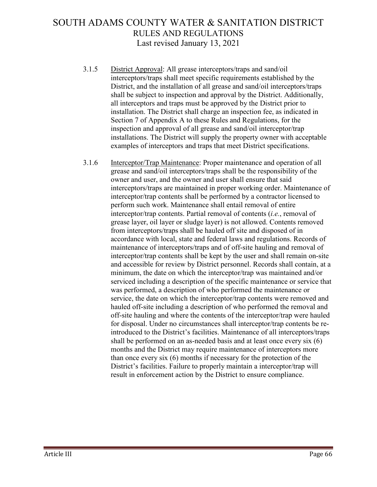- 3.1.5 District Approval: All grease interceptors/traps and sand/oil interceptors/traps shall meet specific requirements established by the District, and the installation of all grease and sand/oil interceptors/traps shall be subject to inspection and approval by the District. Additionally, all interceptors and traps must be approved by the District prior to installation. The District shall charge an inspection fee, as indicated in Section 7 of Appendix A to these Rules and Regulations, for the inspection and approval of all grease and sand/oil interceptor/trap installations. The District will supply the property owner with acceptable examples of interceptors and traps that meet District specifications.
- 3.1.6 Interceptor/Trap Maintenance: Proper maintenance and operation of all grease and sand/oil interceptors/traps shall be the responsibility of the owner and user, and the owner and user shall ensure that said interceptors/traps are maintained in proper working order. Maintenance of interceptor/trap contents shall be performed by a contractor licensed to perform such work. Maintenance shall entail removal of entire interceptor/trap contents. Partial removal of contents (*i.e.*, removal of grease layer, oil layer or sludge layer) is not allowed. Contents removed from interceptors/traps shall be hauled off site and disposed of in accordance with local, state and federal laws and regulations. Records of maintenance of interceptors/traps and of off-site hauling and removal of interceptor/trap contents shall be kept by the user and shall remain on-site and accessible for review by District personnel. Records shall contain, at a minimum, the date on which the interceptor/trap was maintained and/or serviced including a description of the specific maintenance or service that was performed, a description of who performed the maintenance or service, the date on which the interceptor/trap contents were removed and hauled off-site including a description of who performed the removal and off-site hauling and where the contents of the interceptor/trap were hauled for disposal. Under no circumstances shall interceptor/trap contents be reintroduced to the District's facilities. Maintenance of all interceptors/traps shall be performed on an as-needed basis and at least once every six (6) months and the District may require maintenance of interceptors more than once every six (6) months if necessary for the protection of the District's facilities. Failure to properly maintain a interceptor/trap will result in enforcement action by the District to ensure compliance.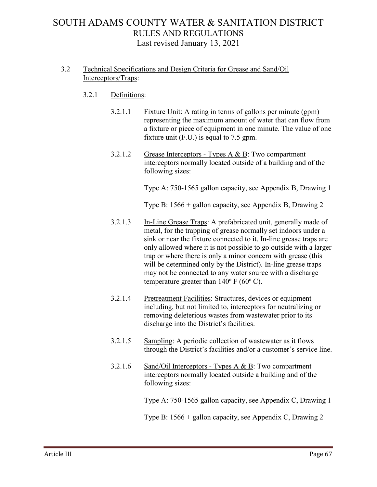### 3.2 Technical Specifications and Design Criteria for Grease and Sand/Oil Interceptors/Traps:

### 3.2.1 Definitions:

- 3.2.1.1 Fixture Unit: A rating in terms of gallons per minute (gpm) representing the maximum amount of water that can flow from a fixture or piece of equipment in one minute. The value of one fixture unit (F.U.) is equal to 7.5 gpm.
- 3.2.1.2 Grease Interceptors Types A & B: Two compartment interceptors normally located outside of a building and of the following sizes:

Type A: 750-1565 gallon capacity, see Appendix B, Drawing 1

Type B: 1566 + gallon capacity, see Appendix B, Drawing 2

- 3.2.1.3 In-Line Grease Traps: A prefabricated unit, generally made of metal, for the trapping of grease normally set indoors under a sink or near the fixture connected to it. In-line grease traps are only allowed where it is not possible to go outside with a larger trap or where there is only a minor concern with grease (this will be determined only by the District). In-line grease traps may not be connected to any water source with a discharge temperature greater than  $140^{\circ}$  F (60 $^{\circ}$  C).
- 3.2.1.4 Pretreatment Facilities: Structures, devices or equipment including, but not limited to, interceptors for neutralizing or removing deleterious wastes from wastewater prior to its discharge into the District's facilities.
- 3.2.1.5 Sampling: A periodic collection of wastewater as it flows through the District's facilities and/or a customer's service line.
- 3.2.1.6 Sand/Oil Interceptors Types A & B: Two compartment interceptors normally located outside a building and of the following sizes:

Type A: 750-1565 gallon capacity, see Appendix C, Drawing 1

Type B: 1566 + gallon capacity, see Appendix C, Drawing 2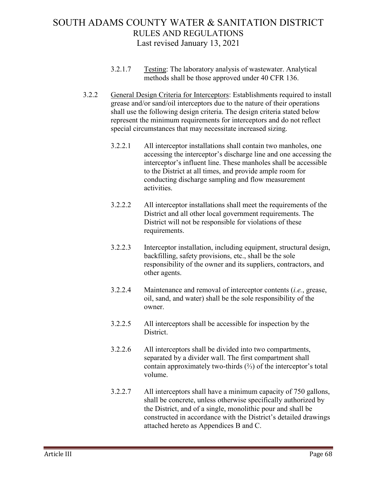- 3.2.1.7 Testing: The laboratory analysis of wastewater. Analytical methods shall be those approved under 40 CFR 136.
- 3.2.2 General Design Criteria for Interceptors: Establishments required to install grease and/or sand/oil interceptors due to the nature of their operations shall use the following design criteria. The design criteria stated below represent the minimum requirements for interceptors and do not reflect special circumstances that may necessitate increased sizing.
	- 3.2.2.1 All interceptor installations shall contain two manholes, one accessing the interceptor's discharge line and one accessing the interceptor's influent line. These manholes shall be accessible to the District at all times, and provide ample room for conducting discharge sampling and flow measurement activities.
	- 3.2.2.2 All interceptor installations shall meet the requirements of the District and all other local government requirements. The District will not be responsible for violations of these requirements.
	- 3.2.2.3 Interceptor installation, including equipment, structural design, backfilling, safety provisions, etc., shall be the sole responsibility of the owner and its suppliers, contractors, and other agents.
	- 3.2.2.4 Maintenance and removal of interceptor contents (*i.e.*, grease, oil, sand, and water) shall be the sole responsibility of the owner.
	- 3.2.2.5 All interceptors shall be accessible for inspection by the District.
	- 3.2.2.6 All interceptors shall be divided into two compartments, separated by a divider wall. The first compartment shall contain approximately two-thirds (⅔) of the interceptor's total volume.
	- 3.2.2.7 All interceptors shall have a minimum capacity of 750 gallons, shall be concrete, unless otherwise specifically authorized by the District, and of a single, monolithic pour and shall be constructed in accordance with the District's detailed drawings attached hereto as Appendices B and C.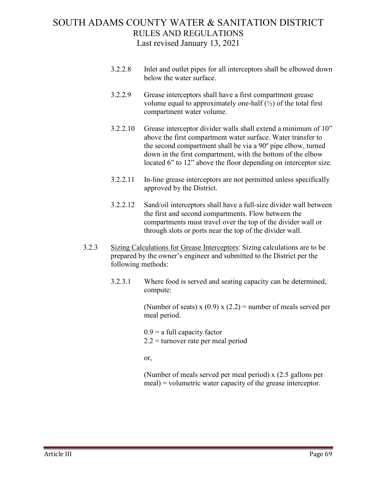- 3.2.2.8 Inlet and outlet pipes for all interceptors shall be elbowed down below the water surface.
- 3.2.2.9 Grease interceptors shall have a first compartment grease volume equal to approximately one-half  $(\frac{1}{2})$  of the total first compartment water volume.
- 3.2.2.10 Grease interceptor divider walls shall extend a minimum of 10" above the first compartment water surface. Water transfer to the second compartment shall be via a 90º pipe elbow, turned down in the first compartment, with the bottom of the elbow located 6" to 12" above the floor depending on interceptor size.
- 3.2.2.11 In-line grease interceptors are not permitted unless specifically approved by the District.
- 3.2.2.12 Sand/oil interceptors shall have a full-size divider wall between the first and second compartments. Flow between the compartments must travel over the top of the divider wall or through slots or ports near the top of the divider wall.
- 3.2.3 Sizing Calculations for Grease Interceptors: Sizing calculations are to be prepared by the owner's engineer and submitted to the District per the following methods:
	- 3.2.3.1 Where food is served and seating capacity can be determined, compute:

(Number of seats) x  $(0.9)$  x  $(2.2)$  = number of meals served per meal period.

 $0.9$  = a full capacity factor 2.2 = turnover rate per meal period

or,

(Number of meals served per meal period) x (2.5 gallons per meal) = volumetric water capacity of the grease interceptor.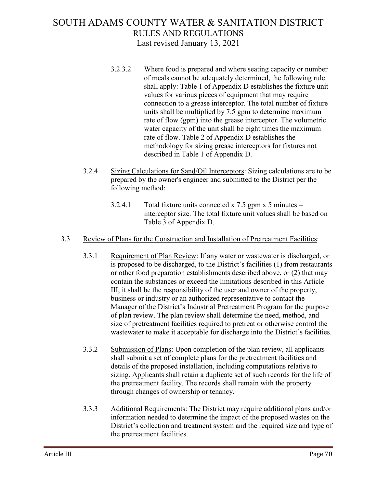- 3.2.3.2 Where food is prepared and where seating capacity or number of meals cannot be adequately determined, the following rule shall apply: Table 1 of Appendix D establishes the fixture unit values for various pieces of equipment that may require connection to a grease interceptor. The total number of fixture units shall be multiplied by 7.5 gpm to determine maximum rate of flow (gpm) into the grease interceptor. The volumetric water capacity of the unit shall be eight times the maximum rate of flow. Table 2 of Appendix D establishes the methodology for sizing grease interceptors for fixtures not described in Table 1 of Appendix D.
- 3.2.4 Sizing Calculations for Sand/Oil Interceptors: Sizing calculations are to be prepared by the owner's engineer and submitted to the District per the following method:
	- 3.2.4.1 Total fixture units connected x 7.5 gpm x 5 minutes  $=$ interceptor size. The total fixture unit values shall be based on Table 3 of Appendix D.

### 3.3 Review of Plans for the Construction and Installation of Pretreatment Facilities:

- 3.3.1 Requirement of Plan Review: If any water or wastewater is discharged, or is proposed to be discharged, to the District's facilities (1) from restaurants or other food preparation establishments described above, or (2) that may contain the substances or exceed the limitations described in this Article III, it shall be the responsibility of the user and owner of the property, business or industry or an authorized representative to contact the Manager of the District's Industrial Pretreatment Program for the purpose of plan review. The plan review shall determine the need, method, and size of pretreatment facilities required to pretreat or otherwise control the wastewater to make it acceptable for discharge into the District's facilities.
- 3.3.2 Submission of Plans: Upon completion of the plan review, all applicants shall submit a set of complete plans for the pretreatment facilities and details of the proposed installation, including computations relative to sizing. Applicants shall retain a duplicate set of such records for the life of the pretreatment facility. The records shall remain with the property through changes of ownership or tenancy.
- 3.3.3 Additional Requirements: The District may require additional plans and/or information needed to determine the impact of the proposed wastes on the District's collection and treatment system and the required size and type of the pretreatment facilities.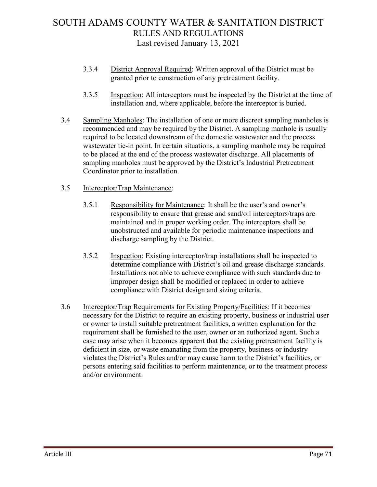- 3.3.4 District Approval Required: Written approval of the District must be granted prior to construction of any pretreatment facility.
- 3.3.5 Inspection: All interceptors must be inspected by the District at the time of installation and, where applicable, before the interceptor is buried.
- 3.4 Sampling Manholes: The installation of one or more discreet sampling manholes is recommended and may be required by the District. A sampling manhole is usually required to be located downstream of the domestic wastewater and the process wastewater tie-in point. In certain situations, a sampling manhole may be required to be placed at the end of the process wastewater discharge. All placements of sampling manholes must be approved by the District's Industrial Pretreatment Coordinator prior to installation.

#### 3.5 Interceptor/Trap Maintenance:

- 3.5.1 Responsibility for Maintenance: It shall be the user's and owner's responsibility to ensure that grease and sand/oil interceptors/traps are maintained and in proper working order. The interceptors shall be unobstructed and available for periodic maintenance inspections and discharge sampling by the District.
- 3.5.2 Inspection: Existing interceptor/trap installations shall be inspected to determine compliance with District's oil and grease discharge standards. Installations not able to achieve compliance with such standards due to improper design shall be modified or replaced in order to achieve compliance with District design and sizing criteria.
- 3.6 Interceptor/Trap Requirements for Existing Property/Facilities: If it becomes necessary for the District to require an existing property, business or industrial user or owner to install suitable pretreatment facilities, a written explanation for the requirement shall be furnished to the user, owner or an authorized agent. Such a case may arise when it becomes apparent that the existing pretreatment facility is deficient in size, or waste emanating from the property, business or industry violates the District's Rules and/or may cause harm to the District's facilities, or persons entering said facilities to perform maintenance, or to the treatment process and/or environment.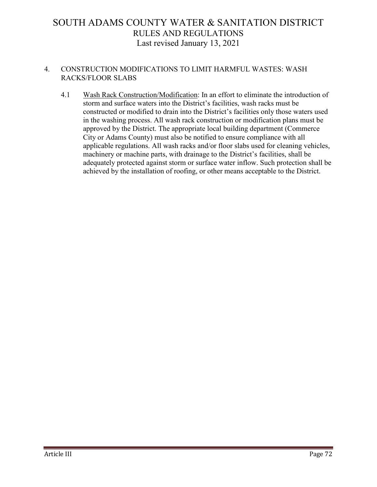### 4. CONSTRUCTION MODIFICATIONS TO LIMIT HARMFUL WASTES: WASH RACKS/FLOOR SLABS

4.1 Wash Rack Construction/Modification: In an effort to eliminate the introduction of storm and surface waters into the District's facilities, wash racks must be constructed or modified to drain into the District's facilities only those waters used in the washing process. All wash rack construction or modification plans must be approved by the District. The appropriate local building department (Commerce City or Adams County) must also be notified to ensure compliance with all applicable regulations. All wash racks and/or floor slabs used for cleaning vehicles, machinery or machine parts, with drainage to the District's facilities, shall be adequately protected against storm or surface water inflow. Such protection shall be achieved by the installation of roofing, or other means acceptable to the District.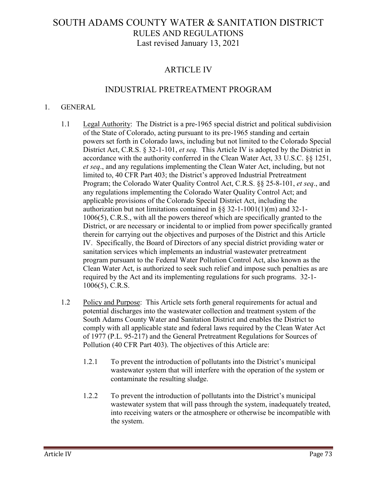### ARTICLE IV

### INDUSTRIAL PRETREATMENT PROGRAM

#### 1. GENERAL

- 1.1 Legal Authority: The District is a pre-1965 special district and political subdivision of the State of Colorado, acting pursuant to its pre-1965 standing and certain powers set forth in Colorado laws, including but not limited to the Colorado Special District Act, C.R.S. § 32-1-101, *et seq.* This Article IV is adopted by the District in accordance with the authority conferred in the Clean Water Act, 33 U.S.C. §§ 1251, *et seq*., and any regulations implementing the Clean Water Act, including, but not limited to, 40 CFR Part 403; the District's approved Industrial Pretreatment Program; the Colorado Water Quality Control Act, C.R.S. §§ 25-8-101, *et seq*., and any regulations implementing the Colorado Water Quality Control Act; and applicable provisions of the Colorado Special District Act, including the authorization but not limitations contained in  $\S$ § 32-1-1001(1)(m) and 32-1-1006(5), C.R.S., with all the powers thereof which are specifically granted to the District, or are necessary or incidental to or implied from power specifically granted therein for carrying out the objectives and purposes of the District and this Article IV. Specifically, the Board of Directors of any special district providing water or sanitation services which implements an industrial wastewater pretreatment program pursuant to the Federal Water Pollution Control Act, also known as the Clean Water Act, is authorized to seek such relief and impose such penalties as are required by the Act and its implementing regulations for such programs. 32-1- 1006(5), C.R.S.
- 1.2 Policy and Purpose: This Article sets forth general requirements for actual and potential discharges into the wastewater collection and treatment system of the South Adams County Water and Sanitation District and enables the District to comply with all applicable state and federal laws required by the Clean Water Act of 1977 (P.L. 95-217) and the General Pretreatment Regulations for Sources of Pollution (40 CFR Part 403). The objectives of this Article are:
	- 1.2.1 To prevent the introduction of pollutants into the District's municipal wastewater system that will interfere with the operation of the system or contaminate the resulting sludge.
	- 1.2.2 To prevent the introduction of pollutants into the District's municipal wastewater system that will pass through the system, inadequately treated, into receiving waters or the atmosphere or otherwise be incompatible with the system.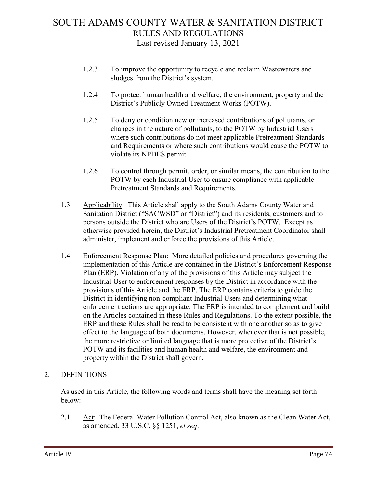- 1.2.3 To improve the opportunity to recycle and reclaim Wastewaters and sludges from the District's system.
- 1.2.4 To protect human health and welfare, the environment, property and the District's Publicly Owned Treatment Works (POTW).
- 1.2.5 To deny or condition new or increased contributions of pollutants, or changes in the nature of pollutants, to the POTW by Industrial Users where such contributions do not meet applicable Pretreatment Standards and Requirements or where such contributions would cause the POTW to violate its NPDES permit.
- 1.2.6 To control through permit, order, or similar means, the contribution to the POTW by each Industrial User to ensure compliance with applicable Pretreatment Standards and Requirements.
- 1.3 Applicability: This Article shall apply to the South Adams County Water and Sanitation District ("SACWSD" or "District") and its residents, customers and to persons outside the District who are Users of the District's POTW. Except as otherwise provided herein, the District's Industrial Pretreatment Coordinator shall administer, implement and enforce the provisions of this Article.
- 1.4 Enforcement Response Plan: More detailed policies and procedures governing the implementation of this Article are contained in the District's Enforcement Response Plan (ERP). Violation of any of the provisions of this Article may subject the Industrial User to enforcement responses by the District in accordance with the provisions of this Article and the ERP. The ERP contains criteria to guide the District in identifying non-compliant Industrial Users and determining what enforcement actions are appropriate. The ERP is intended to complement and build on the Articles contained in these Rules and Regulations. To the extent possible, the ERP and these Rules shall be read to be consistent with one another so as to give effect to the language of both documents. However, whenever that is not possible, the more restrictive or limited language that is more protective of the District's POTW and its facilities and human health and welfare, the environment and property within the District shall govern.

### 2. DEFINITIONS

As used in this Article, the following words and terms shall have the meaning set forth below:

2.1 Act: The Federal Water Pollution Control Act, also known as the Clean Water Act, as amended, 33 U.S.C. §§ 1251, *et seq*.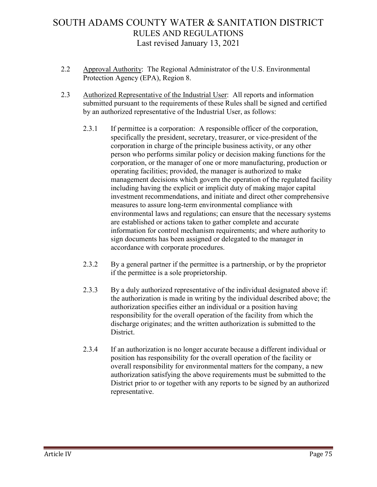- 2.2 Approval Authority: The Regional Administrator of the U.S. Environmental Protection Agency (EPA), Region 8.
- 2.3 Authorized Representative of the Industrial User: All reports and information submitted pursuant to the requirements of these Rules shall be signed and certified by an authorized representative of the Industrial User, as follows:
	- 2.3.1 If permittee is a corporation: A responsible officer of the corporation, specifically the president, secretary, treasurer, or vice-president of the corporation in charge of the principle business activity, or any other person who performs similar policy or decision making functions for the corporation, or the manager of one or more manufacturing, production or operating facilities; provided, the manager is authorized to make management decisions which govern the operation of the regulated facility including having the explicit or implicit duty of making major capital investment recommendations, and initiate and direct other comprehensive measures to assure long-term environmental compliance with environmental laws and regulations; can ensure that the necessary systems are established or actions taken to gather complete and accurate information for control mechanism requirements; and where authority to sign documents has been assigned or delegated to the manager in accordance with corporate procedures.
	- 2.3.2 By a general partner if the permittee is a partnership, or by the proprietor if the permittee is a sole proprietorship.
	- 2.3.3 By a duly authorized representative of the individual designated above if: the authorization is made in writing by the individual described above; the authorization specifies either an individual or a position having responsibility for the overall operation of the facility from which the discharge originates; and the written authorization is submitted to the District.
	- 2.3.4 If an authorization is no longer accurate because a different individual or position has responsibility for the overall operation of the facility or overall responsibility for environmental matters for the company, a new authorization satisfying the above requirements must be submitted to the District prior to or together with any reports to be signed by an authorized representative.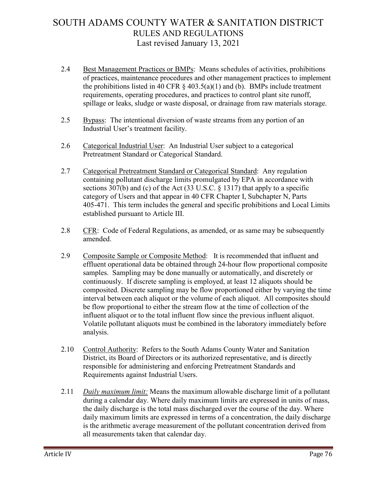- 2.4 Best Management Practices or BMPs: Means schedules of activities, prohibitions of practices, maintenance procedures and other management practices to implement the prohibitions listed in 40 CFR  $\S$  403.5(a)(1) and (b). BMPs include treatment requirements, operating procedures, and practices to control plant site runoff, spillage or leaks, sludge or waste disposal, or drainage from raw materials storage.
- 2.5 Bypass: The intentional diversion of waste streams from any portion of an Industrial User's treatment facility.
- 2.6 Categorical Industrial User: An Industrial User subject to a categorical Pretreatment Standard or Categorical Standard.
- 2.7 Categorical Pretreatment Standard or Categorical Standard: Any regulation containing pollutant discharge limits promulgated by EPA in accordance with sections 307(b) and (c) of the Act (33 U.S.C. § 1317) that apply to a specific category of Users and that appear in 40 CFR Chapter I, Subchapter N, Parts 405-471. This term includes the general and specific prohibitions and Local Limits established pursuant to Article III.
- 2.8 CFR: Code of Federal Regulations, as amended, or as same may be subsequently amended.
- 2.9 Composite Sample or Composite Method: It is recommended that influent and effluent operational data be obtained through 24-hour flow proportional composite samples. Sampling may be done manually or automatically, and discretely or continuously. If discrete sampling is employed, at least 12 aliquots should be composited. Discrete sampling may be flow proportioned either by varying the time interval between each aliquot or the volume of each aliquot. All composites should be flow proportional to either the stream flow at the time of collection of the influent aliquot or to the total influent flow since the previous influent aliquot. Volatile pollutant aliquots must be combined in the laboratory immediately before analysis.
- 2.10 Control Authority: Refers to the South Adams County Water and Sanitation District, its Board of Directors or its authorized representative, and is directly responsible for administering and enforcing Pretreatment Standards and Requirements against Industrial Users.
- 2.11 *Daily maximum limit:* Means the maximum allowable discharge limit of a pollutant during a calendar day. Where daily maximum limits are expressed in units of mass, the daily discharge is the total mass discharged over the course of the day. Where daily maximum limits are expressed in terms of a concentration, the daily discharge is the arithmetic average measurement of the pollutant concentration derived from all measurements taken that calendar day.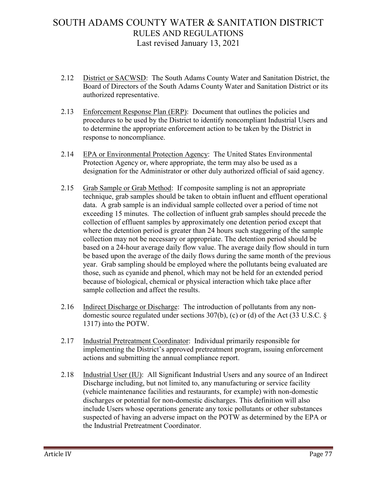- 2.12 District or SACWSD: The South Adams County Water and Sanitation District, the Board of Directors of the South Adams County Water and Sanitation District or its authorized representative.
- 2.13 Enforcement Response Plan (ERP): Document that outlines the policies and procedures to be used by the District to identify noncompliant Industrial Users and to determine the appropriate enforcement action to be taken by the District in response to noncompliance.
- 2.14 EPA or Environmental Protection Agency: The United States Environmental Protection Agency or, where appropriate, the term may also be used as a designation for the Administrator or other duly authorized official of said agency.
- 2.15 Grab Sample or Grab Method: If composite sampling is not an appropriate technique, grab samples should be taken to obtain influent and effluent operational data. A grab sample is an individual sample collected over a period of time not exceeding 15 minutes. The collection of influent grab samples should precede the collection of effluent samples by approximately one detention period except that where the detention period is greater than 24 hours such staggering of the sample collection may not be necessary or appropriate. The detention period should be based on a 24-hour average daily flow value. The average daily flow should in turn be based upon the average of the daily flows during the same month of the previous year. Grab sampling should be employed where the pollutants being evaluated are those, such as cyanide and phenol, which may not be held for an extended period because of biological, chemical or physical interaction which take place after sample collection and affect the results.
- 2.16 Indirect Discharge or Discharge: The introduction of pollutants from any nondomestic source regulated under sections 307(b), (c) or (d) of the Act (33 U.S.C. § 1317) into the POTW.
- 2.17 Industrial Pretreatment Coordinator: Individual primarily responsible for implementing the District's approved pretreatment program, issuing enforcement actions and submitting the annual compliance report.
- 2.18 Industrial User (IU): All Significant Industrial Users and any source of an Indirect Discharge including, but not limited to, any manufacturing or service facility (vehicle maintenance facilities and restaurants, for example) with non-domestic discharges or potential for non-domestic discharges. This definition will also include Users whose operations generate any toxic pollutants or other substances suspected of having an adverse impact on the POTW as determined by the EPA or the Industrial Pretreatment Coordinator.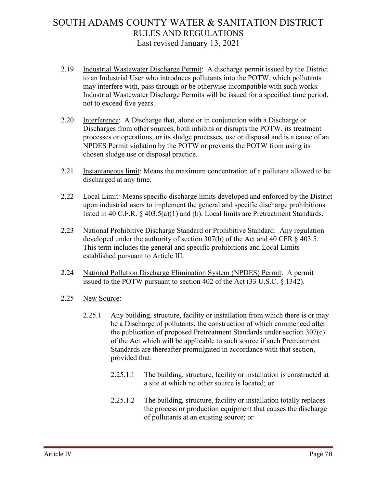- 2.19 Industrial Wastewater Discharge Permit: A discharge permit issued by the District to an Industrial User who introduces pollutants into the POTW, which pollutants may interfere with, pass through or be otherwise incompatible with such works. Industrial Wastewater Discharge Permits will be issued for a specified time period, not to exceed five years.
- 2.20 Interference: A Discharge that, alone or in conjunction with a Discharge or Discharges from other sources, both inhibits or disrupts the POTW, its treatment processes or operations, or its sludge processes, use or disposal and is a cause of an NPDES Permit violation by the POTW or prevents the POTW from using its chosen sludge use or disposal practice.
- 2.21 Instantaneous limit: Means the maximum concentration of a pollutant allowed to be discharged at any time.
- 2.22 Local Limit*:* Means specific discharge limits developed and enforced by the District upon industrial users to implement the general and specific discharge prohibitions listed in 40 C.F.R. § 403.5(a)(1) and (b). Local limits are Pretreatment Standards.
- 2.23 National Prohibitive Discharge Standard or Prohibitive Standard: Any regulation developed under the authority of section 307(b) of the Act and 40 CFR § 403.5. This term includes the general and specific prohibitions and Local Limits established pursuant to Article III.
- 2.24 National Pollution Discharge Elimination System (NPDES) Permit: A permit issued to the POTW pursuant to section 402 of the Act (33 U.S.C. § 1342).
- 2.25 New Source:
	- 2.25.1 Any building, structure, facility or installation from which there is or may be a Discharge of pollutants, the construction of which commenced after the publication of proposed Pretreatment Standards under section 307(c) of the Act which will be applicable to such source if such Pretreatment Standards are thereafter promulgated in accordance with that section, provided that:
		- 2.25.1.1 The building, structure, facility or installation is constructed at a site at which no other source is located; or
		- 2.25.1.2 The building, structure, facility or installation totally replaces the process or production equipment that causes the discharge of pollutants at an existing source; or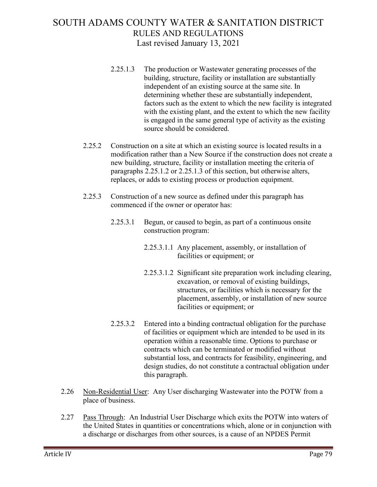- 2.25.1.3 The production or Wastewater generating processes of the building, structure, facility or installation are substantially independent of an existing source at the same site. In determining whether these are substantially independent, factors such as the extent to which the new facility is integrated with the existing plant, and the extent to which the new facility is engaged in the same general type of activity as the existing source should be considered.
- 2.25.2 Construction on a site at which an existing source is located results in a modification rather than a New Source if the construction does not create a new building, structure, facility or installation meeting the criteria of paragraphs 2.25.1.2 or 2.25.1.3 of this section, but otherwise alters, replaces, or adds to existing process or production equipment.
- 2.25.3 Construction of a new source as defined under this paragraph has commenced if the owner or operator has:
	- 2.25.3.1 Begun, or caused to begin, as part of a continuous onsite construction program:
		- 2.25.3.1.1 Any placement, assembly, or installation of facilities or equipment; or
		- 2.25.3.1.2 Significant site preparation work including clearing, excavation, or removal of existing buildings, structures, or facilities which is necessary for the placement, assembly, or installation of new source facilities or equipment; or
	- 2.25.3.2 Entered into a binding contractual obligation for the purchase of facilities or equipment which are intended to be used in its operation within a reasonable time. Options to purchase or contracts which can be terminated or modified without substantial loss, and contracts for feasibility, engineering, and design studies, do not constitute a contractual obligation under this paragraph.
- 2.26 Non-Residential User: Any User discharging Wastewater into the POTW from a place of business.
- 2.27 Pass Through: An Industrial User Discharge which exits the POTW into waters of the United States in quantities or concentrations which, alone or in conjunction with a discharge or discharges from other sources, is a cause of an NPDES Permit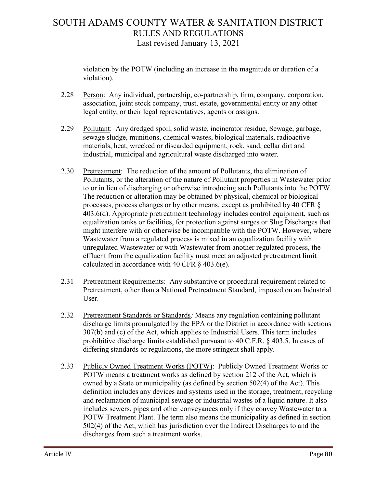violation by the POTW (including an increase in the magnitude or duration of a violation).

- 2.28 Person: Any individual, partnership, co-partnership, firm, company, corporation, association, joint stock company, trust, estate, governmental entity or any other legal entity, or their legal representatives, agents or assigns.
- 2.29 Pollutant: Any dredged spoil, solid waste, incinerator residue, Sewage, garbage, sewage sludge, munitions, chemical wastes, biological materials, radioactive materials, heat, wrecked or discarded equipment, rock, sand, cellar dirt and industrial, municipal and agricultural waste discharged into water.
- 2.30 Pretreatment: The reduction of the amount of Pollutants, the elimination of Pollutants, or the alteration of the nature of Pollutant properties in Wastewater prior to or in lieu of discharging or otherwise introducing such Pollutants into the POTW. The reduction or alteration may be obtained by physical, chemical or biological processes, process changes or by other means, except as prohibited by 40 CFR § 403.6(d). Appropriate pretreatment technology includes control equipment, such as equalization tanks or facilities, for protection against surges or Slug Discharges that might interfere with or otherwise be incompatible with the POTW. However, where Wastewater from a regulated process is mixed in an equalization facility with unregulated Wastewater or with Wastewater from another regulated process, the effluent from the equalization facility must meet an adjusted pretreatment limit calculated in accordance with 40 CFR § 403.6(e).
- 2.31 Pretreatment Requirements: Any substantive or procedural requirement related to Pretreatment, other than a National Pretreatment Standard, imposed on an Industrial User.
- 2.32 Pretreatment Standards or Standards*:* Means any regulation containing pollutant discharge limits promulgated by the EPA or the District in accordance with sections 307(b) and (c) of the Act, which applies to Industrial Users. This term includes prohibitive discharge limits established pursuant to 40 C.F.R. § 403.5. In cases of differing standards or regulations, the more stringent shall apply.
- 2.33 Publicly Owned Treatment Works (POTW): Publicly Owned Treatment Works or POTW means a treatment works as defined by section 212 of the Act, which is owned by a State or municipality (as defined by section 502(4) of the Act). This definition includes any devices and systems used in the storage, treatment, recycling and reclamation of municipal sewage or industrial wastes of a liquid nature. It also includes sewers, pipes and other conveyances only if they convey Wastewater to a POTW Treatment Plant. The term also means the municipality as defined in section 502(4) of the Act, which has jurisdiction over the Indirect Discharges to and the discharges from such a treatment works.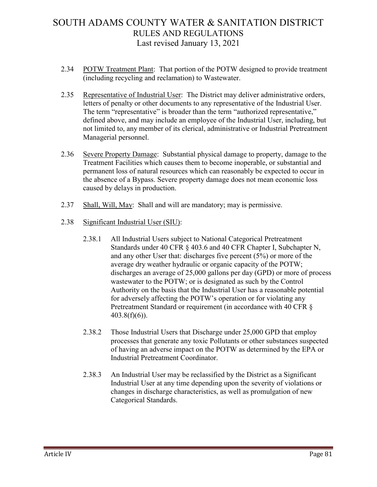- 2.34 POTW Treatment Plant: That portion of the POTW designed to provide treatment (including recycling and reclamation) to Wastewater.
- 2.35 Representative of Industrial User: The District may deliver administrative orders, letters of penalty or other documents to any representative of the Industrial User. The term "representative" is broader than the term "authorized representative," defined above, and may include an employee of the Industrial User, including, but not limited to, any member of its clerical, administrative or Industrial Pretreatment Managerial personnel.
- 2.36 Severe Property Damage: Substantial physical damage to property, damage to the Treatment Facilities which causes them to become inoperable, or substantial and permanent loss of natural resources which can reasonably be expected to occur in the absence of a Bypass. Severe property damage does not mean economic loss caused by delays in production.
- 2.37 Shall, Will, May: Shall and will are mandatory; may is permissive.
- 2.38 Significant Industrial User (SIU):
	- 2.38.1 All Industrial Users subject to National Categorical Pretreatment Standards under 40 CFR § 403.6 and 40 CFR Chapter I, Subchapter N, and any other User that: discharges five percent (5%) or more of the average dry weather hydraulic or organic capacity of the POTW; discharges an average of 25,000 gallons per day (GPD) or more of process wastewater to the POTW; or is designated as such by the Control Authority on the basis that the Industrial User has a reasonable potential for adversely affecting the POTW's operation or for violating any Pretreatment Standard or requirement (in accordance with 40 CFR  $\S$ 403.8(f)(6)).
	- 2.38.2 Those Industrial Users that Discharge under 25,000 GPD that employ processes that generate any toxic Pollutants or other substances suspected of having an adverse impact on the POTW as determined by the EPA or Industrial Pretreatment Coordinator.
	- 2.38.3 An Industrial User may be reclassified by the District as a Significant Industrial User at any time depending upon the severity of violations or changes in discharge characteristics, as well as promulgation of new Categorical Standards.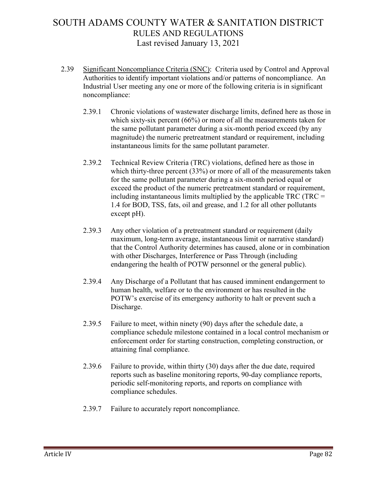- 2.39 Significant Noncompliance Criteria (SNC): Criteria used by Control and Approval Authorities to identify important violations and/or patterns of noncompliance. An Industrial User meeting any one or more of the following criteria is in significant noncompliance:
	- 2.39.1 Chronic violations of wastewater discharge limits, defined here as those in which sixty-six percent (66%) or more of all the measurements taken for the same pollutant parameter during a six-month period exceed (by any magnitude) the numeric pretreatment standard or requirement, including instantaneous limits for the same pollutant parameter.
	- 2.39.2 Technical Review Criteria (TRC) violations, defined here as those in which thirty-three percent (33%) or more of all of the measurements taken for the same pollutant parameter during a six-month period equal or exceed the product of the numeric pretreatment standard or requirement, including instantaneous limits multiplied by the applicable TRC (TRC = 1.4 for BOD, TSS, fats, oil and grease, and 1.2 for all other pollutants except pH).
	- 2.39.3 Any other violation of a pretreatment standard or requirement (daily maximum, long-term average, instantaneous limit or narrative standard) that the Control Authority determines has caused, alone or in combination with other Discharges, Interference or Pass Through (including endangering the health of POTW personnel or the general public).
	- 2.39.4 Any Discharge of a Pollutant that has caused imminent endangerment to human health, welfare or to the environment or has resulted in the POTW's exercise of its emergency authority to halt or prevent such a Discharge.
	- 2.39.5 Failure to meet, within ninety (90) days after the schedule date, a compliance schedule milestone contained in a local control mechanism or enforcement order for starting construction, completing construction, or attaining final compliance.
	- 2.39.6 Failure to provide, within thirty (30) days after the due date, required reports such as baseline monitoring reports, 90-day compliance reports, periodic self-monitoring reports, and reports on compliance with compliance schedules.
	- 2.39.7 Failure to accurately report noncompliance.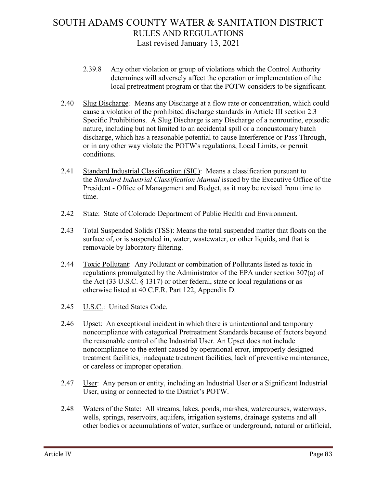- 2.39.8 Any other violation or group of violations which the Control Authority determines will adversely affect the operation or implementation of the local pretreatment program or that the POTW considers to be significant.
- 2.40 Slug Discharge*:* Means any Discharge at a flow rate or concentration, which could cause a violation of the prohibited discharge standards in Article III section 2.3 Specific Prohibitions. A Slug Discharge is any Discharge of a nonroutine, episodic nature, including but not limited to an accidental spill or a noncustomary batch discharge, which has a reasonable potential to cause Interference or Pass Through, or in any other way violate the POTW's regulations, Local Limits, or permit conditions.
- 2.41 Standard Industrial Classification (SIC): Means a classification pursuant to the *Standard Industrial Classification Manual* issued by the Executive Office of the President - Office of Management and Budget, as it may be revised from time to time.
- 2.42 State: State of Colorado Department of Public Health and Environment.
- 2.43 Total Suspended Solids (TSS): Means the total suspended matter that floats on the surface of, or is suspended in, water, wastewater, or other liquids, and that is removable by laboratory filtering.
- 2.44 Toxic Pollutant: Any Pollutant or combination of Pollutants listed as toxic in regulations promulgated by the Administrator of the EPA under section 307(a) of the Act (33 U.S.C. § 1317) or other federal, state or local regulations or as otherwise listed at 40 C.F.R. Part 122, Appendix D.
- 2.45 U.S.C.: United States Code.
- 2.46 Upset: An exceptional incident in which there is unintentional and temporary noncompliance with categorical Pretreatment Standards because of factors beyond the reasonable control of the Industrial User. An Upset does not include noncompliance to the extent caused by operational error, improperly designed treatment facilities, inadequate treatment facilities, lack of preventive maintenance, or careless or improper operation.
- 2.47 User: Any person or entity, including an Industrial User or a Significant Industrial User, using or connected to the District's POTW.
- 2.48 Waters of the State: All streams, lakes, ponds, marshes, watercourses, waterways, wells, springs, reservoirs, aquifers, irrigation systems, drainage systems and all other bodies or accumulations of water, surface or underground, natural or artificial,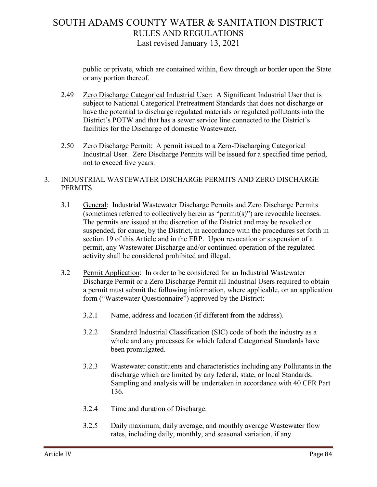public or private, which are contained within, flow through or border upon the State or any portion thereof.

- 2.49 Zero Discharge Categorical Industrial User: A Significant Industrial User that is subject to National Categorical Pretreatment Standards that does not discharge or have the potential to discharge regulated materials or regulated pollutants into the District's POTW and that has a sewer service line connected to the District's facilities for the Discharge of domestic Wastewater.
- 2.50 Zero Discharge Permit: A permit issued to a Zero-Discharging Categorical Industrial User. Zero Discharge Permits will be issued for a specified time period, not to exceed five years.

### 3. INDUSTRIAL WASTEWATER DISCHARGE PERMITS AND ZERO DISCHARGE PERMITS

- 3.1 General: Industrial Wastewater Discharge Permits and Zero Discharge Permits (sometimes referred to collectively herein as "permit(s)") are revocable licenses. The permits are issued at the discretion of the District and may be revoked or suspended, for cause, by the District, in accordance with the procedures set forth in section 19 of this Article and in the ERP. Upon revocation or suspension of a permit, any Wastewater Discharge and/or continued operation of the regulated activity shall be considered prohibited and illegal.
- 3.2 Permit Application: In order to be considered for an Industrial Wastewater Discharge Permit or a Zero Discharge Permit all Industrial Users required to obtain a permit must submit the following information, where applicable, on an application form ("Wastewater Questionnaire") approved by the District:
	- 3.2.1 Name, address and location (if different from the address).
	- 3.2.2 Standard Industrial Classification (SIC) code of both the industry as a whole and any processes for which federal Categorical Standards have been promulgated.
	- 3.2.3 Wastewater constituents and characteristics including any Pollutants in the discharge which are limited by any federal, state, or local Standards. Sampling and analysis will be undertaken in accordance with 40 CFR Part 136.
	- 3.2.4 Time and duration of Discharge.
	- 3.2.5 Daily maximum, daily average, and monthly average Wastewater flow rates, including daily, monthly, and seasonal variation, if any.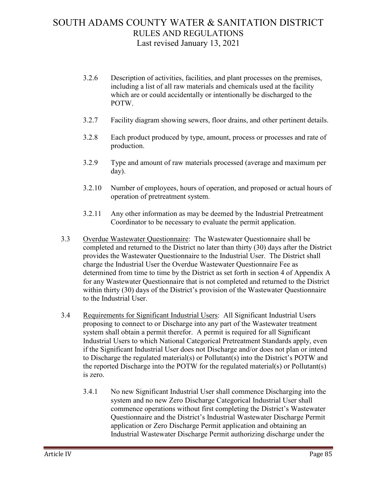- 3.2.6 Description of activities, facilities, and plant processes on the premises, including a list of all raw materials and chemicals used at the facility which are or could accidentally or intentionally be discharged to the POTW.
- 3.2.7 Facility diagram showing sewers, floor drains, and other pertinent details.
- 3.2.8 Each product produced by type, amount, process or processes and rate of production.
- 3.2.9 Type and amount of raw materials processed (average and maximum per day).
- 3.2.10 Number of employees, hours of operation, and proposed or actual hours of operation of pretreatment system.
- 3.2.11 Any other information as may be deemed by the Industrial Pretreatment Coordinator to be necessary to evaluate the permit application.
- 3.3 Overdue Wastewater Questionnaire: The Wastewater Questionnaire shall be completed and returned to the District no later than thirty (30) days after the District provides the Wastewater Questionnaire to the Industrial User. The District shall charge the Industrial User the Overdue Wastewater Questionnaire Fee as determined from time to time by the District as set forth in section 4 of Appendix A for any Wastewater Questionnaire that is not completed and returned to the District within thirty (30) days of the District's provision of the Wastewater Questionnaire to the Industrial User.
- 3.4 Requirements for Significant Industrial Users: All Significant Industrial Users proposing to connect to or Discharge into any part of the Wastewater treatment system shall obtain a permit therefor. A permit is required for all Significant Industrial Users to which National Categorical Pretreatment Standards apply, even if the Significant Industrial User does not Discharge and/or does not plan or intend to Discharge the regulated material(s) or Pollutant(s) into the District's POTW and the reported Discharge into the POTW for the regulated material(s) or Pollutant(s) is zero.
	- 3.4.1 No new Significant Industrial User shall commence Discharging into the system and no new Zero Discharge Categorical Industrial User shall commence operations without first completing the District's Wastewater Questionnaire and the District's Industrial Wastewater Discharge Permit application or Zero Discharge Permit application and obtaining an Industrial Wastewater Discharge Permit authorizing discharge under the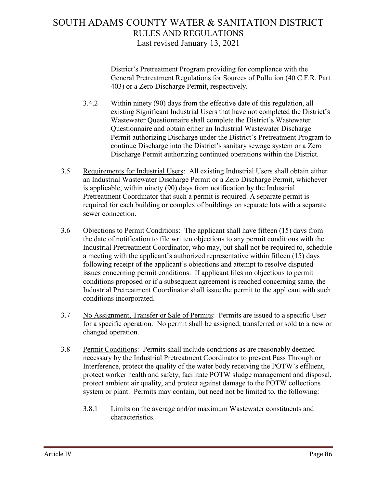District's Pretreatment Program providing for compliance with the General Pretreatment Regulations for Sources of Pollution (40 C.F.R. Part 403) or a Zero Discharge Permit, respectively.

- 3.4.2 Within ninety (90) days from the effective date of this regulation, all existing Significant Industrial Users that have not completed the District's Wastewater Questionnaire shall complete the District's Wastewater Questionnaire and obtain either an Industrial Wastewater Discharge Permit authorizing Discharge under the District's Pretreatment Program to continue Discharge into the District's sanitary sewage system or a Zero Discharge Permit authorizing continued operations within the District.
- 3.5 Requirements for Industrial Users: All existing Industrial Users shall obtain either an Industrial Wastewater Discharge Permit or a Zero Discharge Permit, whichever is applicable, within ninety (90) days from notification by the Industrial Pretreatment Coordinator that such a permit is required. A separate permit is required for each building or complex of buildings on separate lots with a separate sewer connection.
- 3.6 Objections to Permit Conditions: The applicant shall have fifteen (15) days from the date of notification to file written objections to any permit conditions with the Industrial Pretreatment Coordinator, who may, but shall not be required to, schedule a meeting with the applicant's authorized representative within fifteen (15) days following receipt of the applicant's objections and attempt to resolve disputed issues concerning permit conditions. If applicant files no objections to permit conditions proposed or if a subsequent agreement is reached concerning same, the Industrial Pretreatment Coordinator shall issue the permit to the applicant with such conditions incorporated.
- 3.7 No Assignment, Transfer or Sale of Permits: Permits are issued to a specific User for a specific operation. No permit shall be assigned, transferred or sold to a new or changed operation.
- 3.8 Permit Conditions: Permits shall include conditions as are reasonably deemed necessary by the Industrial Pretreatment Coordinator to prevent Pass Through or Interference, protect the quality of the water body receiving the POTW's effluent, protect worker health and safety, facilitate POTW sludge management and disposal, protect ambient air quality, and protect against damage to the POTW collections system or plant. Permits may contain, but need not be limited to, the following:
	- 3.8.1 Limits on the average and/or maximum Wastewater constituents and characteristics.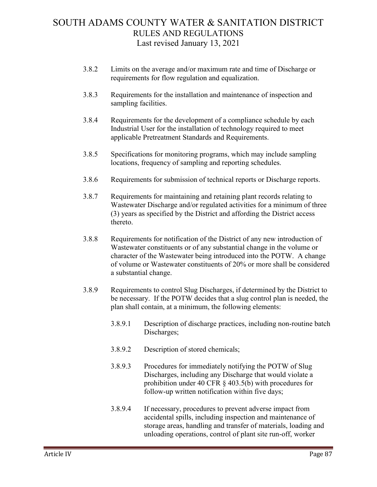- 3.8.2 Limits on the average and/or maximum rate and time of Discharge or requirements for flow regulation and equalization.
- 3.8.3 Requirements for the installation and maintenance of inspection and sampling facilities.
- 3.8.4 Requirements for the development of a compliance schedule by each Industrial User for the installation of technology required to meet applicable Pretreatment Standards and Requirements.
- 3.8.5 Specifications for monitoring programs, which may include sampling locations, frequency of sampling and reporting schedules.
- 3.8.6 Requirements for submission of technical reports or Discharge reports.
- 3.8.7 Requirements for maintaining and retaining plant records relating to Wastewater Discharge and/or regulated activities for a minimum of three (3) years as specified by the District and affording the District access thereto.
- 3.8.8 Requirements for notification of the District of any new introduction of Wastewater constituents or of any substantial change in the volume or character of the Wastewater being introduced into the POTW. A change of volume or Wastewater constituents of 20% or more shall be considered a substantial change.
- 3.8.9 Requirements to control Slug Discharges, if determined by the District to be necessary. If the POTW decides that a slug control plan is needed, the plan shall contain, at a minimum, the following elements:
	- 3.8.9.1 Description of discharge practices, including non-routine batch Discharges;
	- 3.8.9.2 Description of stored chemicals;
	- 3.8.9.3 Procedures for immediately notifying the POTW of Slug Discharges, including any Discharge that would violate a prohibition under 40 CFR § 403.5(b) with procedures for follow-up written notification within five days;
	- 3.8.9.4 If necessary, procedures to prevent adverse impact from accidental spills, including inspection and maintenance of storage areas, handling and transfer of materials, loading and unloading operations, control of plant site run-off, worker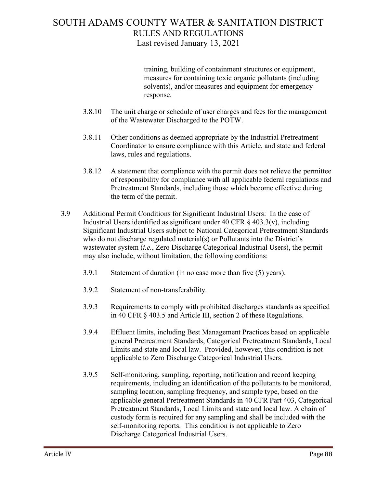training, building of containment structures or equipment, measures for containing toxic organic pollutants (including solvents), and/or measures and equipment for emergency response.

- 3.8.10 The unit charge or schedule of user charges and fees for the management of the Wastewater Discharged to the POTW.
- 3.8.11 Other conditions as deemed appropriate by the Industrial Pretreatment Coordinator to ensure compliance with this Article, and state and federal laws, rules and regulations.
- 3.8.12 A statement that compliance with the permit does not relieve the permittee of responsibility for compliance with all applicable federal regulations and Pretreatment Standards, including those which become effective during the term of the permit.
- 3.9 Additional Permit Conditions for Significant Industrial Users: In the case of Industrial Users identified as significant under 40 CFR  $\S$  403.3(v), including Significant Industrial Users subject to National Categorical Pretreatment Standards who do not discharge regulated material(s) or Pollutants into the District's wastewater system (*i.e.*, Zero Discharge Categorical Industrial Users), the permit may also include, without limitation, the following conditions:
	- 3.9.1 Statement of duration (in no case more than five (5) years).
	- 3.9.2 Statement of non-transferability.
	- 3.9.3 Requirements to comply with prohibited discharges standards as specified in 40 CFR § 403.5 and Article III, section 2 of these Regulations.
	- 3.9.4 Effluent limits, including Best Management Practices based on applicable general Pretreatment Standards, Categorical Pretreatment Standards, Local Limits and state and local law. Provided, however, this condition is not applicable to Zero Discharge Categorical Industrial Users.
	- 3.9.5 Self-monitoring, sampling, reporting, notification and record keeping requirements, including an identification of the pollutants to be monitored, sampling location, sampling frequency, and sample type, based on the applicable general Pretreatment Standards in 40 CFR Part 403, Categorical Pretreatment Standards, Local Limits and state and local law. A chain of custody form is required for any sampling and shall be included with the self-monitoring reports. This condition is not applicable to Zero Discharge Categorical Industrial Users.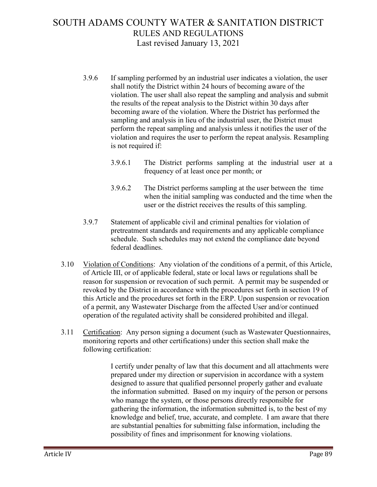- 3.9.6 If sampling performed by an industrial user indicates a violation, the user shall notify the District within 24 hours of becoming aware of the violation. The user shall also repeat the sampling and analysis and submit the results of the repeat analysis to the District within 30 days after becoming aware of the violation. Where the District has performed the sampling and analysis in lieu of the industrial user, the District must perform the repeat sampling and analysis unless it notifies the user of the violation and requires the user to perform the repeat analysis. Resampling is not required if:
	- 3.9.6.1 The District performs sampling at the industrial user at a frequency of at least once per month; or
	- 3.9.6.2 The District performs sampling at the user between the time when the initial sampling was conducted and the time when the user or the district receives the results of this sampling.
- 3.9.7 Statement of applicable civil and criminal penalties for violation of pretreatment standards and requirements and any applicable compliance schedule. Such schedules may not extend the compliance date beyond federal deadlines.
- 3.10 Violation of Conditions: Any violation of the conditions of a permit, of this Article, of Article III, or of applicable federal, state or local laws or regulations shall be reason for suspension or revocation of such permit. A permit may be suspended or revoked by the District in accordance with the procedures set forth in section 19 of this Article and the procedures set forth in the ERP. Upon suspension or revocation of a permit, any Wastewater Discharge from the affected User and/or continued operation of the regulated activity shall be considered prohibited and illegal.
- 3.11 Certification: Any person signing a document (such as Wastewater Questionnaires, monitoring reports and other certifications) under this section shall make the following certification:

I certify under penalty of law that this document and all attachments were prepared under my direction or supervision in accordance with a system designed to assure that qualified personnel properly gather and evaluate the information submitted. Based on my inquiry of the person or persons who manage the system, or those persons directly responsible for gathering the information, the information submitted is, to the best of my knowledge and belief, true, accurate, and complete. I am aware that there are substantial penalties for submitting false information, including the possibility of fines and imprisonment for knowing violations.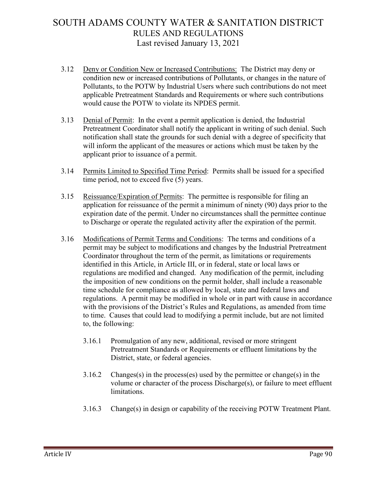- 3.12 Deny or Condition New or Increased Contributions: The District may deny or condition new or increased contributions of Pollutants, or changes in the nature of Pollutants, to the POTW by Industrial Users where such contributions do not meet applicable Pretreatment Standards and Requirements or where such contributions would cause the POTW to violate its NPDES permit.
- 3.13 Denial of Permit: In the event a permit application is denied, the Industrial Pretreatment Coordinator shall notify the applicant in writing of such denial. Such notification shall state the grounds for such denial with a degree of specificity that will inform the applicant of the measures or actions which must be taken by the applicant prior to issuance of a permit.
- 3.14 Permits Limited to Specified Time Period: Permits shall be issued for a specified time period, not to exceed five (5) years.
- 3.15 Reissuance/Expiration of Permits: The permittee is responsible for filing an application for reissuance of the permit a minimum of ninety (90) days prior to the expiration date of the permit. Under no circumstances shall the permittee continue to Discharge or operate the regulated activity after the expiration of the permit.
- 3.16 Modifications of Permit Terms and Conditions: The terms and conditions of a permit may be subject to modifications and changes by the Industrial Pretreatment Coordinator throughout the term of the permit, as limitations or requirements identified in this Article, in Article III, or in federal, state or local laws or regulations are modified and changed. Any modification of the permit, including the imposition of new conditions on the permit holder, shall include a reasonable time schedule for compliance as allowed by local, state and federal laws and regulations. A permit may be modified in whole or in part with cause in accordance with the provisions of the District's Rules and Regulations, as amended from time to time. Causes that could lead to modifying a permit include, but are not limited to, the following:
	- 3.16.1 Promulgation of any new, additional, revised or more stringent Pretreatment Standards or Requirements or effluent limitations by the District, state, or federal agencies.
	- 3.16.2 Changes(s) in the process(es) used by the permittee or change(s) in the volume or character of the process Discharge(s), or failure to meet effluent limitations.
	- 3.16.3 Change(s) in design or capability of the receiving POTW Treatment Plant.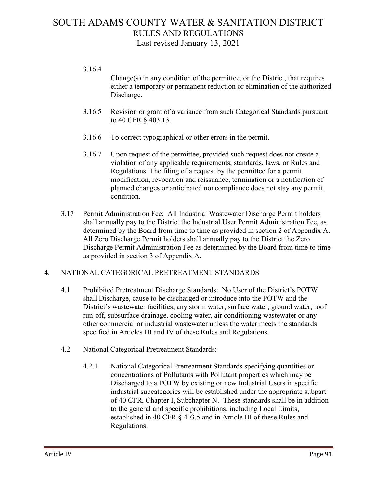- 3.16.4  $Change(s)$  in any condition of the permittee, or the District, that requires either a temporary or permanent reduction or elimination of the authorized Discharge.
- 3.16.5 Revision or grant of a variance from such Categorical Standards pursuant to 40 CFR § 403.13.
- 3.16.6 To correct typographical or other errors in the permit.
- 3.16.7 Upon request of the permittee, provided such request does not create a violation of any applicable requirements, standards, laws, or Rules and Regulations. The filing of a request by the permittee for a permit modification, revocation and reissuance, termination or a notification of planned changes or anticipated noncompliance does not stay any permit condition.
- 3.17 Permit Administration Fee: All Industrial Wastewater Discharge Permit holders shall annually pay to the District the Industrial User Permit Administration Fee, as determined by the Board from time to time as provided in section 2 of Appendix A. All Zero Discharge Permit holders shall annually pay to the District the Zero Discharge Permit Administration Fee as determined by the Board from time to time as provided in section 3 of Appendix A.

### 4. NATIONAL CATEGORICAL PRETREATMENT STANDARDS

- 4.1 Prohibited Pretreatment Discharge Standards: No User of the District's POTW shall Discharge, cause to be discharged or introduce into the POTW and the District's wastewater facilities, any storm water, surface water, ground water, roof run-off, subsurface drainage, cooling water, air conditioning wastewater or any other commercial or industrial wastewater unless the water meets the standards specified in Articles III and IV of these Rules and Regulations.
- 4.2 National Categorical Pretreatment Standards:
	- 4.2.1 National Categorical Pretreatment Standards specifying quantities or concentrations of Pollutants with Pollutant properties which may be Discharged to a POTW by existing or new Industrial Users in specific industrial subcategories will be established under the appropriate subpart of 40 CFR, Chapter I, Subchapter N. These standards shall be in addition to the general and specific prohibitions, including Local Limits, established in 40 CFR § 403.5 and in Article III of these Rules and Regulations.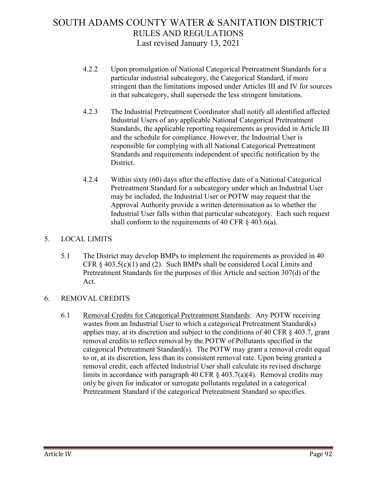- 4.2.2 Upon promulgation of National Categorical Pretreatment Standards for a particular industrial subcategory, the Categorical Standard, if more stringent than the limitations imposed under Articles III and IV for sources in that subcategory, shall supersede the less stringent limitations.
- 4.2.3 The Industrial Pretreatment Coordinator shall notify all identified affected Industrial Users of any applicable National Categorical Pretreatment Standards, the applicable reporting requirements as provided in Article III and the schedule for compliance. However, the Industrial User is responsible for complying with all National Categorical Pretreatment Standards and requirements independent of specific notification by the District.
- 4.2.4 Within sixty (60) days after the effective date of a National Categorical Pretreatment Standard for a subcategory under which an Industrial User may be included, the Industrial User or POTW may request that the Approval Authority provide a written determination as to whether the Industrial User falls within that particular subcategory. Each such request shall conform to the requirements of 40 CFR  $\S$  403.6(a).

### 5. LOCAL LIMITS

5.1 The District may develop BMPs to implement the requirements as provided in 40 CFR  $\S$  403.5(c)(1) and (2). Such BMPs shall be considered Local Limits and Pretreatment Standards for the purposes of this Article and section 307(d) of the Act.

### 6. REMOVAL CREDITS

6.1 Removal Credits for Categorical Pretreatment Standards: Any POTW receiving wastes from an Industrial User to which a categorical Pretreatment Standard(s) applies may, at its discretion and subject to the conditions of 40 CFR § 403.7, grant removal credits to reflect removal by the POTW of Pollutants specified in the categorical Pretreatment Standard(s). The POTW may grant a removal credit equal to or, at its discretion, less than its consistent removal rate. Upon being granted a removal credit, each affected Industrial User shall calculate its revised discharge limits in accordance with paragraph 40 CFR  $\frac{1}{2}$  403.7(a)(4). Removal credits may only be given for indicator or surrogate pollutants regulated in a categorical Pretreatment Standard if the categorical Pretreatment Standard so specifies.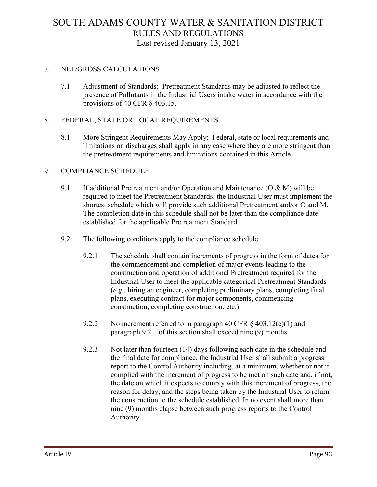### 7. NET/GROSS CALCULATIONS

7.1 Adjustment of Standards: Pretreatment Standards may be adjusted to reflect the presence of Pollutants in the Industrial Users intake water in accordance with the provisions of 40 CFR § 403.15.

### 8. FEDERAL, STATE OR LOCAL REQUIREMENTS

8.1 More Stringent Requirements May Apply: Federal, state or local requirements and limitations on discharges shall apply in any case where they are more stringent than the pretreatment requirements and limitations contained in this Article.

### 9. COMPLIANCE SCHEDULE

- 9.1 If additional Pretreatment and/or Operation and Maintenance (O & M) will be required to meet the Pretreatment Standards; the Industrial User must implement the shortest schedule which will provide such additional Pretreatment and/or O and M. The completion date in this schedule shall not be later than the compliance date established for the applicable Pretreatment Standard.
- 9.2 The following conditions apply to the compliance schedule:
	- 9.2.1 The schedule shall contain increments of progress in the form of dates for the commencement and completion of major events leading to the construction and operation of additional Pretreatment required for the Industrial User to meet the applicable categorical Pretreatment Standards (*e.g.*, hiring an engineer, completing preliminary plans, completing final plans, executing contract for major components, commencing construction, completing construction, etc.).
	- 9.2.2 No increment referred to in paragraph 40 CFR  $\S$  403.12(c)(1) and paragraph 9.2.1 of this section shall exceed nine (9) months.
	- 9.2.3 Not later than fourteen (14) days following each date in the schedule and the final date for compliance, the Industrial User shall submit a progress report to the Control Authority including, at a minimum, whether or not it complied with the increment of progress to be met on such date and, if not, the date on which it expects to comply with this increment of progress, the reason for delay, and the steps being taken by the Industrial User to return the construction to the schedule established. In no event shall more than nine (9) months elapse between such progress reports to the Control Authority.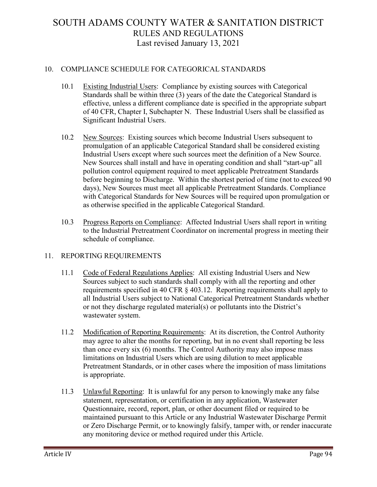#### 10. COMPLIANCE SCHEDULE FOR CATEGORICAL STANDARDS

- 10.1 Existing Industrial Users: Compliance by existing sources with Categorical Standards shall be within three (3) years of the date the Categorical Standard is effective, unless a different compliance date is specified in the appropriate subpart of 40 CFR, Chapter I, Subchapter N. These Industrial Users shall be classified as Significant Industrial Users.
- 10.2 New Sources: Existing sources which become Industrial Users subsequent to promulgation of an applicable Categorical Standard shall be considered existing Industrial Users except where such sources meet the definition of a New Source. New Sources shall install and have in operating condition and shall "start-up" all pollution control equipment required to meet applicable Pretreatment Standards before beginning to Discharge. Within the shortest period of time (not to exceed 90 days), New Sources must meet all applicable Pretreatment Standards. Compliance with Categorical Standards for New Sources will be required upon promulgation or as otherwise specified in the applicable Categorical Standard.
- 10.3 Progress Reports on Compliance: Affected Industrial Users shall report in writing to the Industrial Pretreatment Coordinator on incremental progress in meeting their schedule of compliance.

#### 11. REPORTING REQUIREMENTS

- 11.1 Code of Federal Regulations Applies: All existing Industrial Users and New Sources subject to such standards shall comply with all the reporting and other requirements specified in 40 CFR § 403.12. Reporting requirements shall apply to all Industrial Users subject to National Categorical Pretreatment Standards whether or not they discharge regulated material(s) or pollutants into the District's wastewater system.
- 11.2 Modification of Reporting Requirements: At its discretion, the Control Authority may agree to alter the months for reporting, but in no event shall reporting be less than once every six (6) months. The Control Authority may also impose mass limitations on Industrial Users which are using dilution to meet applicable Pretreatment Standards, or in other cases where the imposition of mass limitations is appropriate.
- 11.3 Unlawful Reporting: It is unlawful for any person to knowingly make any false statement, representation, or certification in any application, Wastewater Questionnaire, record, report, plan, or other document filed or required to be maintained pursuant to this Article or any Industrial Wastewater Discharge Permit or Zero Discharge Permit, or to knowingly falsify, tamper with, or render inaccurate any monitoring device or method required under this Article.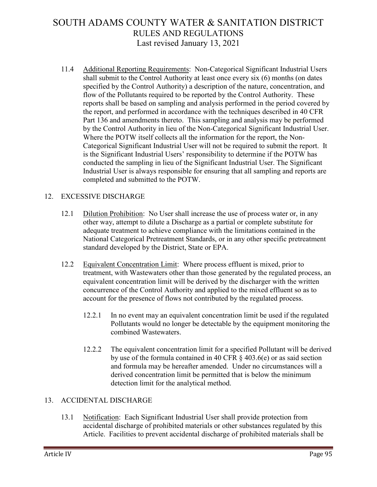11.4 Additional Reporting Requirements: Non-Categorical Significant Industrial Users shall submit to the Control Authority at least once every six (6) months (on dates specified by the Control Authority) a description of the nature, concentration, and flow of the Pollutants required to be reported by the Control Authority. These reports shall be based on sampling and analysis performed in the period covered by the report, and performed in accordance with the techniques described in 40 CFR Part 136 and amendments thereto. This sampling and analysis may be performed by the Control Authority in lieu of the Non-Categorical Significant Industrial User. Where the POTW itself collects all the information for the report, the Non-Categorical Significant Industrial User will not be required to submit the report. It is the Significant Industrial Users' responsibility to determine if the POTW has conducted the sampling in lieu of the Significant Industrial User. The Significant Industrial User is always responsible for ensuring that all sampling and reports are completed and submitted to the POTW.

### 12. EXCESSIVE DISCHARGE

- 12.1 Dilution Prohibition: No User shall increase the use of process water or, in any other way, attempt to dilute a Discharge as a partial or complete substitute for adequate treatment to achieve compliance with the limitations contained in the National Categorical Pretreatment Standards, or in any other specific pretreatment standard developed by the District, State or EPA.
- 12.2 Equivalent Concentration Limit: Where process effluent is mixed, prior to treatment, with Wastewaters other than those generated by the regulated process, an equivalent concentration limit will be derived by the discharger with the written concurrence of the Control Authority and applied to the mixed effluent so as to account for the presence of flows not contributed by the regulated process.
	- 12.2.1 In no event may an equivalent concentration limit be used if the regulated Pollutants would no longer be detectable by the equipment monitoring the combined Wastewaters.
	- 12.2.2 The equivalent concentration limit for a specified Pollutant will be derived by use of the formula contained in 40 CFR § 403.6(e) or as said section and formula may be hereafter amended. Under no circumstances will a derived concentration limit be permitted that is below the minimum detection limit for the analytical method.

### 13. ACCIDENTAL DISCHARGE

13.1 Notification: Each Significant Industrial User shall provide protection from accidental discharge of prohibited materials or other substances regulated by this Article. Facilities to prevent accidental discharge of prohibited materials shall be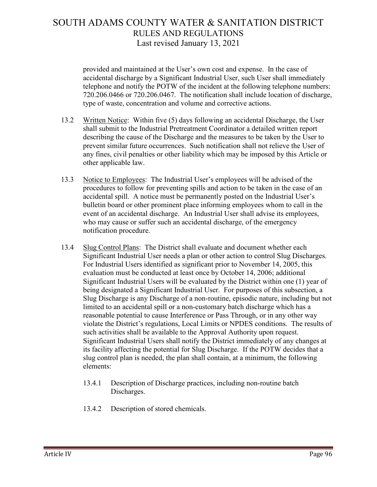provided and maintained at the User's own cost and expense. In the case of accidental discharge by a Significant Industrial User, such User shall immediately telephone and notify the POTW of the incident at the following telephone numbers: 720.206.0466 or 720.206.0467. The notification shall include location of discharge, type of waste, concentration and volume and corrective actions.

- 13.2 Written Notice: Within five (5) days following an accidental Discharge, the User shall submit to the Industrial Pretreatment Coordinator a detailed written report describing the cause of the Discharge and the measures to be taken by the User to prevent similar future occurrences. Such notification shall not relieve the User of any fines, civil penalties or other liability which may be imposed by this Article or other applicable law.
- 13.3 Notice to Employees: The Industrial User's employees will be advised of the procedures to follow for preventing spills and action to be taken in the case of an accidental spill. A notice must be permanently posted on the Industrial User's bulletin board or other prominent place informing employees whom to call in the event of an accidental discharge. An Industrial User shall advise its employees, who may cause or suffer such an accidental discharge, of the emergency notification procedure.
- 13.4 Slug Control Plans: The District shall evaluate and document whether each Significant Industrial User needs a plan or other action to control Slug Discharges. For Industrial Users identified as significant prior to November 14, 2005, this evaluation must be conducted at least once by October 14, 2006; additional Significant Industrial Users will be evaluated by the District within one (1) year of being designated a Significant Industrial User. For purposes of this subsection, a Slug Discharge is any Discharge of a non-routine, episodic nature, including but not limited to an accidental spill or a non-customary batch discharge which has a reasonable potential to cause Interference or Pass Through, or in any other way violate the District's regulations, Local Limits or NPDES conditions. The results of such activities shall be available to the Approval Authority upon request. Significant Industrial Users shall notify the District immediately of any changes at its facility affecting the potential for Slug Discharge. If the POTW decides that a slug control plan is needed, the plan shall contain, at a minimum, the following elements:
	- 13.4.1 Description of Discharge practices, including non-routine batch Discharges.
	- 13.4.2 Description of stored chemicals.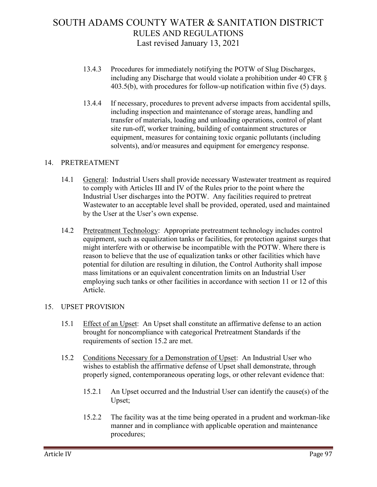- 13.4.3 Procedures for immediately notifying the POTW of Slug Discharges, including any Discharge that would violate a prohibition under 40 CFR § 403.5(b), with procedures for follow-up notification within five (5) days.
- 13.4.4 If necessary, procedures to prevent adverse impacts from accidental spills, including inspection and maintenance of storage areas, handling and transfer of materials, loading and unloading operations, control of plant site run-off, worker training, building of containment structures or equipment, measures for containing toxic organic pollutants (including solvents), and/or measures and equipment for emergency response.

### 14. PRETREATMENT

- 14.1 General: Industrial Users shall provide necessary Wastewater treatment as required to comply with Articles III and IV of the Rules prior to the point where the Industrial User discharges into the POTW. Any facilities required to pretreat Wastewater to an acceptable level shall be provided, operated, used and maintained by the User at the User's own expense.
- 14.2 Pretreatment Technology: Appropriate pretreatment technology includes control equipment, such as equalization tanks or facilities, for protection against surges that might interfere with or otherwise be incompatible with the POTW. Where there is reason to believe that the use of equalization tanks or other facilities which have potential for dilution are resulting in dilution, the Control Authority shall impose mass limitations or an equivalent concentration limits on an Industrial User employing such tanks or other facilities in accordance with section 11 or 12 of this Article.

### 15. UPSET PROVISION

- 15.1 Effect of an Upset: An Upset shall constitute an affirmative defense to an action brought for noncompliance with categorical Pretreatment Standards if the requirements of section 15.2 are met.
- 15.2 Conditions Necessary for a Demonstration of Upset: An Industrial User who wishes to establish the affirmative defense of Upset shall demonstrate, through properly signed, contemporaneous operating logs, or other relevant evidence that:
	- 15.2.1 An Upset occurred and the Industrial User can identify the cause(s) of the Upset;
	- 15.2.2 The facility was at the time being operated in a prudent and workman-like manner and in compliance with applicable operation and maintenance procedures;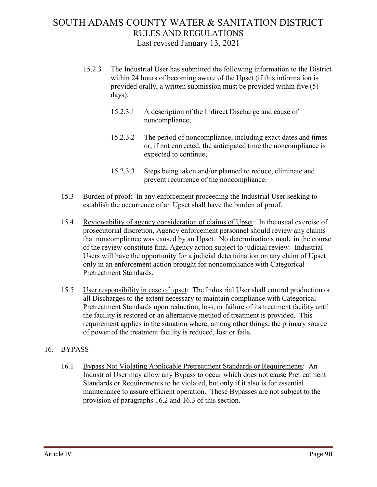- 15.2.3 The Industrial User has submitted the following information to the District within 24 hours of becoming aware of the Upset (if this information is provided orally, a written submission must be provided within five (5) days):
	- 15.2.3.1 A description of the Indirect Discharge and cause of noncompliance;
	- 15.2.3.2 The period of noncompliance, including exact dates and times or, if not corrected, the anticipated time the noncompliance is expected to continue;
	- 15.2.3.3 Steps being taken and/or planned to reduce, eliminate and prevent recurrence of the noncompliance.
- 15.3 Burden of proof: In any enforcement proceeding the Industrial User seeking to establish the occurrence of an Upset shall have the burden of proof.
- 15.4 Reviewability of agency consideration of claims of Upset: In the usual exercise of prosecutorial discretion, Agency enforcement personnel should review any claims that noncompliance was caused by an Upset. No determinations made in the course of the review constitute final Agency action subject to judicial review. Industrial Users will have the opportunity for a judicial determination on any claim of Upset only in an enforcement action brought for noncompliance with Categorical Pretreatment Standards.
- 15.5 User responsibility in case of upset: The Industrial User shall control production or all Discharges to the extent necessary to maintain compliance with Categorical Pretreatment Standards upon reduction, loss, or failure of its treatment facility until the facility is restored or an alternative method of treatment is provided. This requirement applies in the situation where, among other things, the primary source of power of the treatment facility is reduced, lost or fails.

### 16. BYPASS

16.1 Bypass Not Violating Applicable Pretreatment Standards or Requirements: An Industrial User may allow any Bypass to occur which does not cause Pretreatment Standards or Requirements to be violated, but only if it also is for essential maintenance to assure efficient operation. These Bypasses are not subject to the provision of paragraphs 16.2 and 16.3 of this section.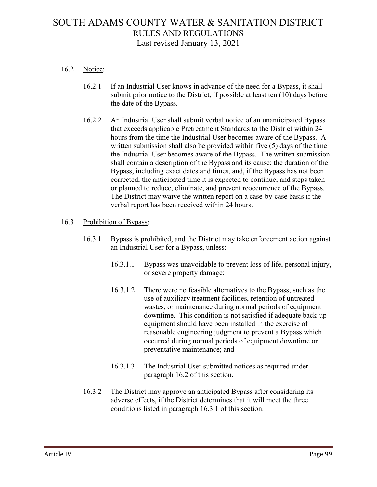### 16.2 Notice:

- 16.2.1 If an Industrial User knows in advance of the need for a Bypass, it shall submit prior notice to the District, if possible at least ten (10) days before the date of the Bypass.
- 16.2.2 An Industrial User shall submit verbal notice of an unanticipated Bypass that exceeds applicable Pretreatment Standards to the District within 24 hours from the time the Industrial User becomes aware of the Bypass. A written submission shall also be provided within five (5) days of the time the Industrial User becomes aware of the Bypass. The written submission shall contain a description of the Bypass and its cause; the duration of the Bypass, including exact dates and times, and, if the Bypass has not been corrected, the anticipated time it is expected to continue; and steps taken or planned to reduce, eliminate, and prevent reoccurrence of the Bypass. The District may waive the written report on a case-by-case basis if the verbal report has been received within 24 hours.

#### 16.3 Prohibition of Bypass:

- 16.3.1 Bypass is prohibited, and the District may take enforcement action against an Industrial User for a Bypass, unless:
	- 16.3.1.1 Bypass was unavoidable to prevent loss of life, personal injury, or severe property damage;
	- 16.3.1.2 There were no feasible alternatives to the Bypass, such as the use of auxiliary treatment facilities, retention of untreated wastes, or maintenance during normal periods of equipment downtime. This condition is not satisfied if adequate back-up equipment should have been installed in the exercise of reasonable engineering judgment to prevent a Bypass which occurred during normal periods of equipment downtime or preventative maintenance; and
	- 16.3.1.3 The Industrial User submitted notices as required under paragraph 16.2 of this section.
- 16.3.2 The District may approve an anticipated Bypass after considering its adverse effects, if the District determines that it will meet the three conditions listed in paragraph 16.3.1 of this section.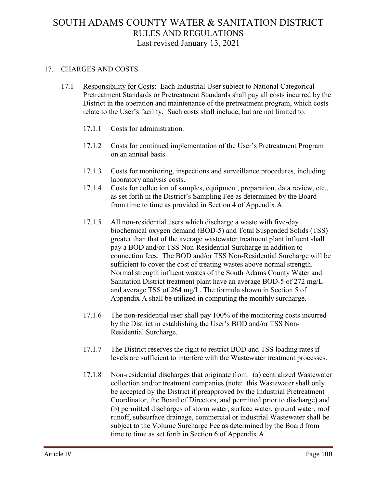### 17. CHARGES AND COSTS

- 17.1 Responsibility for Costs: Each Industrial User subject to National Categorical Pretreatment Standards or Pretreatment Standards shall pay all costs incurred by the District in the operation and maintenance of the pretreatment program, which costs relate to the User's facility. Such costs shall include, but are not limited to:
	- 17.1.1 Costs for administration.
	- 17.1.2 Costs for continued implementation of the User's Pretreatment Program on an annual basis.
	- 17.1.3 Costs for monitoring, inspections and surveillance procedures, including laboratory analysis costs.
	- 17.1.4 Costs for collection of samples, equipment, preparation, data review, etc., as set forth in the District's Sampling Fee as determined by the Board from time to time as provided in Section 4 of Appendix A.
	- 17.1.5 All non-residential users which discharge a waste with five-day biochemical oxygen demand (BOD-5) and Total Suspended Solids (TSS) greater than that of the average wastewater treatment plant influent shall pay a BOD and/or TSS Non-Residential Surcharge in addition to connection fees. The BOD and/or TSS Non-Residential Surcharge will be sufficient to cover the cost of treating wastes above normal strength. Normal strength influent wastes of the South Adams County Water and Sanitation District treatment plant have an average BOD-5 of 272 mg/L and average TSS of 264 mg/L. The formula shown in Section 5 of Appendix A shall be utilized in computing the monthly surcharge.
	- 17.1.6 The non-residential user shall pay 100% of the monitoring costs incurred by the District in establishing the User's BOD and/or TSS Non-Residential Surcharge.
	- 17.1.7 The District reserves the right to restrict BOD and TSS loading rates if levels are sufficient to interfere with the Wastewater treatment processes.
	- 17.1.8 Non-residential discharges that originate from: (a) centralized Wastewater collection and/or treatment companies (note: this Wastewater shall only be accepted by the District if preapproved by the Industrial Pretreatment Coordinator, the Board of Directors, and permitted prior to discharge) and (b) permitted discharges of storm water, surface water, ground water, roof runoff, subsurface drainage, commercial or industrial Wastewater shall be subject to the Volume Surcharge Fee as determined by the Board from time to time as set forth in Section 6 of Appendix A.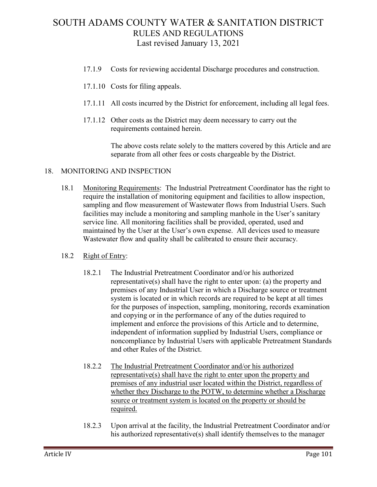- 17.1.9 Costs for reviewing accidental Discharge procedures and construction.
- 17.1.10 Costs for filing appeals.
- 17.1.11 All costs incurred by the District for enforcement, including all legal fees.
- 17.1.12 Other costs as the District may deem necessary to carry out the requirements contained herein.

The above costs relate solely to the matters covered by this Article and are separate from all other fees or costs chargeable by the District.

#### 18. MONITORING AND INSPECTION

18.1 Monitoring Requirements: The Industrial Pretreatment Coordinator has the right to require the installation of monitoring equipment and facilities to allow inspection, sampling and flow measurement of Wastewater flows from Industrial Users. Such facilities may include a monitoring and sampling manhole in the User's sanitary service line. All monitoring facilities shall be provided, operated, used and maintained by the User at the User's own expense. All devices used to measure Wastewater flow and quality shall be calibrated to ensure their accuracy.

#### 18.2 Right of Entry:

- 18.2.1 The Industrial Pretreatment Coordinator and/or his authorized representative(s) shall have the right to enter upon: (a) the property and premises of any Industrial User in which a Discharge source or treatment system is located or in which records are required to be kept at all times for the purposes of inspection, sampling, monitoring, records examination and copying or in the performance of any of the duties required to implement and enforce the provisions of this Article and to determine, independent of information supplied by Industrial Users, compliance or noncompliance by Industrial Users with applicable Pretreatment Standards and other Rules of the District.
- 18.2.2 The Industrial Pretreatment Coordinator and/or his authorized representative(s) shall have the right to enter upon the property and premises of any industrial user located within the District, regardless of whether they Discharge to the POTW, to determine whether a Discharge source or treatment system is located on the property or should be required.
- 18.2.3 Upon arrival at the facility, the Industrial Pretreatment Coordinator and/or his authorized representative(s) shall identify themselves to the manager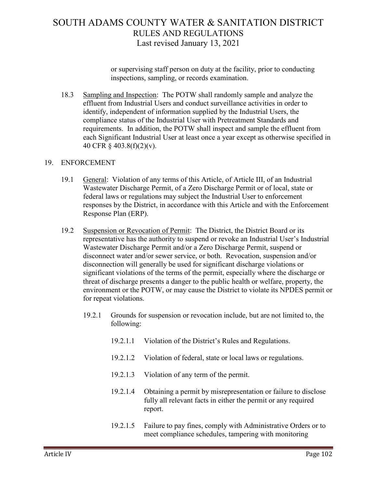or supervising staff person on duty at the facility, prior to conducting inspections, sampling, or records examination.

18.3 Sampling and Inspection: The POTW shall randomly sample and analyze the effluent from Industrial Users and conduct surveillance activities in order to identify, independent of information supplied by the Industrial Users, the compliance status of the Industrial User with Pretreatment Standards and requirements. In addition, the POTW shall inspect and sample the effluent from each Significant Industrial User at least once a year except as otherwise specified in 40 CFR § 403.8(f)(2)(v).

### 19. ENFORCEMENT

- 19.1 General: Violation of any terms of this Article, of Article III, of an Industrial Wastewater Discharge Permit, of a Zero Discharge Permit or of local, state or federal laws or regulations may subject the Industrial User to enforcement responses by the District, in accordance with this Article and with the Enforcement Response Plan (ERP).
- 19.2 Suspension or Revocation of Permit: The District, the District Board or its representative has the authority to suspend or revoke an Industrial User's Industrial Wastewater Discharge Permit and/or a Zero Discharge Permit, suspend or disconnect water and/or sewer service, or both. Revocation, suspension and/or disconnection will generally be used for significant discharge violations or significant violations of the terms of the permit, especially where the discharge or threat of discharge presents a danger to the public health or welfare, property, the environment or the POTW, or may cause the District to violate its NPDES permit or for repeat violations.
	- 19.2.1 Grounds for suspension or revocation include, but are not limited to, the following:
		- 19.2.1.1 Violation of the District's Rules and Regulations.
		- 19.2.1.2 Violation of federal, state or local laws or regulations.
		- 19.2.1.3 Violation of any term of the permit.
		- 19.2.1.4 Obtaining a permit by misrepresentation or failure to disclose fully all relevant facts in either the permit or any required report.
		- 19.2.1.5 Failure to pay fines, comply with Administrative Orders or to meet compliance schedules, tampering with monitoring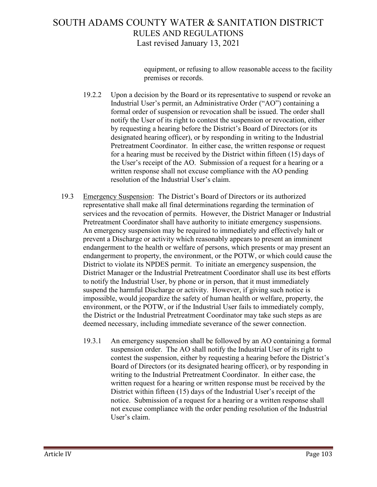equipment, or refusing to allow reasonable access to the facility premises or records.

- 19.2.2 Upon a decision by the Board or its representative to suspend or revoke an Industrial User's permit, an Administrative Order ("AO") containing a formal order of suspension or revocation shall be issued. The order shall notify the User of its right to contest the suspension or revocation, either by requesting a hearing before the District's Board of Directors (or its designated hearing officer), or by responding in writing to the Industrial Pretreatment Coordinator. In either case, the written response or request for a hearing must be received by the District within fifteen (15) days of the User's receipt of the AO. Submission of a request for a hearing or a written response shall not excuse compliance with the AO pending resolution of the Industrial User's claim.
- 19.3 Emergency Suspension: The District's Board of Directors or its authorized representative shall make all final determinations regarding the termination of services and the revocation of permits. However, the District Manager or Industrial Pretreatment Coordinator shall have authority to initiate emergency suspensions. An emergency suspension may be required to immediately and effectively halt or prevent a Discharge or activity which reasonably appears to present an imminent endangerment to the health or welfare of persons, which presents or may present an endangerment to property, the environment, or the POTW, or which could cause the District to violate its NPDES permit. To initiate an emergency suspension, the District Manager or the Industrial Pretreatment Coordinator shall use its best efforts to notify the Industrial User, by phone or in person, that it must immediately suspend the harmful Discharge or activity. However, if giving such notice is impossible, would jeopardize the safety of human health or welfare, property, the environment, or the POTW, or if the Industrial User fails to immediately comply, the District or the Industrial Pretreatment Coordinator may take such steps as are deemed necessary, including immediate severance of the sewer connection.
	- 19.3.1 An emergency suspension shall be followed by an AO containing a formal suspension order. The AO shall notify the Industrial User of its right to contest the suspension, either by requesting a hearing before the District's Board of Directors (or its designated hearing officer), or by responding in writing to the Industrial Pretreatment Coordinator. In either case, the written request for a hearing or written response must be received by the District within fifteen (15) days of the Industrial User's receipt of the notice. Submission of a request for a hearing or a written response shall not excuse compliance with the order pending resolution of the Industrial User's claim.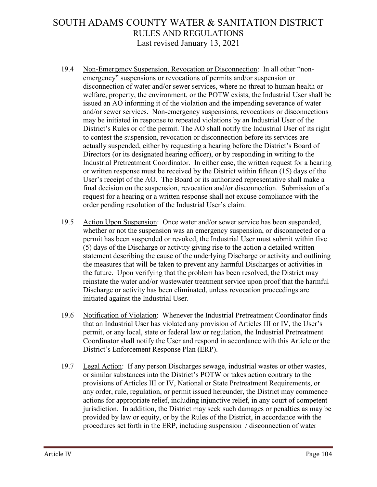- 19.4 Non-Emergency Suspension, Revocation or Disconnection: In all other "nonemergency" suspensions or revocations of permits and/or suspension or disconnection of water and/or sewer services, where no threat to human health or welfare, property, the environment, or the POTW exists, the Industrial User shall be issued an AO informing it of the violation and the impending severance of water and/or sewer services. Non-emergency suspensions, revocations or disconnections may be initiated in response to repeated violations by an Industrial User of the District's Rules or of the permit. The AO shall notify the Industrial User of its right to contest the suspension, revocation or disconnection before its services are actually suspended, either by requesting a hearing before the District's Board of Directors (or its designated hearing officer), or by responding in writing to the Industrial Pretreatment Coordinator. In either case, the written request for a hearing or written response must be received by the District within fifteen (15) days of the User's receipt of the AO. The Board or its authorized representative shall make a final decision on the suspension, revocation and/or disconnection. Submission of a request for a hearing or a written response shall not excuse compliance with the order pending resolution of the Industrial User's claim.
- 19.5 Action Upon Suspension: Once water and/or sewer service has been suspended, whether or not the suspension was an emergency suspension, or disconnected or a permit has been suspended or revoked, the Industrial User must submit within five (5) days of the Discharge or activity giving rise to the action a detailed written statement describing the cause of the underlying Discharge or activity and outlining the measures that will be taken to prevent any harmful Discharges or activities in the future. Upon verifying that the problem has been resolved, the District may reinstate the water and/or wastewater treatment service upon proof that the harmful Discharge or activity has been eliminated, unless revocation proceedings are initiated against the Industrial User.
- 19.6 Notification of Violation: Whenever the Industrial Pretreatment Coordinator finds that an Industrial User has violated any provision of Articles III or IV, the User's permit, or any local, state or federal law or regulation, the Industrial Pretreatment Coordinator shall notify the User and respond in accordance with this Article or the District's Enforcement Response Plan (ERP).
- 19.7 Legal Action: If any person Discharges sewage, industrial wastes or other wastes, or similar substances into the District's POTW or takes action contrary to the provisions of Articles III or IV, National or State Pretreatment Requirements, or any order, rule, regulation, or permit issued hereunder, the District may commence actions for appropriate relief, including injunctive relief, in any court of competent jurisdiction. In addition, the District may seek such damages or penalties as may be provided by law or equity, or by the Rules of the District, in accordance with the procedures set forth in the ERP, including suspension / disconnection of water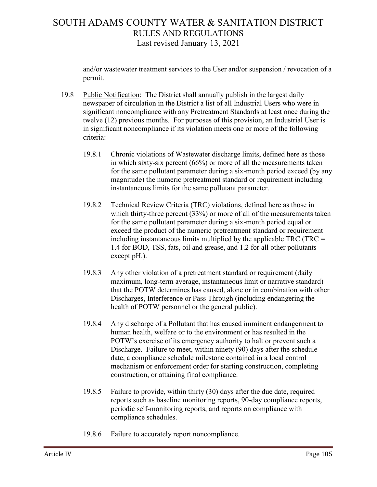and/or wastewater treatment services to the User and/or suspension / revocation of a permit.

- 19.8 Public Notification: The District shall annually publish in the largest daily newspaper of circulation in the District a list of all Industrial Users who were in significant noncompliance with any Pretreatment Standards at least once during the twelve (12) previous months. For purposes of this provision, an Industrial User is in significant noncompliance if its violation meets one or more of the following criteria:
	- 19.8.1 Chronic violations of Wastewater discharge limits, defined here as those in which sixty-six percent (66%) or more of all the measurements taken for the same pollutant parameter during a six-month period exceed (by any magnitude) the numeric pretreatment standard or requirement including instantaneous limits for the same pollutant parameter.
	- 19.8.2 Technical Review Criteria (TRC) violations, defined here as those in which thirty-three percent (33%) or more of all of the measurements taken for the same pollutant parameter during a six-month period equal or exceed the product of the numeric pretreatment standard or requirement including instantaneous limits multiplied by the applicable  $TRC$  (TRC = 1.4 for BOD, TSS, fats, oil and grease, and 1.2 for all other pollutants except pH.).
	- 19.8.3 Any other violation of a pretreatment standard or requirement (daily maximum, long-term average, instantaneous limit or narrative standard) that the POTW determines has caused, alone or in combination with other Discharges, Interference or Pass Through (including endangering the health of POTW personnel or the general public).
	- 19.8.4 Any discharge of a Pollutant that has caused imminent endangerment to human health, welfare or to the environment or has resulted in the POTW's exercise of its emergency authority to halt or prevent such a Discharge. Failure to meet, within ninety (90) days after the schedule date, a compliance schedule milestone contained in a local control mechanism or enforcement order for starting construction, completing construction, or attaining final compliance.
	- 19.8.5 Failure to provide, within thirty (30) days after the due date, required reports such as baseline monitoring reports, 90-day compliance reports, periodic self-monitoring reports, and reports on compliance with compliance schedules.
	- 19.8.6 Failure to accurately report noncompliance.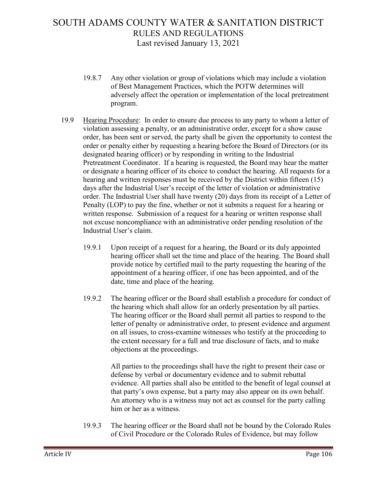- 19.8.7 Any other violation or group of violations which may include a violation of Best Management Practices, which the POTW determines will adversely affect the operation or implementation of the local pretreatment program.
- 19.9 Hearing Procedure: In order to ensure due process to any party to whom a letter of violation assessing a penalty, or an administrative order, except for a show cause order, has been sent or served, the party shall be given the opportunity to contest the order or penalty either by requesting a hearing before the Board of Directors (or its designated hearing officer) or by responding in writing to the Industrial Pretreatment Coordinator. If a hearing is requested, the Board may hear the matter or designate a hearing officer of its choice to conduct the hearing. All requests for a hearing and written responses must be received by the District within fifteen (15) days after the Industrial User's receipt of the letter of violation or administrative order. The Industrial User shall have twenty (20) days from its receipt of a Letter of Penalty (LOP) to pay the fine, whether or not it submits a request for a hearing or written response. Submission of a request for a hearing or written response shall not excuse noncompliance with an administrative order pending resolution of the Industrial User's claim.
	- 19.9.1 Upon receipt of a request for a hearing, the Board or its duly appointed hearing officer shall set the time and place of the hearing. The Board shall provide notice by certified mail to the party requesting the hearing of the appointment of a hearing officer, if one has been appointed, and of the date, time and place of the hearing.
	- 19.9.2 The hearing officer or the Board shall establish a procedure for conduct of the hearing which shall allow for an orderly presentation by all parties. The hearing officer or the Board shall permit all parties to respond to the letter of penalty or administrative order, to present evidence and argument on all issues, to cross-examine witnesses who testify at the proceeding to the extent necessary for a full and true disclosure of facts, and to make objections at the proceedings.

All parties to the proceedings shall have the right to present their case or defense by verbal or documentary evidence and to submit rebuttal evidence. All parties shall also be entitled to the benefit of legal counsel at that party's own expense, but a party may also appear on its own behalf. An attorney who is a witness may not act as counsel for the party calling him or her as a witness.

19.9.3 The hearing officer or the Board shall not be bound by the Colorado Rules of Civil Procedure or the Colorado Rules of Evidence, but may follow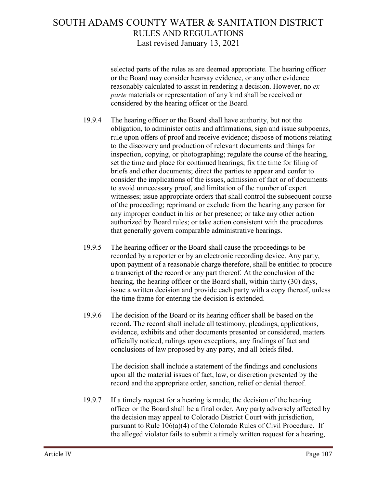selected parts of the rules as are deemed appropriate. The hearing officer or the Board may consider hearsay evidence, or any other evidence reasonably calculated to assist in rendering a decision. However, no *ex parte* materials or representation of any kind shall be received or considered by the hearing officer or the Board.

- 19.9.4 The hearing officer or the Board shall have authority, but not the obligation, to administer oaths and affirmations, sign and issue subpoenas, rule upon offers of proof and receive evidence; dispose of motions relating to the discovery and production of relevant documents and things for inspection, copying, or photographing; regulate the course of the hearing, set the time and place for continued hearings; fix the time for filing of briefs and other documents; direct the parties to appear and confer to consider the implications of the issues, admission of fact or of documents to avoid unnecessary proof, and limitation of the number of expert witnesses; issue appropriate orders that shall control the subsequent course of the proceeding; reprimand or exclude from the hearing any person for any improper conduct in his or her presence; or take any other action authorized by Board rules; or take action consistent with the procedures that generally govern comparable administrative hearings.
- 19.9.5 The hearing officer or the Board shall cause the proceedings to be recorded by a reporter or by an electronic recording device. Any party, upon payment of a reasonable charge therefore, shall be entitled to procure a transcript of the record or any part thereof. At the conclusion of the hearing, the hearing officer or the Board shall, within thirty (30) days, issue a written decision and provide each party with a copy thereof, unless the time frame for entering the decision is extended.
- 19.9.6 The decision of the Board or its hearing officer shall be based on the record. The record shall include all testimony, pleadings, applications, evidence, exhibits and other documents presented or considered, matters officially noticed, rulings upon exceptions, any findings of fact and conclusions of law proposed by any party, and all briefs filed.

The decision shall include a statement of the findings and conclusions upon all the material issues of fact, law, or discretion presented by the record and the appropriate order, sanction, relief or denial thereof.

19.9.7 If a timely request for a hearing is made, the decision of the hearing officer or the Board shall be a final order. Any party adversely affected by the decision may appeal to Colorado District Court with jurisdiction, pursuant to Rule 106(a)(4) of the Colorado Rules of Civil Procedure. If the alleged violator fails to submit a timely written request for a hearing,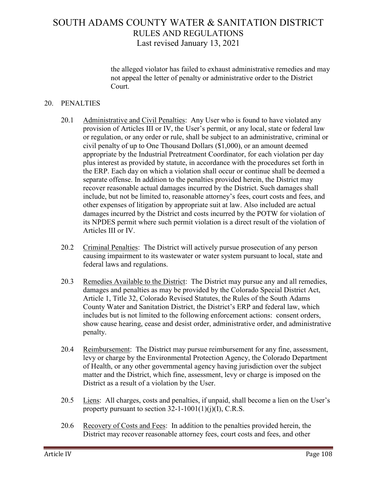the alleged violator has failed to exhaust administrative remedies and may not appeal the letter of penalty or administrative order to the District Court.

#### 20. PENALTIES

- 20.1 Administrative and Civil Penalties: Any User who is found to have violated any provision of Articles III or IV, the User's permit, or any local, state or federal law or regulation, or any order or rule, shall be subject to an administrative, criminal or civil penalty of up to One Thousand Dollars (\$1,000), or an amount deemed appropriate by the Industrial Pretreatment Coordinator, for each violation per day plus interest as provided by statute, in accordance with the procedures set forth in the ERP. Each day on which a violation shall occur or continue shall be deemed a separate offense. In addition to the penalties provided herein, the District may recover reasonable actual damages incurred by the District. Such damages shall include, but not be limited to, reasonable attorney's fees, court costs and fees, and other expenses of litigation by appropriate suit at law. Also included are actual damages incurred by the District and costs incurred by the POTW for violation of its NPDES permit where such permit violation is a direct result of the violation of Articles III or IV.
- 20.2 Criminal Penalties: The District will actively pursue prosecution of any person causing impairment to its wastewater or water system pursuant to local, state and federal laws and regulations.
- 20.3 Remedies Available to the District: The District may pursue any and all remedies, damages and penalties as may be provided by the Colorado Special District Act, Article 1, Title 32, Colorado Revised Statutes, the Rules of the South Adams County Water and Sanitation District, the District's ERP and federal law, which includes but is not limited to the following enforcement actions: consent orders, show cause hearing, cease and desist order, administrative order, and administrative penalty.
- 20.4 Reimbursement: The District may pursue reimbursement for any fine, assessment, levy or charge by the Environmental Protection Agency, the Colorado Department of Health, or any other governmental agency having jurisdiction over the subject matter and the District, which fine, assessment, levy or charge is imposed on the District as a result of a violation by the User.
- 20.5 Liens: All charges, costs and penalties, if unpaid, shall become a lien on the User's property pursuant to section  $32$ -1-1001(1)(j)(I), C.R.S.
- 20.6 Recovery of Costs and Fees: In addition to the penalties provided herein, the District may recover reasonable attorney fees, court costs and fees, and other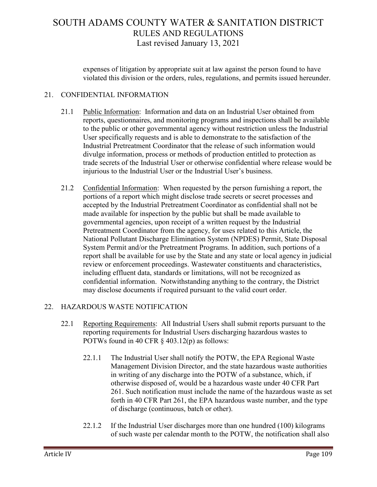expenses of litigation by appropriate suit at law against the person found to have violated this division or the orders, rules, regulations, and permits issued hereunder.

### 21. CONFIDENTIAL INFORMATION

- 21.1 Public Information: Information and data on an Industrial User obtained from reports, questionnaires, and monitoring programs and inspections shall be available to the public or other governmental agency without restriction unless the Industrial User specifically requests and is able to demonstrate to the satisfaction of the Industrial Pretreatment Coordinator that the release of such information would divulge information, process or methods of production entitled to protection as trade secrets of the Industrial User or otherwise confidential where release would be injurious to the Industrial User or the Industrial User's business.
- 21.2 Confidential Information: When requested by the person furnishing a report, the portions of a report which might disclose trade secrets or secret processes and accepted by the Industrial Pretreatment Coordinator as confidential shall not be made available for inspection by the public but shall be made available to governmental agencies, upon receipt of a written request by the Industrial Pretreatment Coordinator from the agency, for uses related to this Article, the National Pollutant Discharge Elimination System (NPDES) Permit, State Disposal System Permit and/or the Pretreatment Programs. In addition, such portions of a report shall be available for use by the State and any state or local agency in judicial review or enforcement proceedings. Wastewater constituents and characteristics, including effluent data, standards or limitations, will not be recognized as confidential information. Notwithstanding anything to the contrary, the District may disclose documents if required pursuant to the valid court order.

### 22. HAZARDOUS WASTE NOTIFICATION

- 22.1 Reporting Requirements: All Industrial Users shall submit reports pursuant to the reporting requirements for Industrial Users discharging hazardous wastes to POTWs found in 40 CFR § 403.12(p) as follows:
	- 22.1.1 The Industrial User shall notify the POTW, the EPA Regional Waste Management Division Director, and the state hazardous waste authorities in writing of any discharge into the POTW of a substance, which, if otherwise disposed of, would be a hazardous waste under 40 CFR Part 261. Such notification must include the name of the hazardous waste as set forth in 40 CFR Part 261, the EPA hazardous waste number, and the type of discharge (continuous, batch or other).
	- 22.1.2 If the Industrial User discharges more than one hundred (100) kilograms of such waste per calendar month to the POTW, the notification shall also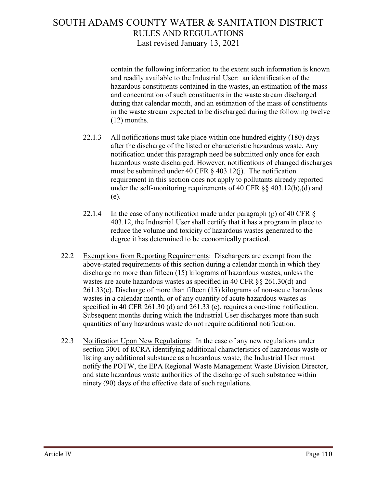contain the following information to the extent such information is known and readily available to the Industrial User: an identification of the hazardous constituents contained in the wastes, an estimation of the mass and concentration of such constituents in the waste stream discharged during that calendar month, and an estimation of the mass of constituents in the waste stream expected to be discharged during the following twelve (12) months.

- 22.1.3 All notifications must take place within one hundred eighty (180) days after the discharge of the listed or characteristic hazardous waste. Any notification under this paragraph need be submitted only once for each hazardous waste discharged. However, notifications of changed discharges must be submitted under 40 CFR  $\S$  403.12(j). The notification requirement in this section does not apply to pollutants already reported under the self-monitoring requirements of 40 CFR §§ 403.12(b),(d) and (e).
- 22.1.4 In the case of any notification made under paragraph (p) of 40 CFR § 403.12, the Industrial User shall certify that it has a program in place to reduce the volume and toxicity of hazardous wastes generated to the degree it has determined to be economically practical.
- 22.2 Exemptions from Reporting Requirements: Dischargers are exempt from the above-stated requirements of this section during a calendar month in which they discharge no more than fifteen (15) kilograms of hazardous wastes, unless the wastes are acute hazardous wastes as specified in 40 CFR §§ 261.30(d) and 261.33(e). Discharge of more than fifteen (15) kilograms of non-acute hazardous wastes in a calendar month, or of any quantity of acute hazardous wastes as specified in 40 CFR 261.30 (d) and 261.33 (e), requires a one-time notification. Subsequent months during which the Industrial User discharges more than such quantities of any hazardous waste do not require additional notification.
- 22.3 Notification Upon New Regulations: In the case of any new regulations under section 3001 of RCRA identifying additional characteristics of hazardous waste or listing any additional substance as a hazardous waste, the Industrial User must notify the POTW, the EPA Regional Waste Management Waste Division Director, and state hazardous waste authorities of the discharge of such substance within ninety (90) days of the effective date of such regulations.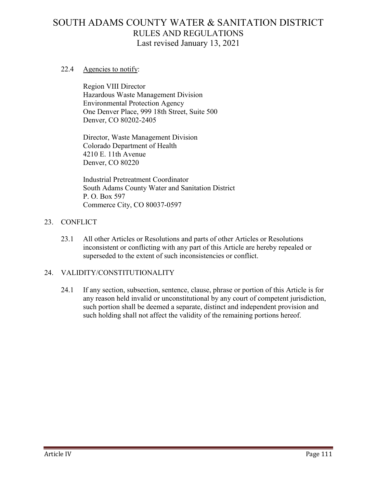#### 22.4 Agencies to notify:

Region VIII Director Hazardous Waste Management Division Environmental Protection Agency One Denver Place, 999 18th Street, Suite 500 Denver, CO 80202-2405

Director, Waste Management Division Colorado Department of Health 4210 E. 11th Avenue Denver, CO 80220

Industrial Pretreatment Coordinator South Adams County Water and Sanitation District P. O. Box 597 Commerce City, CO 80037-0597

### 23. CONFLICT

23.1 All other Articles or Resolutions and parts of other Articles or Resolutions inconsistent or conflicting with any part of this Article are hereby repealed or superseded to the extent of such inconsistencies or conflict.

### 24. VALIDITY/CONSTITUTIONALITY

24.1 If any section, subsection, sentence, clause, phrase or portion of this Article is for any reason held invalid or unconstitutional by any court of competent jurisdiction, such portion shall be deemed a separate, distinct and independent provision and such holding shall not affect the validity of the remaining portions hereof.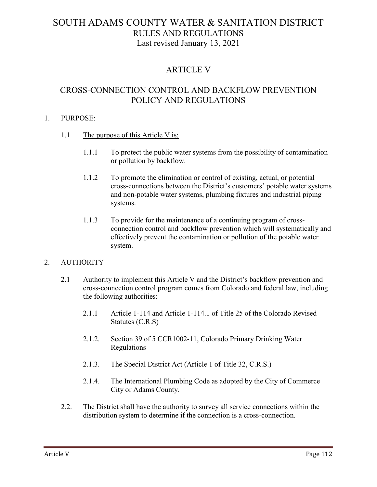### ARTICLE V

### CROSS-CONNECTION CONTROL AND BACKFLOW PREVENTION POLICY AND REGULATIONS

### 1. PURPOSE:

- 1.1 The purpose of this Article V is:
	- 1.1.1 To protect the public water systems from the possibility of contamination or pollution by backflow.
	- 1.1.2 To promote the elimination or control of existing, actual, or potential cross-connections between the District's customers' potable water systems and non-potable water systems, plumbing fixtures and industrial piping systems.
	- 1.1.3 To provide for the maintenance of a continuing program of crossconnection control and backflow prevention which will systematically and effectively prevent the contamination or pollution of the potable water system.

### 2. AUTHORITY

- 2.1 Authority to implement this Article V and the District's backflow prevention and cross-connection control program comes from Colorado and federal law, including the following authorities:
	- 2.1.1 Article 1-114 and Article 1-114.1 of Title 25 of the Colorado Revised Statutes (C.R.S)
	- 2.1.2. Section 39 of 5 CCR1002-11, Colorado Primary Drinking Water Regulations
	- 2.1.3. The Special District Act (Article 1 of Title 32, C.R.S.)
	- 2.1.4. The International Plumbing Code as adopted by the City of Commerce City or Adams County.
- 2.2. The District shall have the authority to survey all service connections within the distribution system to determine if the connection is a cross-connection.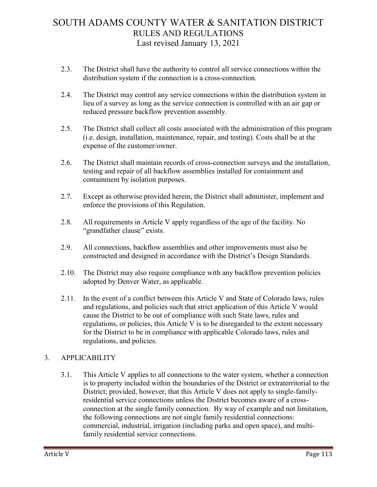- 2.3. The District shall have the authority to control all service connections within the distribution system if the connection is a cross-connection.
- 2.4. The District may control any service connections within the distribution system in lieu of a survey as long as the service connection is controlled with an air gap or reduced pressure backflow prevention assembly.
- 2.5. The District shall collect all costs associated with the administration of this program (i.e. design, installation, maintenance, repair, and testing). Costs shall be at the expense of the customer/owner.
- 2.6. The District shall maintain records of cross-connection surveys and the installation, testing and repair of all backflow assemblies installed for containment and containment by isolation purposes.
- 2.7. Except as otherwise provided herein, the District shall administer, implement and enforce the provisions of this Regulation.
- 2.8. All requirements in Article V apply regardless of the age of the facility. No "grandfather clause" exists.
- 2.9. All connections, backflow assemblies and other improvements must also be constructed and designed in accordance with the District's Design Standards.
- 2.10. The District may also require compliance with any backflow prevention policies adopted by Denver Water, as applicable.
- 2.11. In the event of a conflict between this Article V and State of Colorado laws, rules and regulations, and policies such that strict application of this Article V would cause the District to be out of compliance with such State laws, rules and regulations, or policies, this Article V is to be disregarded to the extent necessary for the District to be in compliance with applicable Colorado laws, rules and regulations, and policies.

### 3. APPLICABILITY

3.1. This Article V applies to all connections to the water system, whether a connection is to property included within the boundaries of the District or extraterritorial to the District; provided, however, that this Article V does not apply to single-familyresidential service connections unless the District becomes aware of a crossconnection at the single family connection. By way of example and not limitation, the following connections are not single family residential connections: commercial, industrial, irrigation (including parks and open space), and multifamily residential service connections.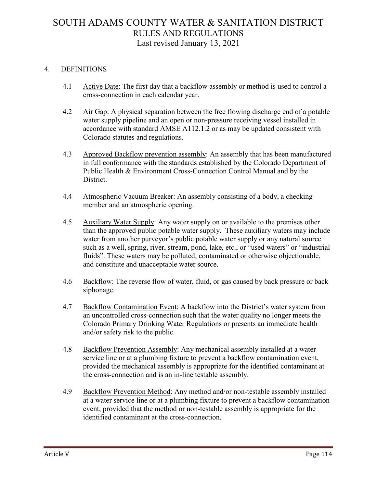### 4. DEFINITIONS

- 4.1 Active Date: The first day that a backflow assembly or method is used to control a cross-connection in each calendar year.
- 4.2 Air Gap: A physical separation between the free flowing discharge end of a potable water supply pipeline and an open or non-pressure receiving vessel installed in accordance with standard AMSE A112.1.2 or as may be updated consistent with Colorado statutes and regulations.
- 4.3 Approved Backflow prevention assembly: An assembly that has been manufactured in full conformance with the standards established by the Colorado Department of Public Health & Environment Cross-Connection Control Manual and by the District.
- 4.4 Atmospheric Vacuum Breaker: An assembly consisting of a body, a checking member and an atmospheric opening.
- 4.5 Auxiliary Water Supply: Any water supply on or available to the premises other than the approved public potable water supply. These auxiliary waters may include water from another purveyor's public potable water supply or any natural source such as a well, spring, river, stream, pond, lake, etc., or "used waters" or "industrial fluids". These waters may be polluted, contaminated or otherwise objectionable, and constitute and unacceptable water source.
- 4.6 Backflow: The reverse flow of water, fluid, or gas caused by back pressure or back siphonage.
- 4.7 Backflow Contamination Event: A backflow into the District's water system from an uncontrolled cross-connection such that the water quality no longer meets the Colorado Primary Drinking Water Regulations or presents an immediate health and/or safety risk to the public.
- 4.8 Backflow Prevention Assembly: Any mechanical assembly installed at a water service line or at a plumbing fixture to prevent a backflow contamination event, provided the mechanical assembly is appropriate for the identified contaminant at the cross-connection and is an in-line testable assembly.
- 4.9 Backflow Prevention Method: Any method and/or non-testable assembly installed at a water service line or at a plumbing fixture to prevent a backflow contamination event, provided that the method or non-testable assembly is appropriate for the identified contaminant at the cross-connection.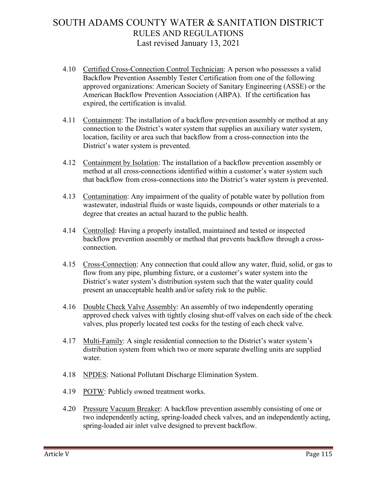- 4.10 Certified Cross-Connection Control Technician: A person who possesses a valid Backflow Prevention Assembly Tester Certification from one of the following approved organizations: American Society of Sanitary Engineering (ASSE) or the American Backflow Prevention Association (ABPA). If the certification has expired, the certification is invalid.
- 4.11 Containment: The installation of a backflow prevention assembly or method at any connection to the District's water system that supplies an auxiliary water system, location, facility or area such that backflow from a cross-connection into the District's water system is prevented.
- 4.12 Containment by Isolation: The installation of a backflow prevention assembly or method at all cross-connections identified within a customer's water system such that backflow from cross-connections into the District's water system is prevented.
- 4.13 Contamination: Any impairment of the quality of potable water by pollution from wastewater, industrial fluids or waste liquids, compounds or other materials to a degree that creates an actual hazard to the public health.
- 4.14 Controlled: Having a properly installed, maintained and tested or inspected backflow prevention assembly or method that prevents backflow through a crossconnection.
- 4.15 Cross-Connection: Any connection that could allow any water, fluid, solid, or gas to flow from any pipe, plumbing fixture, or a customer's water system into the District's water system's distribution system such that the water quality could present an unacceptable health and/or safety risk to the public.
- 4.16 Double Check Valve Assembly: An assembly of two independently operating approved check valves with tightly closing shut-off valves on each side of the check valves, plus properly located test cocks for the testing of each check valve.
- 4.17 Multi-Family: A single residential connection to the District's water system's distribution system from which two or more separate dwelling units are supplied water.
- 4.18 **NPDES:** National Pollutant Discharge Elimination System.
- 4.19 POTW: Publicly owned treatment works.
- 4.20 Pressure Vacuum Breaker: A backflow prevention assembly consisting of one or two independently acting, spring-loaded check valves, and an independently acting, spring-loaded air inlet valve designed to prevent backflow.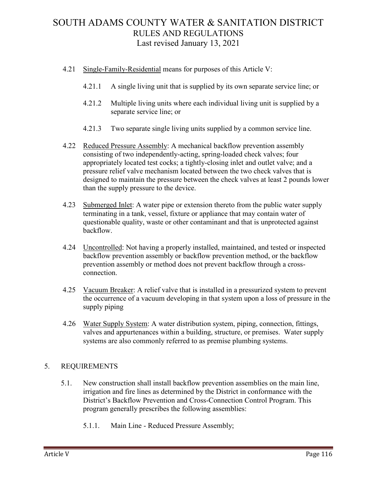- 4.21 Single-Family-Residential means for purposes of this Article V:
	- 4.21.1 A single living unit that is supplied by its own separate service line; or
	- 4.21.2 Multiple living units where each individual living unit is supplied by a separate service line; or
	- 4.21.3 Two separate single living units supplied by a common service line.
- 4.22 Reduced Pressure Assembly: A mechanical backflow prevention assembly consisting of two independently-acting, spring-loaded check valves; four appropriately located test cocks; a tightly-closing inlet and outlet valve; and a pressure relief valve mechanism located between the two check valves that is designed to maintain the pressure between the check valves at least 2 pounds lower than the supply pressure to the device.
- 4.23 Submerged Inlet: A water pipe or extension thereto from the public water supply terminating in a tank, vessel, fixture or appliance that may contain water of questionable quality, waste or other contaminant and that is unprotected against backflow.
- 4.24 Uncontrolled: Not having a properly installed, maintained, and tested or inspected backflow prevention assembly or backflow prevention method, or the backflow prevention assembly or method does not prevent backflow through a crossconnection.
- 4.25 Vacuum Breaker: A relief valve that is installed in a pressurized system to prevent the occurrence of a vacuum developing in that system upon a loss of pressure in the supply piping
- 4.26 Water Supply System: A water distribution system, piping, connection, fittings, valves and appurtenances within a building, structure, or premises. Water supply systems are also commonly referred to as premise plumbing systems.

### 5. REQUIREMENTS

- 5.1. New construction shall install backflow prevention assemblies on the main line, irrigation and fire lines as determined by the District in conformance with the District's Backflow Prevention and Cross-Connection Control Program. This program generally prescribes the following assemblies:
	- 5.1.1. Main Line Reduced Pressure Assembly;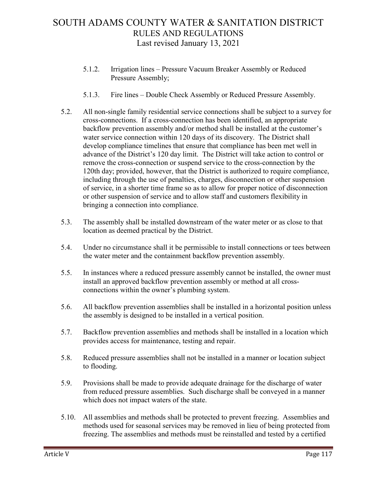- 5.1.2. Irrigation lines Pressure Vacuum Breaker Assembly or Reduced Pressure Assembly;
- 5.1.3. Fire lines Double Check Assembly or Reduced Pressure Assembly.
- 5.2. All non-single family residential service connections shall be subject to a survey for cross-connections. If a cross-connection has been identified, an appropriate backflow prevention assembly and/or method shall be installed at the customer's water service connection within 120 days of its discovery. The District shall develop compliance timelines that ensure that compliance has been met well in advance of the District's 120 day limit. The District will take action to control or remove the cross-connection or suspend service to the cross-connection by the 120th day; provided, however, that the District is authorized to require compliance, including through the use of penalties, charges, disconnection or other suspension of service, in a shorter time frame so as to allow for proper notice of disconnection or other suspension of service and to allow staff and customers flexibility in bringing a connection into compliance.
- 5.3. The assembly shall be installed downstream of the water meter or as close to that location as deemed practical by the District.
- 5.4. Under no circumstance shall it be permissible to install connections or tees between the water meter and the containment backflow prevention assembly.
- 5.5. In instances where a reduced pressure assembly cannot be installed, the owner must install an approved backflow prevention assembly or method at all crossconnections within the owner's plumbing system.
- 5.6. All backflow prevention assemblies shall be installed in a horizontal position unless the assembly is designed to be installed in a vertical position.
- 5.7. Backflow prevention assemblies and methods shall be installed in a location which provides access for maintenance, testing and repair.
- 5.8. Reduced pressure assemblies shall not be installed in a manner or location subject to flooding.
- 5.9. Provisions shall be made to provide adequate drainage for the discharge of water from reduced pressure assemblies. Such discharge shall be conveyed in a manner which does not impact waters of the state.
- 5.10. All assemblies and methods shall be protected to prevent freezing. Assemblies and methods used for seasonal services may be removed in lieu of being protected from freezing. The assemblies and methods must be reinstalled and tested by a certified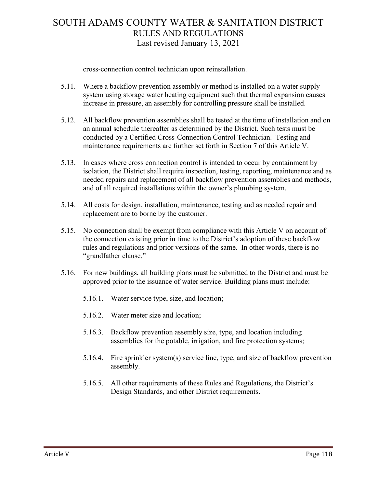cross-connection control technician upon reinstallation.

- 5.11. Where a backflow prevention assembly or method is installed on a water supply system using storage water heating equipment such that thermal expansion causes increase in pressure, an assembly for controlling pressure shall be installed.
- 5.12. All backflow prevention assemblies shall be tested at the time of installation and on an annual schedule thereafter as determined by the District. Such tests must be conducted by a Certified Cross-Connection Control Technician. Testing and maintenance requirements are further set forth in Section 7 of this Article V.
- 5.13. In cases where cross connection control is intended to occur by containment by isolation, the District shall require inspection, testing, reporting, maintenance and as needed repairs and replacement of all backflow prevention assemblies and methods, and of all required installations within the owner's plumbing system.
- 5.14. All costs for design, installation, maintenance, testing and as needed repair and replacement are to borne by the customer.
- 5.15. No connection shall be exempt from compliance with this Article V on account of the connection existing prior in time to the District's adoption of these backflow rules and regulations and prior versions of the same. In other words, there is no "grandfather clause."
- 5.16. For new buildings, all building plans must be submitted to the District and must be approved prior to the issuance of water service. Building plans must include:
	- 5.16.1. Water service type, size, and location;
	- 5.16.2. Water meter size and location;
	- 5.16.3. Backflow prevention assembly size, type, and location including assemblies for the potable, irrigation, and fire protection systems;
	- 5.16.4. Fire sprinkler system(s) service line, type, and size of backflow prevention assembly.
	- 5.16.5. All other requirements of these Rules and Regulations, the District's Design Standards, and other District requirements.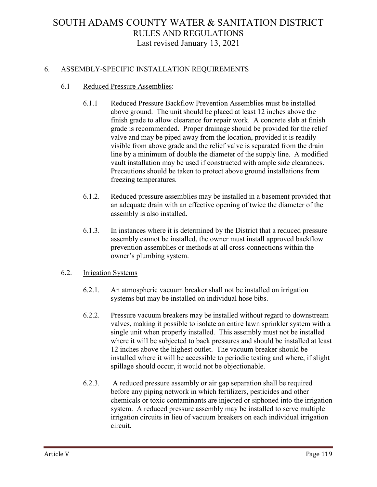### 6. ASSEMBLY-SPECIFIC INSTALLATION REQUIREMENTS

#### 6.1 Reduced Pressure Assemblies:

- 6.1.1 Reduced Pressure Backflow Prevention Assemblies must be installed above ground. The unit should be placed at least 12 inches above the finish grade to allow clearance for repair work. A concrete slab at finish grade is recommended. Proper drainage should be provided for the relief valve and may be piped away from the location, provided it is readily visible from above grade and the relief valve is separated from the drain line by a minimum of double the diameter of the supply line. A modified vault installation may be used if constructed with ample side clearances. Precautions should be taken to protect above ground installations from freezing temperatures.
- 6.1.2. Reduced pressure assemblies may be installed in a basement provided that an adequate drain with an effective opening of twice the diameter of the assembly is also installed.
- 6.1.3. In instances where it is determined by the District that a reduced pressure assembly cannot be installed, the owner must install approved backflow prevention assemblies or methods at all cross-connections within the owner's plumbing system.

#### 6.2. Irrigation Systems

- 6.2.1. An atmospheric vacuum breaker shall not be installed on irrigation systems but may be installed on individual hose bibs.
- 6.2.2. Pressure vacuum breakers may be installed without regard to downstream valves, making it possible to isolate an entire lawn sprinkler system with a single unit when properly installed. This assembly must not be installed where it will be subjected to back pressures and should be installed at least 12 inches above the highest outlet. The vacuum breaker should be installed where it will be accessible to periodic testing and where, if slight spillage should occur, it would not be objectionable.
- 6.2.3. A reduced pressure assembly or air gap separation shall be required before any piping network in which fertilizers, pesticides and other chemicals or toxic contaminants are injected or siphoned into the irrigation system. A reduced pressure assembly may be installed to serve multiple irrigation circuits in lieu of vacuum breakers on each individual irrigation circuit.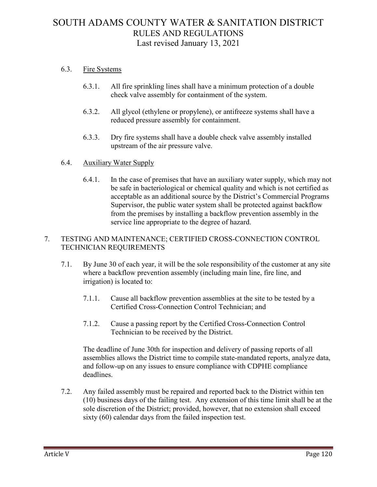#### 6.3. Fire Systems

- 6.3.1. All fire sprinkling lines shall have a minimum protection of a double check valve assembly for containment of the system.
- 6.3.2. All glycol (ethylene or propylene), or antifreeze systems shall have a reduced pressure assembly for containment.
- 6.3.3. Dry fire systems shall have a double check valve assembly installed upstream of the air pressure valve.

#### 6.4. Auxiliary Water Supply

6.4.1. In the case of premises that have an auxiliary water supply, which may not be safe in bacteriological or chemical quality and which is not certified as acceptable as an additional source by the District's Commercial Programs Supervisor, the public water system shall be protected against backflow from the premises by installing a backflow prevention assembly in the service line appropriate to the degree of hazard.

#### 7. TESTING AND MAINTENANCE; CERTIFIED CROSS-CONNECTION CONTROL TECHNICIAN REQUIREMENTS

- 7.1. By June 30 of each year, it will be the sole responsibility of the customer at any site where a backflow prevention assembly (including main line, fire line, and irrigation) is located to:
	- 7.1.1. Cause all backflow prevention assemblies at the site to be tested by a Certified Cross-Connection Control Technician; and
	- 7.1.2. Cause a passing report by the Certified Cross-Connection Control Technician to be received by the District.

The deadline of June 30th for inspection and delivery of passing reports of all assemblies allows the District time to compile state-mandated reports, analyze data, and follow-up on any issues to ensure compliance with CDPHE compliance deadlines.

7.2. Any failed assembly must be repaired and reported back to the District within ten (10) business days of the failing test. Any extension of this time limit shall be at the sole discretion of the District; provided, however, that no extension shall exceed sixty (60) calendar days from the failed inspection test.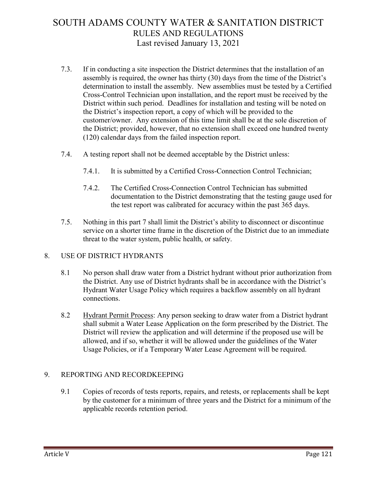- 7.3. If in conducting a site inspection the District determines that the installation of an assembly is required, the owner has thirty (30) days from the time of the District's determination to install the assembly. New assemblies must be tested by a Certified Cross-Control Technician upon installation, and the report must be received by the District within such period. Deadlines for installation and testing will be noted on the District's inspection report, a copy of which will be provided to the customer/owner. Any extension of this time limit shall be at the sole discretion of the District; provided, however, that no extension shall exceed one hundred twenty (120) calendar days from the failed inspection report.
- 7.4. A testing report shall not be deemed acceptable by the District unless:
	- 7.4.1. It is submitted by a Certified Cross-Connection Control Technician;
	- 7.4.2. The Certified Cross-Connection Control Technician has submitted documentation to the District demonstrating that the testing gauge used for the test report was calibrated for accuracy within the past 365 days.
- 7.5. Nothing in this part 7 shall limit the District's ability to disconnect or discontinue service on a shorter time frame in the discretion of the District due to an immediate threat to the water system, public health, or safety.

### 8. USE OF DISTRICT HYDRANTS

- 8.1 No person shall draw water from a District hydrant without prior authorization from the District. Any use of District hydrants shall be in accordance with the District's Hydrant Water Usage Policy which requires a backflow assembly on all hydrant connections.
- 8.2 Hydrant Permit Process: Any person seeking to draw water from a District hydrant shall submit a Water Lease Application on the form prescribed by the District. The District will review the application and will determine if the proposed use will be allowed, and if so, whether it will be allowed under the guidelines of the Water Usage Policies, or if a Temporary Water Lease Agreement will be required.

### 9. REPORTING AND RECORDKEEPING

9.1 Copies of records of tests reports, repairs, and retests, or replacements shall be kept by the customer for a minimum of three years and the District for a minimum of the applicable records retention period.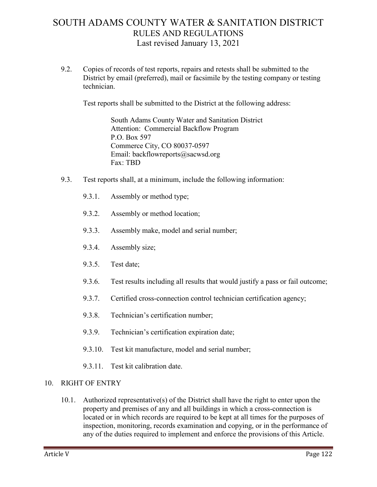9.2. Copies of records of test reports, repairs and retests shall be submitted to the District by email (preferred), mail or facsimile by the testing company or testing technician.

Test reports shall be submitted to the District at the following address:

South Adams County Water and Sanitation District Attention: Commercial Backflow Program P.O. Box 597 Commerce City, CO 80037-0597 Email: backflowreports@sacwsd.org Fax: TBD

- 9.3. Test reports shall, at a minimum, include the following information:
	- 9.3.1. Assembly or method type;
	- 9.3.2. Assembly or method location;
	- 9.3.3. Assembly make, model and serial number;
	- 9.3.4. Assembly size;
	- 9.3.5. Test date;
	- 9.3.6. Test results including all results that would justify a pass or fail outcome;
	- 9.3.7. Certified cross-connection control technician certification agency;
	- 9.3.8. Technician's certification number;
	- 9.3.9. Technician's certification expiration date;
	- 9.3.10. Test kit manufacture, model and serial number;
	- 9.3.11. Test kit calibration date.

#### 10. RIGHT OF ENTRY

10.1. Authorized representative(s) of the District shall have the right to enter upon the property and premises of any and all buildings in which a cross-connection is located or in which records are required to be kept at all times for the purposes of inspection, monitoring, records examination and copying, or in the performance of any of the duties required to implement and enforce the provisions of this Article.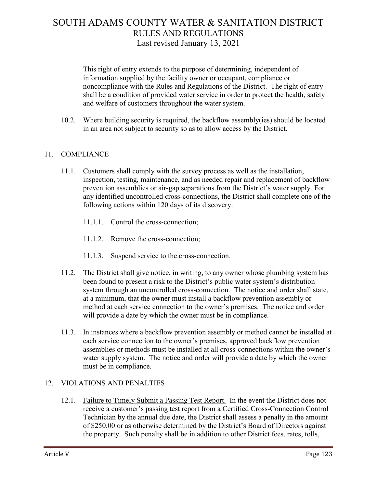This right of entry extends to the purpose of determining, independent of information supplied by the facility owner or occupant, compliance or noncompliance with the Rules and Regulations of the District. The right of entry shall be a condition of provided water service in order to protect the health, safety and welfare of customers throughout the water system.

10.2. Where building security is required, the backflow assembly(ies) should be located in an area not subject to security so as to allow access by the District.

### 11. COMPLIANCE

- 11.1. Customers shall comply with the survey process as well as the installation, inspection, testing, maintenance, and as needed repair and replacement of backflow prevention assemblies or air-gap separations from the District's water supply. For any identified uncontrolled cross-connections, the District shall complete one of the following actions within 120 days of its discovery:
	- 11.1.1. Control the cross-connection;
	- 11.1.2. Remove the cross-connection;
	- 11.1.3. Suspend service to the cross-connection.
- 11.2. The District shall give notice, in writing, to any owner whose plumbing system has been found to present a risk to the District's public water system's distribution system through an uncontrolled cross-connection. The notice and order shall state, at a minimum, that the owner must install a backflow prevention assembly or method at each service connection to the owner's premises. The notice and order will provide a date by which the owner must be in compliance.
- 11.3. In instances where a backflow prevention assembly or method cannot be installed at each service connection to the owner's premises, approved backflow prevention assemblies or methods must be installed at all cross-connections within the owner's water supply system. The notice and order will provide a date by which the owner must be in compliance.

### 12. VIOLATIONS AND PENALTIES

12.1. Failure to Timely Submit a Passing Test Report. In the event the District does not receive a customer's passing test report from a Certified Cross-Connection Control Technician by the annual due date, the District shall assess a penalty in the amount of \$250.00 or as otherwise determined by the District's Board of Directors against the property. Such penalty shall be in addition to other District fees, rates, tolls,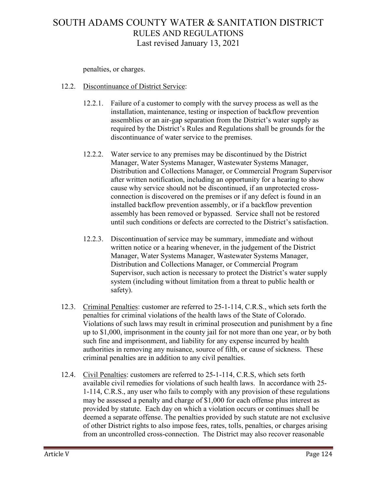penalties, or charges.

### 12.2. Discontinuance of District Service:

- 12.2.1. Failure of a customer to comply with the survey process as well as the installation, maintenance, testing or inspection of backflow prevention assemblies or an air-gap separation from the District's water supply as required by the District's Rules and Regulations shall be grounds for the discontinuance of water service to the premises.
- 12.2.2. Water service to any premises may be discontinued by the District Manager, Water Systems Manager, Wastewater Systems Manager, Distribution and Collections Manager, or Commercial Program Supervisor after written notification, including an opportunity for a hearing to show cause why service should not be discontinued, if an unprotected crossconnection is discovered on the premises or if any defect is found in an installed backflow prevention assembly, or if a backflow prevention assembly has been removed or bypassed. Service shall not be restored until such conditions or defects are corrected to the District's satisfaction.
- 12.2.3. Discontinuation of service may be summary, immediate and without written notice or a hearing whenever, in the judgement of the District Manager, Water Systems Manager, Wastewater Systems Manager, Distribution and Collections Manager, or Commercial Program Supervisor, such action is necessary to protect the District's water supply system (including without limitation from a threat to public health or safety).
- 12.3. Criminal Penalties: customer are referred to 25-1-114, C.R.S., which sets forth the penalties for criminal violations of the health laws of the State of Colorado. Violations of such laws may result in criminal prosecution and punishment by a fine up to \$1,000, imprisonment in the county jail for not more than one year, or by both such fine and imprisonment, and liability for any expense incurred by health authorities in removing any nuisance, source of filth, or cause of sickness. These criminal penalties are in addition to any civil penalties.
- 12.4. Civil Penalties: customers are referred to 25-1-114, C.R.S, which sets forth available civil remedies for violations of such health laws. In accordance with 25- 1-114, C.R.S., any user who fails to comply with any provision of these regulations may be assessed a penalty and charge of \$1,000 for each offense plus interest as provided by statute. Each day on which a violation occurs or continues shall be deemed a separate offense. The penalties provided by such statute are not exclusive of other District rights to also impose fees, rates, tolls, penalties, or charges arising from an uncontrolled cross-connection. The District may also recover reasonable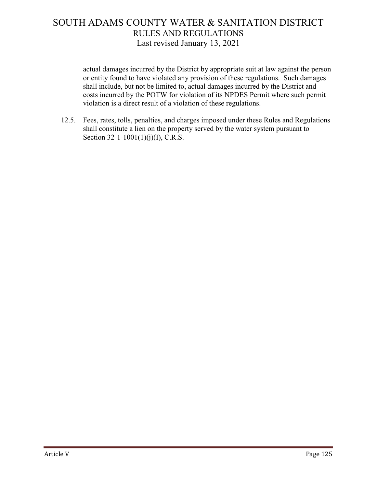actual damages incurred by the District by appropriate suit at law against the person or entity found to have violated any provision of these regulations. Such damages shall include, but not be limited to, actual damages incurred by the District and costs incurred by the POTW for violation of its NPDES Permit where such permit violation is a direct result of a violation of these regulations.

12.5. Fees, rates, tolls, penalties, and charges imposed under these Rules and Regulations shall constitute a lien on the property served by the water system pursuant to Section 32-1-1001(1)(j)(I), C.R.S.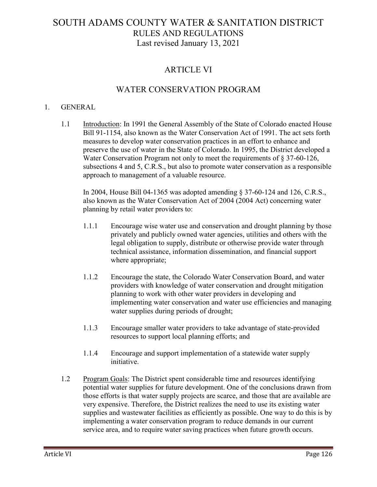### ARTICLE VI

### WATER CONSERVATION PROGRAM

#### 1. GENERAL

1.1 Introduction: In 1991 the General Assembly of the State of Colorado enacted House Bill 91-1154, also known as the Water Conservation Act of 1991. The act sets forth measures to develop water conservation practices in an effort to enhance and preserve the use of water in the State of Colorado. In 1995, the District developed a Water Conservation Program not only to meet the requirements of § 37-60-126, subsections 4 and 5, C.R.S., but also to promote water conservation as a responsible approach to management of a valuable resource.

In 2004, House Bill 04-1365 was adopted amending § 37-60-124 and 126, C.R.S., also known as the Water Conservation Act of 2004 (2004 Act) concerning water planning by retail water providers to:

- 1.1.1 Encourage wise water use and conservation and drought planning by those privately and publicly owned water agencies, utilities and others with the legal obligation to supply, distribute or otherwise provide water through technical assistance, information dissemination, and financial support where appropriate;
- 1.1.2 Encourage the state, the Colorado Water Conservation Board, and water providers with knowledge of water conservation and drought mitigation planning to work with other water providers in developing and implementing water conservation and water use efficiencies and managing water supplies during periods of drought;
- 1.1.3 Encourage smaller water providers to take advantage of state-provided resources to support local planning efforts; and
- 1.1.4 Encourage and support implementation of a statewide water supply initiative.
- 1.2 Program Goals: The District spent considerable time and resources identifying potential water supplies for future development. One of the conclusions drawn from those efforts is that water supply projects are scarce, and those that are available are very expensive. Therefore, the District realizes the need to use its existing water supplies and wastewater facilities as efficiently as possible. One way to do this is by implementing a water conservation program to reduce demands in our current service area, and to require water saving practices when future growth occurs.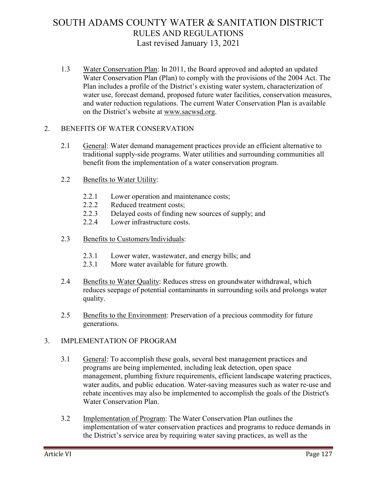1.3 Water Conservation Plan: In 2011, the Board approved and adopted an updated Water Conservation Plan (Plan) to comply with the provisions of the 2004 Act. The Plan includes a profile of the District's existing water system, characterization of water use, forecast demand, proposed future water facilities, conservation measures, and water reduction regulations. The current Water Conservation Plan is available on the District's website at [www.sacwsd.org.](http://www.sacwsd.org/)

### 2. BENEFITS OF WATER CONSERVATION

- 2.1 General: Water demand management practices provide an efficient alternative to traditional supply-side programs. Water utilities and surrounding communities all benefit from the implementation of a water conservation program.
- 2.2 Benefits to Water Utility:
	- 2.2.1 Lower operation and maintenance costs;
	- 2.2.2 Reduced treatment costs;
	- 2.2.3 Delayed costs of finding new sources of supply; and
	- 2.2.4 Lower infrastructure costs.
- 2.3 Benefits to Customers/Individuals:
	- 2.3.1 Lower water, wastewater, and energy bills; and
	- 2.3.1 More water available for future growth.
- 2.4 Benefits to Water Quality: Reduces stress on groundwater withdrawal, which reduces seepage of potential contaminants in surrounding soils and prolongs water quality.
- 2.5 Benefits to the Environment: Preservation of a precious commodity for future generations.

### 3. IMPLEMENTATION OF PROGRAM

- 3.1 General: To accomplish these goals, several best management practices and programs are being implemented, including leak detection, open space management, plumbing fixture requirements, efficient landscape watering practices, water audits, and public education. Water-saving measures such as water re-use and rebate incentives may also be implemented to accomplish the goals of the District's Water Conservation Plan.
- 3.2 Implementation of Program: The Water Conservation Plan outlines the implementation of water conservation practices and programs to reduce demands in the District's service area by requiring water saving practices, as well as the